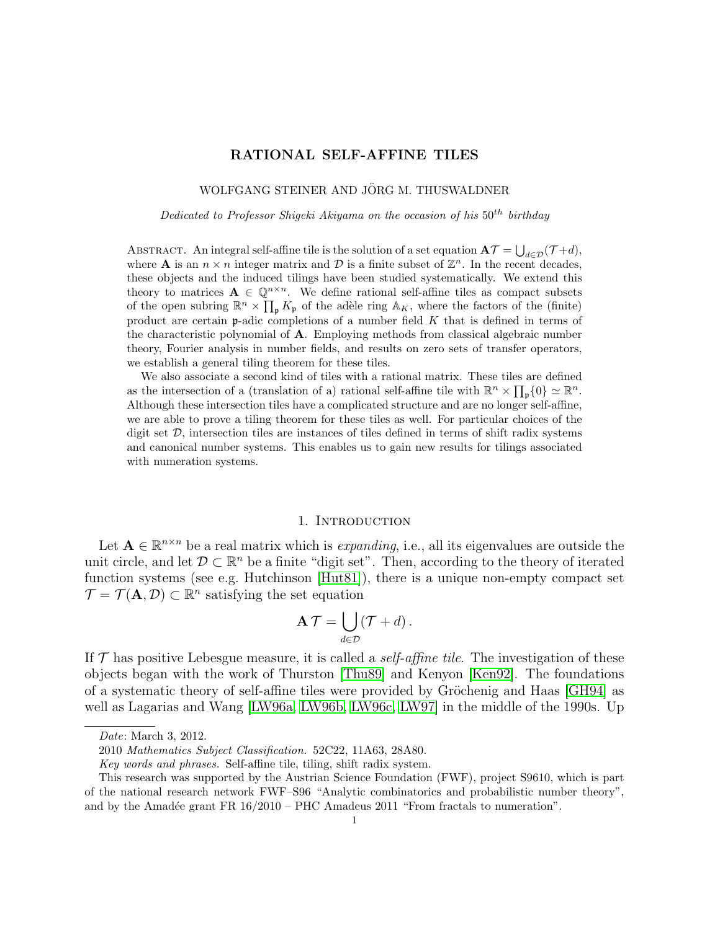# RATIONAL SELF-AFFINE TILES

### WOLFGANG STEINER AND JÖRG M. THUSWALDNER

Dedicated to Professor Shigeki Akiyama on the occasion of his  $50^{th}$  birthday

ABSTRACT. An integral self-affine tile is the solution of a set equation  $A\mathcal{T} = \bigcup_{d \in \mathcal{D}} (\mathcal{T} + d)$ , where **A** is an  $n \times n$  integer matrix and D is a finite subset of  $\mathbb{Z}^n$ . In the recent decades, these objects and the induced tilings have been studied systematically. We extend this theory to matrices  $\mathbf{A} \in \mathbb{Q}^{n \times n}$ . We define rational self-affine tiles as compact subsets of the open subring  $\mathbb{R}^n \times \prod_{\mathfrak{p}} K_{\mathfrak{p}}$  of the adèle ring  $\mathbb{A}_K$ , where the factors of the (finite) product are certain  $\mathfrak p$ -adic completions of a number field K that is defined in terms of the characteristic polynomial of A. Employing methods from classical algebraic number theory, Fourier analysis in number fields, and results on zero sets of transfer operators, we establish a general tiling theorem for these tiles.

We also associate a second kind of tiles with a rational matrix. These tiles are defined as the intersection of a (translation of a) rational self-affine tile with  $\mathbb{R}^n \times \prod_{\mathfrak{p}} \{0\} \simeq \mathbb{R}^n$ . Although these intersection tiles have a complicated structure and are no longer self-affine, we are able to prove a tiling theorem for these tiles as well. For particular choices of the digit set  $D$ , intersection tiles are instances of tiles defined in terms of shift radix systems and canonical number systems. This enables us to gain new results for tilings associated with numeration systems.

#### 1. INTRODUCTION

Let  $A \in \mathbb{R}^{n \times n}$  be a real matrix which is *expanding*, i.e., all its eigenvalues are outside the unit circle, and let  $\mathcal{D} \subset \mathbb{R}^n$  be a finite "digit set". Then, according to the theory of iterated function systems (see e.g. Hutchinson [\[Hut81\]](#page-31-0)), there is a unique non-empty compact set  $\mathcal{T} = \mathcal{T}(\mathbf{A}, \mathcal{D}) \subset \mathbb{R}^n$  satisfying the set equation

$$
\mathbf{A}\,\mathcal{T}=\bigcup_{d\in\mathcal{D}}(\mathcal{T}+d)\,.
$$

If  $\mathcal T$  has positive Lebesgue measure, it is called a *self-affine tile*. The investigation of these objects began with the work of Thurston [\[Thu89\]](#page-32-0) and Kenyon [\[Ken92\]](#page-31-1). The foundations of a systematic theory of self-affine tiles were provided by Gröchenig and Haas [\[GH94\]](#page-31-2) as well as Lagarias and Wang [\[LW96a,](#page-32-1) [LW96b,](#page-32-2) [LW96c,](#page-32-3) [LW97\]](#page-32-4) in the middle of the 1990s. Up

Date: March 3, 2012.

<sup>2010</sup> Mathematics Subject Classification. 52C22, 11A63, 28A80.

Key words and phrases. Self-affine tile, tiling, shift radix system.

This research was supported by the Austrian Science Foundation (FWF), project S9610, which is part of the national research network FWF–S96 "Analytic combinatorics and probabilistic number theory", and by the Amadée grant FR  $16/2010$  – PHC Amadeus 2011 "From fractals to numeration".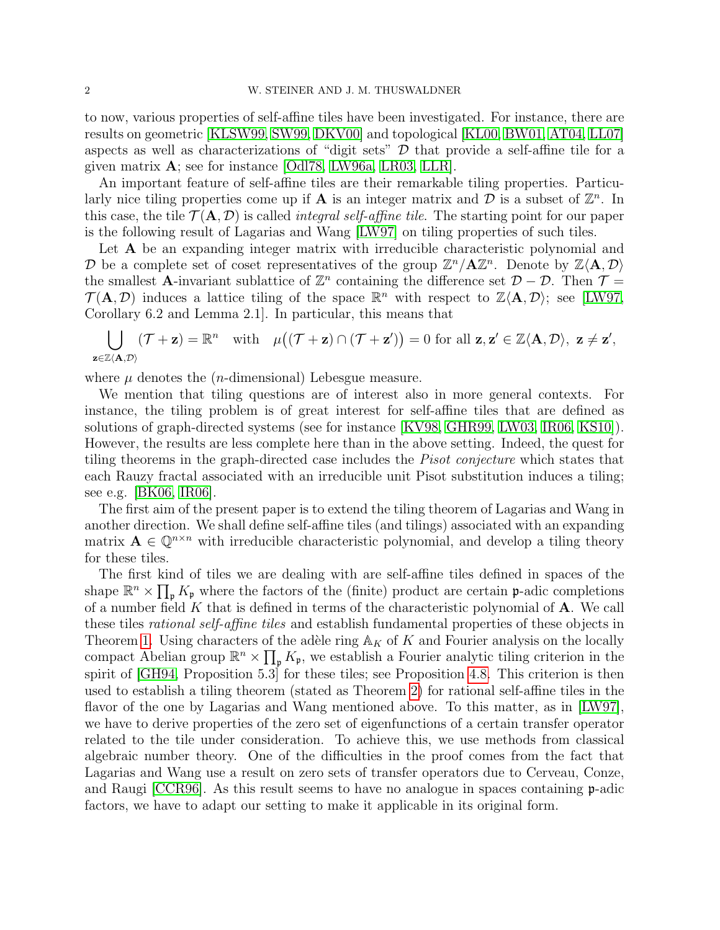to now, various properties of self-affine tiles have been investigated. For instance, there are results on geometric [\[KLSW99,](#page-31-3) [SW99,](#page-32-5) [DKV00\]](#page-31-4) and topological [\[KL00,](#page-31-5) [BW01,](#page-31-6) [AT04,](#page-31-7) [LL07\]](#page-31-8) aspects as well as characterizations of "digit sets"  $\mathcal D$  that provide a self-affine tile for a given matrix A; see for instance [\[Odl78,](#page-32-6) [LW96a,](#page-32-1) [LR03,](#page-31-9) [LLR\]](#page-31-10).

An important feature of self-affine tiles are their remarkable tiling properties. Particularly nice tiling properties come up if **A** is an integer matrix and  $\overline{\mathcal{D}}$  is a subset of  $\mathbb{Z}^n$ . In this case, the tile  $\mathcal{T}(\mathbf{A}, \mathcal{D})$  is called *integral self-affine tile*. The starting point for our paper is the following result of Lagarias and Wang [\[LW97\]](#page-32-4) on tiling properties of such tiles.

Let **A** be an expanding integer matrix with irreducible characteristic polynomial and D be a complete set of coset representatives of the group  $\mathbb{Z}^n/\mathbf{A}\mathbb{Z}^n$ . Denote by  $\mathbb{Z}\langle \mathbf{A}, \mathcal{D} \rangle$ the smallest A-invariant sublattice of  $\mathbb{Z}^n$  containing the difference set  $\mathcal{D} - \mathcal{D}$ . Then  $\mathcal{T} =$  $\mathcal{T}(\mathbf{A}, \mathcal{D})$  induces a lattice tiling of the space  $\mathbb{R}^n$  with respect to  $\mathbb{Z}\langle \mathbf{A}, \mathcal{D} \rangle$ ; see [\[LW97,](#page-32-4) Corollary 6.2 and Lemma 2.1]. In particular, this means that

$$
\bigcup_{\mathbf{z}\in\mathbb{Z}\langle\mathbf{A},\mathcal{D}\rangle}(\mathcal{T}+\mathbf{z})=\mathbb{R}^n\quad\text{with}\quad\mu\big((\mathcal{T}+\mathbf{z})\cap(\mathcal{T}+\mathbf{z}')\big)=0\text{ for all }\mathbf{z},\mathbf{z}'\in\mathbb{Z}\langle\mathbf{A},\mathcal{D}\rangle,\ \mathbf{z}\neq\mathbf{z}',
$$

where  $\mu$  denotes the (*n*-dimensional) Lebesgue measure.

We mention that tiling questions are of interest also in more general contexts. For instance, the tiling problem is of great interest for self-affine tiles that are defined as solutions of graph-directed systems (see for instance [\[KV98,](#page-31-11) [GHR99,](#page-31-12) [LW03,](#page-32-7) [IR06,](#page-31-13) [KS10\]](#page-31-14)). However, the results are less complete here than in the above setting. Indeed, the quest for tiling theorems in the graph-directed case includes the Pisot conjecture which states that each Rauzy fractal associated with an irreducible unit Pisot substitution induces a tiling; see e.g. [\[BK06,](#page-31-15) [IR06\]](#page-31-13).

The first aim of the present paper is to extend the tiling theorem of Lagarias and Wang in another direction. We shall define self-affine tiles (and tilings) associated with an expanding matrix  $\mathbf{A} \in \mathbb{Q}^{n \times n}$  with irreducible characteristic polynomial, and develop a tiling theory for these tiles.

The first kind of tiles we are dealing with are self-affine tiles defined in spaces of the shape  $\mathbb{R}^n \times \prod_{\mathfrak{p}} K_{\mathfrak{p}}$  where the factors of the (finite) product are certain p-adic completions of a number field  $K$  that is defined in terms of the characteristic polynomial of  $A$ . We call these tiles rational self-affine tiles and establish fundamental properties of these objects in Theorem [1.](#page-5-0) Using characters of the adèle ring  $\mathbb{A}_K$  of K and Fourier analysis on the locally compact Abelian group  $\mathbb{R}^n \times \prod_{\mathfrak{p}} K_{\mathfrak{p}}$ , we establish a Fourier analytic tiling criterion in the spirit of [\[GH94,](#page-31-2) Proposition 5.3] for these tiles; see Proposition [4.8.](#page-16-0) This criterion is then used to establish a tiling theorem (stated as Theorem [2\)](#page-5-1) for rational self-affine tiles in the flavor of the one by Lagarias and Wang mentioned above. To this matter, as in [\[LW97\]](#page-32-4), we have to derive properties of the zero set of eigenfunctions of a certain transfer operator related to the tile under consideration. To achieve this, we use methods from classical algebraic number theory. One of the difficulties in the proof comes from the fact that Lagarias and Wang use a result on zero sets of transfer operators due to Cerveau, Conze, and Raugi [\[CCR96\]](#page-31-16). As this result seems to have no analogue in spaces containing p-adic factors, we have to adapt our setting to make it applicable in its original form.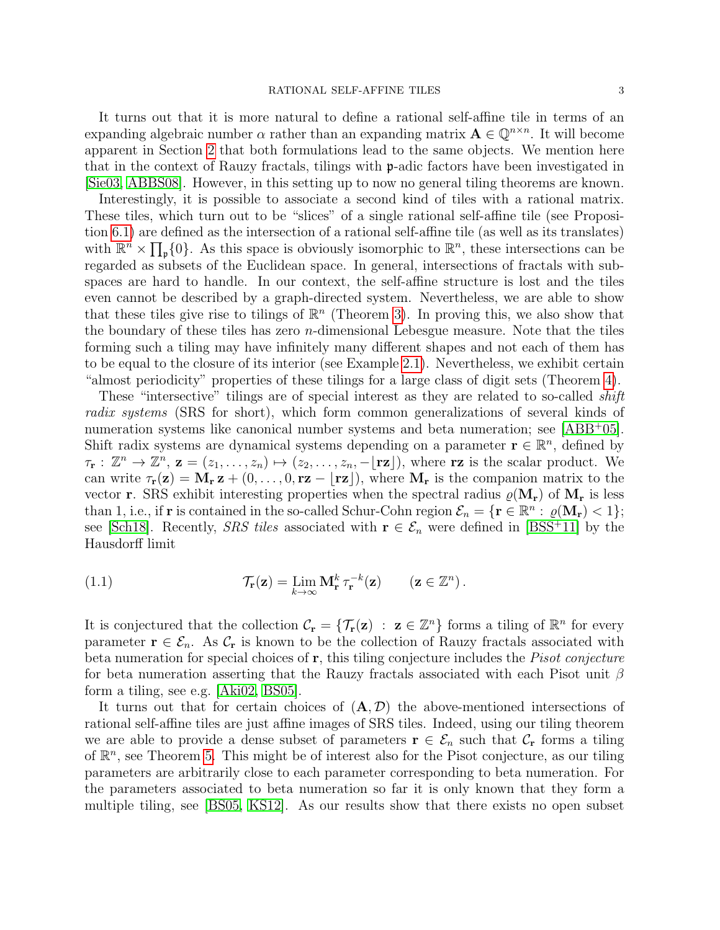It turns out that it is more natural to define a rational self-affine tile in terms of an expanding algebraic number  $\alpha$  rather than an expanding matrix  $\mathbf{A} \in \mathbb{Q}^{n \times n}$ . It will become apparent in Section [2](#page-3-0) that both formulations lead to the same objects. We mention here that in the context of Rauzy fractals, tilings with p-adic factors have been investigated in [\[Sie03,](#page-32-8) [ABBS08\]](#page-30-0). However, in this setting up to now no general tiling theorems are known.

Interestingly, it is possible to associate a second kind of tiles with a rational matrix. These tiles, which turn out to be "slices" of a single rational self-affine tile (see Proposition [6.1\)](#page-22-0) are defined as the intersection of a rational self-affine tile (as well as its translates) with  $\mathbb{R}^n \times \prod_{p} \{0\}$ . As this space is obviously isomorphic to  $\mathbb{R}^n$ , these intersections can be regarded as subsets of the Euclidean space. In general, intersections of fractals with subspaces are hard to handle. In our context, the self-affine structure is lost and the tiles even cannot be described by a graph-directed system. Nevertheless, we are able to show that these tiles give rise to tilings of  $\mathbb{R}^n$  (Theorem [3\)](#page-6-0). In proving this, we also show that the boundary of these tiles has zero  $n$ -dimensional Lebesgue measure. Note that the tiles forming such a tiling may have infinitely many different shapes and not each of them has to be equal to the closure of its interior (see Example [2.1\)](#page-7-0). Nevertheless, we exhibit certain "almost periodicity" properties of these tilings for a large class of digit sets (Theorem [4\)](#page-6-1).

These "intersective" tilings are of special interest as they are related to so-called *shift* radix systems (SRS for short), which form common generalizations of several kinds of numeration systems like canonical number systems and beta numeration; see [\[ABB](#page-30-1)<sup>+</sup>05]. Shift radix systems are dynamical systems depending on a parameter  $\mathbf{r} \in \mathbb{R}^n$ , defined by  $\tau_{\mathbf{r}} : \mathbb{Z}^n \to \mathbb{Z}^n$ ,  $\mathbf{z} = (z_1, \ldots, z_n) \mapsto (z_2, \ldots, z_n, -\lfloor \mathbf{r} \mathbf{z} \rfloor)$ , where  $\mathbf{r} \mathbf{z}$  is the scalar product. We can write  $\tau_{\mathbf{r}}(\mathbf{z}) = \mathbf{M}_{\mathbf{r}} \mathbf{z} + (0, \ldots, 0, \mathbf{r}\mathbf{z} - |\mathbf{r}\mathbf{z}|),$  where  $\mathbf{M}_{\mathbf{r}}$  is the companion matrix to the vector **r**. SRS exhibit interesting properties when the spectral radius  $\varrho(\mathbf{M}_r)$  of  $\mathbf{M}_r$  is less than 1, i.e., if **r** is contained in the so-called Schur-Cohn region  $\mathcal{E}_n = \{ \mathbf{r} \in \mathbb{R}^n : \varrho(\mathbf{M}_r) < 1 \};$ see [\[Sch18\]](#page-32-9). Recently, *SRS tiles* associated with  $\mathbf{r} \in \mathcal{E}_n$  were defined in [\[BSS](#page-31-17)<sup>+</sup>11] by the Hausdorff limit

<span id="page-2-0"></span>(1.1) 
$$
\mathcal{T}_{\mathbf{r}}(\mathbf{z}) = \lim_{k \to \infty} \mathbf{M}_{\mathbf{r}}^k \, \tau_{\mathbf{r}}^{-k}(\mathbf{z}) \qquad (\mathbf{z} \in \mathbb{Z}^n).
$$

It is conjectured that the collection  $\mathcal{C}_r = \{ \mathcal{T}_r(z) : z \in \mathbb{Z}^n \}$  forms a tiling of  $\mathbb{R}^n$  for every parameter  $\mathbf{r} \in \mathcal{E}_n$ . As  $\mathcal{C}_r$  is known to be the collection of Rauzy fractals associated with beta numeration for special choices of r, this tiling conjecture includes the *Pisot conjecture* for beta numeration asserting that the Rauzy fractals associated with each Pisot unit  $\beta$ form a tiling, see e.g. [\[Aki02,](#page-30-2) [BS05\]](#page-31-18).

It turns out that for certain choices of  $(A, D)$  the above-mentioned intersections of rational self-affine tiles are just affine images of SRS tiles. Indeed, using our tiling theorem we are able to provide a dense subset of parameters  $\mathbf{r} \in \mathcal{E}_n$  such that  $\mathcal{C}_r$  forms a tiling of  $\mathbb{R}^n$ , see Theorem [5.](#page-7-1) This might be of interest also for the Pisot conjecture, as our tiling parameters are arbitrarily close to each parameter corresponding to beta numeration. For the parameters associated to beta numeration so far it is only known that they form a multiple tiling, see [\[BS05,](#page-31-18) [KS12\]](#page-31-19). As our results show that there exists no open subset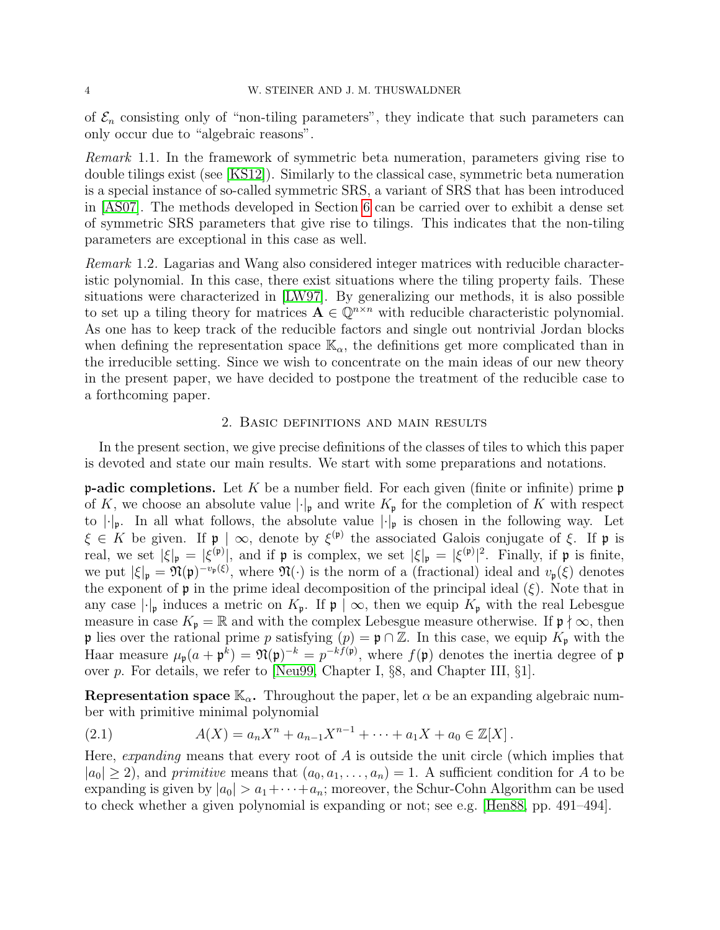of  $\mathcal{E}_n$  consisting only of "non-tiling parameters", they indicate that such parameters can only occur due to "algebraic reasons".

Remark 1.1. In the framework of symmetric beta numeration, parameters giving rise to double tilings exist (see [\[KS12\]](#page-31-19)). Similarly to the classical case, symmetric beta numeration is a special instance of so-called symmetric SRS, a variant of SRS that has been introduced in [\[AS07\]](#page-30-3). The methods developed in Section [6](#page-22-1) can be carried over to exhibit a dense set of symmetric SRS parameters that give rise to tilings. This indicates that the non-tiling parameters are exceptional in this case as well.

Remark 1.2. Lagarias and Wang also considered integer matrices with reducible characteristic polynomial. In this case, there exist situations where the tiling property fails. These situations were characterized in [\[LW97\]](#page-32-4). By generalizing our methods, it is also possible to set up a tiling theory for matrices  $\mathbf{A} \in \mathbb{Q}^{n \times n}$  with reducible characteristic polynomial. As one has to keep track of the reducible factors and single out nontrivial Jordan blocks when defining the representation space  $\mathbb{K}_{\alpha}$ , the definitions get more complicated than in the irreducible setting. Since we wish to concentrate on the main ideas of our new theory in the present paper, we have decided to postpone the treatment of the reducible case to a forthcoming paper.

### 2. Basic definitions and main results

<span id="page-3-0"></span>In the present section, we give precise definitions of the classes of tiles to which this paper is devoted and state our main results. We start with some preparations and notations.

**p-adic completions.** Let K be a number field. For each given (finite or infinite) prime **p** of K, we choose an absolute value  $|\cdot|_{p}$  and write  $K_{p}$  for the completion of K with respect to  $|\cdot|_{p}$ . In all what follows, the absolute value  $|\cdot|_{p}$  is chosen in the following way. Let  $\xi \in K$  be given. If  $\mathfrak{p} \mid \infty$ , denote by  $\xi^{(\mathfrak{p})}$  the associated Galois conjugate of  $\xi$ . If  $\mathfrak{p}$  is real, we set  $|\xi|_{\mathfrak{p}} = |\xi^{(\mathfrak{p})}|$ , and if  $\mathfrak{p}$  is complex, we set  $|\xi|_{\mathfrak{p}} = |\xi^{(\mathfrak{p})}|^2$ . Finally, if  $\mathfrak{p}$  is finite, we put  $|\xi|_{\mathfrak{p}} = \mathfrak{N}(\mathfrak{p})^{-v_{\mathfrak{p}}(\xi)}$ , where  $\mathfrak{N}(\cdot)$  is the norm of a (fractional) ideal and  $v_{\mathfrak{p}}(\xi)$  denotes the exponent of  $\mathfrak p$  in the prime ideal decomposition of the principal ideal  $(\xi)$ . Note that in any case  $|\cdot|_{\mathfrak{p}}$  induces a metric on  $K_{\mathfrak{p}}$ . If  $\mathfrak{p} \mid \infty$ , then we equip  $K_{\mathfrak{p}}$  with the real Lebesgue measure in case  $K_{\mathfrak{p}} = \mathbb{R}$  and with the complex Lebesgue measure otherwise. If  $\mathfrak{p} \nmid \infty$ , then p lies over the rational prime p satisfying  $(p) = \mathfrak{p} \cap \mathbb{Z}$ . In this case, we equip  $K_{\mathfrak{p}}$  with the Haar measure  $\mu_{\mathfrak{p}}(a + \mathfrak{p}^k) = \mathfrak{N}(\mathfrak{p})^{-k} = p^{-kf(\mathfrak{p})}$ , where  $f(\mathfrak{p})$  denotes the inertia degree of  $\mathfrak{p}$ over p. For details, we refer to [\[Neu99,](#page-32-10) Chapter I, §8, and Chapter III, §1].

Representation space  $\mathbb{K}_{\alpha}$ . Throughout the paper, let  $\alpha$  be an expanding algebraic number with primitive minimal polynomial

<span id="page-3-1"></span>(2.1) 
$$
A(X) = a_n X^n + a_{n-1} X^{n-1} + \dots + a_1 X + a_0 \in \mathbb{Z}[X].
$$

Here, expanding means that every root of  $A$  is outside the unit circle (which implies that  $|a_0| \geq 2$ ), and primitive means that  $(a_0, a_1, \ldots, a_n) = 1$ . A sufficient condition for A to be expanding is given by  $|a_0| > a_1 + \cdots + a_n$ ; moreover, the Schur-Cohn Algorithm can be used to check whether a given polynomial is expanding or not; see e.g. [\[Hen88,](#page-31-20) pp. 491–494].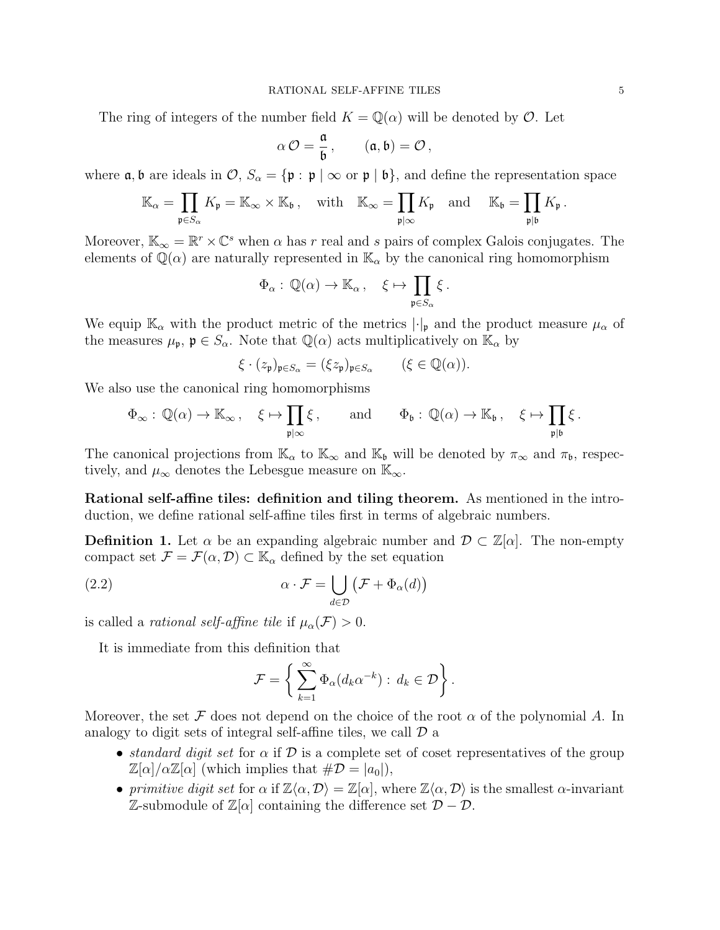The ring of integers of the number field  $K = \mathbb{Q}(\alpha)$  will be denoted by  $\mathcal{O}$ . Let

$$
\alpha\,{\cal O}=\frac{\mathfrak{a}}{\mathfrak{b}}\,,\qquad (\mathfrak{a},\mathfrak{b})={\cal O}\,,
$$

where  $\mathfrak{a}, \mathfrak{b}$  are ideals in  $\mathcal{O}, S_{\alpha} = {\mathfrak{p} : \mathfrak{p} \mid \infty \text{ or } \mathfrak{p} \mid \mathfrak{b}}$ , and define the representation space

$$
\mathbb{K}_{\alpha} = \prod_{\mathfrak{p} \in S_{\alpha}} K_{\mathfrak{p}} = \mathbb{K}_{\infty} \times \mathbb{K}_{\mathfrak{b}}, \quad \text{with} \quad \mathbb{K}_{\infty} = \prod_{\mathfrak{p} \mid \infty} K_{\mathfrak{p}} \quad \text{and} \quad \mathbb{K}_{\mathfrak{b}} = \prod_{\mathfrak{p} \mid \mathfrak{b}} K_{\mathfrak{p}}.
$$

Moreover,  $\mathbb{K}_{\infty} = \mathbb{R}^r \times \mathbb{C}^s$  when  $\alpha$  has r real and s pairs of complex Galois conjugates. The elements of  $\mathbb{Q}(\alpha)$  are naturally represented in  $\mathbb{K}_{\alpha}$  by the canonical ring homomorphism

$$
\Phi_{\alpha}: \mathbb{Q}(\alpha) \to \mathbb{K}_{\alpha}, \quad \xi \mapsto \prod_{\mathfrak{p} \in S_{\alpha}} \xi.
$$

We equip  $\mathbb{K}_{\alpha}$  with the product metric of the metrics  $|\cdot|_{p}$  and the product measure  $\mu_{\alpha}$  of the measures  $\mu_{\mathfrak{p}}$ ,  $\mathfrak{p} \in S_{\alpha}$ . Note that  $\mathbb{Q}(\alpha)$  acts multiplicatively on  $\mathbb{K}_{\alpha}$  by

$$
\xi\cdot (z_{\mathfrak{p}})_{\mathfrak{p}\in S_\alpha}=(\xi z_{\mathfrak{p}})_{\mathfrak{p}\in S_\alpha}\qquad (\xi\in \mathbb{Q}(\alpha)).
$$

We also use the canonical ring homomorphisms

$$
\Phi_{\infty}: \mathbb{Q}(\alpha) \to \mathbb{K}_{\infty}, \quad \xi \mapsto \prod_{\mathfrak{p} \mid \infty} \xi, \quad \text{and} \quad \Phi_{\mathfrak{b}}: \mathbb{Q}(\alpha) \to \mathbb{K}_{\mathfrak{b}}, \quad \xi \mapsto \prod_{\mathfrak{p} \mid \mathfrak{b}} \xi.
$$

The canonical projections from  $\mathbb{K}_{\alpha}$  to  $\mathbb{K}_{\infty}$  and  $\mathbb{K}_{\beta}$  will be denoted by  $\pi_{\infty}$  and  $\pi_{\beta}$ , respectively, and  $\mu_{\infty}$  denotes the Lebesgue measure on  $\mathbb{K}_{\infty}$ .

Rational self-affine tiles: definition and tiling theorem. As mentioned in the introduction, we define rational self-affine tiles first in terms of algebraic numbers.

**Definition 1.** Let  $\alpha$  be an expanding algebraic number and  $\mathcal{D} \subset \mathbb{Z}[\alpha]$ . The non-empty compact set  $\mathcal{F} = \mathcal{F}(\alpha, \mathcal{D}) \subset \mathbb{K}_{\alpha}$  defined by the set equation

(2.2) 
$$
\alpha \cdot \mathcal{F} = \bigcup_{d \in \mathcal{D}} (\mathcal{F} + \Phi_{\alpha}(d))
$$

is called a *rational self-affine tile* if  $\mu_{\alpha}(\mathcal{F}) > 0$ .

It is immediate from this definition that

<span id="page-4-0"></span>
$$
\mathcal{F} = \left\{ \sum_{k=1}^{\infty} \Phi_{\alpha}(d_k \alpha^{-k}) : d_k \in \mathcal{D} \right\}.
$$

Moreover, the set F does not depend on the choice of the root  $\alpha$  of the polynomial A. In analogy to digit sets of integral self-affine tiles, we call  $\mathcal D$  a

- standard digit set for  $\alpha$  if  $\mathcal D$  is a complete set of coset representatives of the group  $\mathbb{Z}[\alpha]/\alpha\mathbb{Z}[\alpha]$  (which implies that  $\#\mathcal{D} = |a_0|$ ),
- primitive digit set for  $\alpha$  if  $\mathbb{Z}\langle\alpha,\mathcal{D}\rangle = \mathbb{Z}[\alpha]$ , where  $\mathbb{Z}\langle\alpha,\mathcal{D}\rangle$  is the smallest  $\alpha$ -invariant  $\mathbb{Z}\text{-submodule of }\mathbb{Z}[\alpha]$  containing the difference set  $\mathcal{D} - \mathcal{D}$ .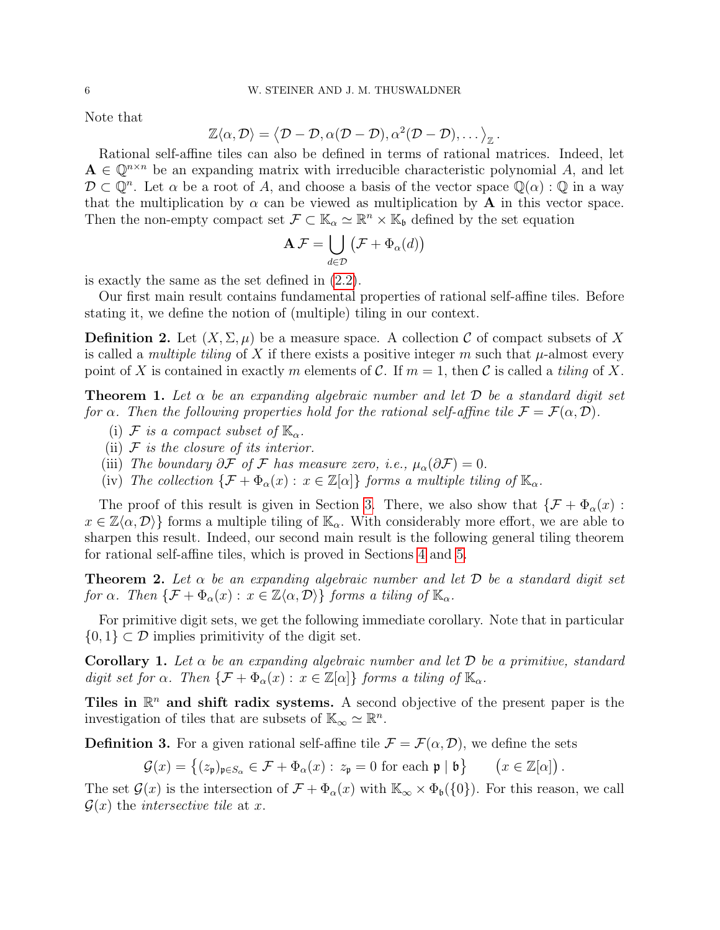Note that

$$
\mathbb{Z}\langle \alpha, \mathcal{D}\rangle = \langle \mathcal{D} - \mathcal{D}, \alpha(\mathcal{D} - \mathcal{D}), \alpha^2(\mathcal{D} - \mathcal{D}), \dots \rangle_{\mathbb{Z}}.
$$

Rational self-affine tiles can also be defined in terms of rational matrices. Indeed, let  $A \in \mathbb{Q}^{n \times n}$  be an expanding matrix with irreducible characteristic polynomial A, and let  $\mathcal{D} \subset \mathbb{Q}^n$ . Let  $\alpha$  be a root of A, and choose a basis of the vector space  $\mathbb{Q}(\alpha)$ :  $\mathbb{Q}$  in a way that the multiplication by  $\alpha$  can be viewed as multiplication by **A** in this vector space. Then the non-empty compact set  $\mathcal{F} \subset \mathbb{K}_{\alpha} \simeq \mathbb{R}^n \times \mathbb{K}_{\mathfrak{b}}$  defined by the set equation

$$
\mathbf{A}\,\mathcal{F} = \bigcup_{d\in\mathcal{D}} \big(\mathcal{F} + \Phi_\alpha(d)\big)
$$

is exactly the same as the set defined in [\(2.2\)](#page-4-0).

Our first main result contains fundamental properties of rational self-affine tiles. Before stating it, we define the notion of (multiple) tiling in our context.

**Definition 2.** Let  $(X, \Sigma, \mu)$  be a measure space. A collection C of compact subsets of X is called a *multiple tiling* of X if there exists a positive integer m such that  $\mu$ -almost every point of X is contained in exactly m elements of C. If  $m = 1$ , then C is called a tiling of X.

<span id="page-5-0"></span>**Theorem 1.** Let  $\alpha$  be an expanding algebraic number and let  $\mathcal{D}$  be a standard digit set for  $\alpha$ . Then the following properties hold for the rational self-affine tile  $\mathcal{F} = \mathcal{F}(\alpha, \mathcal{D})$ .

- <span id="page-5-3"></span>(i) F is a compact subset of  $\mathbb{K}_{\alpha}$ .
- <span id="page-5-4"></span>(ii)  $\mathcal F$  is the closure of its interior.
- <span id="page-5-5"></span>(iii) The boundary  $\partial \mathcal{F}$  of  $\mathcal{F}$  has measure zero, i.e.,  $\mu_{\alpha}(\partial \mathcal{F})=0$ .
- <span id="page-5-6"></span>(iv) The collection  $\{\mathcal{F} + \Phi_\alpha(x) : x \in \mathbb{Z}[\alpha]\}\)$  forms a multiple tiling of  $\mathbb{K}_\alpha$ .

The proof of this result is given in Section [3.](#page-9-0) There, we also show that  $\{\mathcal{F} + \Phi_{\alpha}(x)$ :  $x \in \mathbb{Z}\langle \alpha, \mathcal{D} \rangle$  forms a multiple tiling of  $\mathbb{K}_{\alpha}$ . With considerably more effort, we are able to sharpen this result. Indeed, our second main result is the following general tiling theorem for rational self-affine tiles, which is proved in Sections [4](#page-13-0) and [5.](#page-18-0)

<span id="page-5-1"></span>**Theorem 2.** Let  $\alpha$  be an expanding algebraic number and let  $\mathcal{D}$  be a standard digit set for  $\alpha$ . Then  $\{\mathcal{F} + \Phi_{\alpha}(x) : x \in \mathbb{Z}\langle \alpha, \mathcal{D} \rangle\}$  forms a tiling of  $\mathbb{K}_{\alpha}$ .

For primitive digit sets, we get the following immediate corollary. Note that in particular  $\{0,1\} \subset \mathcal{D}$  implies primitivity of the digit set.

<span id="page-5-2"></span>Corollary 1. Let  $\alpha$  be an expanding algebraic number and let  $\mathcal D$  be a primitive, standard digit set for  $\alpha$ . Then  $\{\mathcal{F} + \Phi_{\alpha}(x) : x \in \mathbb{Z}[\alpha]\}\)$  forms a tiling of  $\mathbb{K}_{\alpha}$ .

Tiles in  $\mathbb{R}^n$  and shift radix systems. A second objective of the present paper is the investigation of tiles that are subsets of  $\mathbb{K}_{\infty} \simeq \mathbb{R}^n$ .

**Definition 3.** For a given rational self-affine tile  $\mathcal{F} = \mathcal{F}(\alpha, \mathcal{D})$ , we define the sets

 $\mathcal{G}(x) = \{(z_{\mathfrak{p}})_{\mathfrak{p} \in S_{\alpha}} \in \mathcal{F} + \Phi_{\alpha}(x) : z_{\mathfrak{p}} = 0 \text{ for each } \mathfrak{p} \mid \mathfrak{b}\} \qquad (x \in \mathbb{Z}[\alpha])$ .

The set  $\mathcal{G}(x)$  is the intersection of  $\mathcal{F} + \Phi_{\alpha}(x)$  with  $\mathbb{K}_{\infty} \times \Phi_{\mathfrak{b}}(\{0\})$ . For this reason, we call  $\mathcal{G}(x)$  the *intersective tile* at x.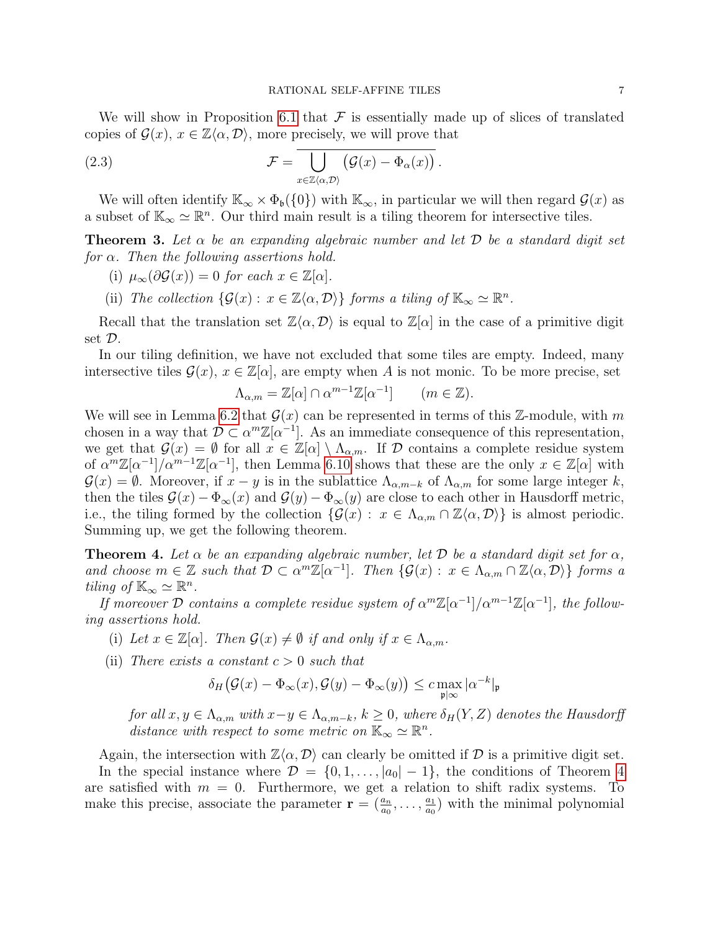We will show in Proposition [6.1](#page-22-0) that  $\mathcal F$  is essentially made up of slices of translated copies of  $\mathcal{G}(x)$ ,  $x \in \mathbb{Z}\langle \alpha, \mathcal{D} \rangle$ , more precisely, we will prove that

<span id="page-6-3"></span>(2.3) 
$$
\mathcal{F} = \overline{\bigcup_{x \in \mathbb{Z}\langle \alpha, \mathcal{D} \rangle} (\mathcal{G}(x) - \Phi_{\alpha}(x))}.
$$

We will often identify  $\mathbb{K}_{\infty} \times \Phi_{\mathfrak{b}}(\{0\})$  with  $\mathbb{K}_{\infty}$ , in particular we will then regard  $\mathcal{G}(x)$  as a subset of  $\mathbb{K}_{\infty} \simeq \mathbb{R}^n$ . Our third main result is a tiling theorem for intersective tiles.

<span id="page-6-0"></span>**Theorem 3.** Let  $\alpha$  be an expanding algebraic number and let  $\mathcal{D}$  be a standard digit set for  $\alpha$ . Then the following assertions hold.

- <span id="page-6-4"></span>(i)  $\mu_{\infty}(\partial \mathcal{G}(x)) = 0$  for each  $x \in \mathbb{Z}[\alpha].$
- <span id="page-6-5"></span>(ii) The collection  $\{\mathcal{G}(x): x \in \mathbb{Z}\langle \alpha, \mathcal{D} \rangle\}$  forms a tiling of  $\mathbb{K}_{\infty} \simeq \mathbb{R}^n$ .

Recall that the translation set  $\mathbb{Z}\langle\alpha,\mathcal{D}\rangle$  is equal to  $\mathbb{Z}[\alpha]$  in the case of a primitive digit set D.

In our tiling definition, we have not excluded that some tiles are empty. Indeed, many intersective tiles  $\mathcal{G}(x)$ ,  $x \in \mathbb{Z}[\alpha]$ , are empty when A is not monic. To be more precise, set

$$
\Lambda_{\alpha,m} = \mathbb{Z}[\alpha] \cap \alpha^{m-1}\mathbb{Z}[\alpha^{-1}] \qquad (m \in \mathbb{Z}).
$$

We will see in Lemma [6.2](#page-23-0) that  $\mathcal{G}(x)$  can be represented in terms of this Z-module, with m chosen in a way that  $\mathcal{D} \subset \alpha^m \mathbb{Z}[\alpha^{-1}]$ . As an immediate consequence of this representation, we get that  $\mathcal{G}(x) = \emptyset$  for all  $x \in \mathbb{Z}[\alpha] \setminus \Lambda_{\alpha,m}$ . If  $\mathcal D$  contains a complete residue system of  $\alpha^m \mathbb{Z}[\alpha^{-1}]/\alpha^{m-1}\mathbb{Z}[\alpha^{-1}]$ , then Lemma [6.10](#page-27-0) shows that these are the only  $x \in \mathbb{Z}[\alpha]$  with  $\mathcal{G}(x) = \emptyset$ . Moreover, if  $x - y$  is in the sublattice  $\Lambda_{\alpha,m-k}$  of  $\Lambda_{\alpha,m}$  for some large integer k, then the tiles  $\mathcal{G}(x) - \Phi_{\infty}(x)$  and  $\mathcal{G}(y) - \Phi_{\infty}(y)$  are close to each other in Hausdorff metric, i.e., the tiling formed by the collection  $\{\mathcal{G}(x) : x \in \Lambda_{\alpha,m} \cap \mathbb{Z}\langle \alpha, \mathcal{D} \rangle\}$  is almost periodic. Summing up, we get the following theorem.

<span id="page-6-1"></span>**Theorem 4.** Let  $\alpha$  be an expanding algebraic number, let  $\mathcal{D}$  be a standard digit set for  $\alpha$ , and choose  $m \in \mathbb{Z}$  such that  $\mathcal{D} \subset \alpha^m \mathbb{Z}[\alpha^{-1}]$ . Then  $\{\mathcal{G}(x) : x \in \Lambda_{\alpha,m} \cap \mathbb{Z} \langle \alpha, \mathcal{D} \rangle\}$  forms a tiling of  $\mathbb{K}_{\infty} \simeq \mathbb{R}^n$ .

If moreover  $\mathcal D$  contains a complete residue system of  $\alpha^m \mathbb{Z}[\alpha^{-1}]/\alpha^{m-1}\mathbb{Z}[\alpha^{-1}]$ , the following assertions hold.

- <span id="page-6-6"></span>(i) Let  $x \in \mathbb{Z}[\alpha]$ . Then  $\mathcal{G}(x) \neq \emptyset$  if and only if  $x \in \Lambda_{\alpha,m}$ .
- <span id="page-6-2"></span>(ii) There exists a constant  $c > 0$  such that

$$
\delta_H\big(\mathcal{G}(x)-\Phi_\infty(x),\mathcal{G}(y)-\Phi_\infty(y)\big)\leq c\max_{\mathfrak{p}\mid\infty}|\alpha^{-k}|_\mathfrak{p}
$$

for all  $x, y \in \Lambda_{\alpha,m}$  with  $x-y \in \Lambda_{\alpha,m-k}$ ,  $k \geq 0$ , where  $\delta_H(Y, Z)$  denotes the Hausdorff distance with respect to some metric on  $\mathbb{K}_{\infty} \simeq \mathbb{R}^n$ .

Again, the intersection with  $\mathbb{Z}\langle \alpha, \mathcal{D} \rangle$  can clearly be omitted if  $\mathcal D$  is a primitive digit set. In the special instance where  $\mathcal{D} = \{0, 1, \ldots, |a_0| - 1\}$ , the conditions of Theorem [4](#page-6-1) are satisfied with  $m = 0$ . Furthermore, we get a relation to shift radix systems. To make this precise, associate the parameter  $\mathbf{r} = (\frac{a_n}{a_0}, \dots, \frac{a_1}{a_0})$  $\frac{a_1}{a_0}$ ) with the minimal polynomial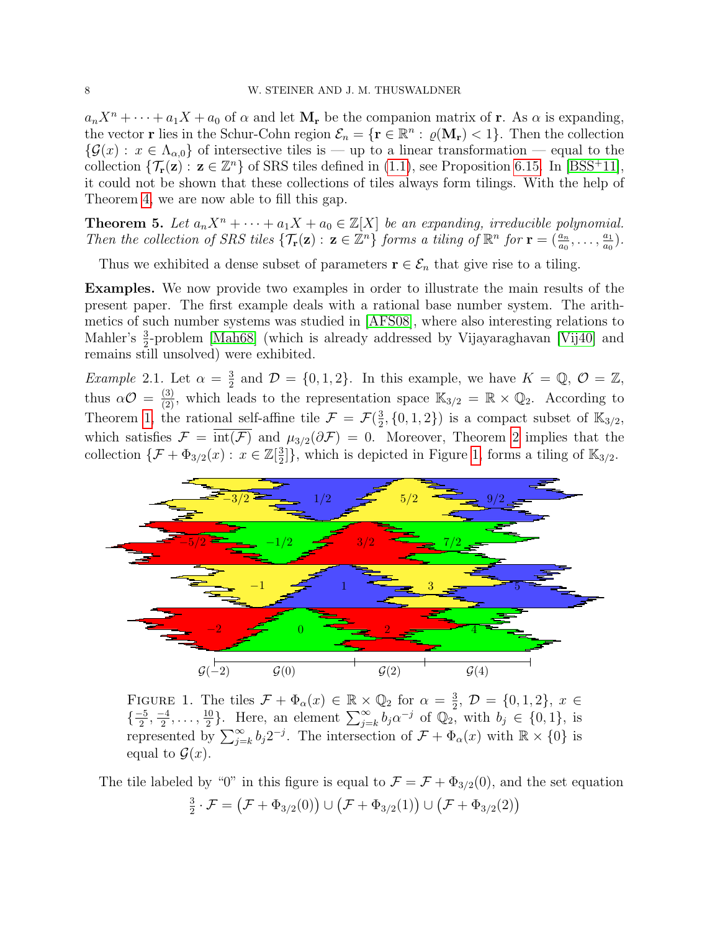$a_nX^n + \cdots + a_1X + a_0$  of  $\alpha$  and let  $M_r$  be the companion matrix of r. As  $\alpha$  is expanding, the vector **r** lies in the Schur-Cohn region  $\mathcal{E}_n = \{ \mathbf{r} \in \mathbb{R}^n : \varrho(\mathbf{M}_r) < 1 \}$ . Then the collection  ${\mathcal{G}}(x): x \in \Lambda_{\alpha,0}$  of intersective tiles is — up to a linear transformation — equal to the collection  $\{\mathcal{T}_{\mathbf{r}}(\mathbf{z}) : \mathbf{z} \in \mathbb{Z}^n\}$  of SRS tiles defined in [\(1.1\)](#page-2-0), see Proposition [6.15.](#page-29-0) In [\[BSS](#page-31-17)<sup>+</sup>11], it could not be shown that these collections of tiles always form tilings. With the help of Theorem [4,](#page-6-1) we are now able to fill this gap.

<span id="page-7-1"></span>**Theorem 5.** Let  $a_nX^n + \cdots + a_1X + a_0 \in \mathbb{Z}[X]$  be an expanding, irreducible polynomial. Then the collection of SRS tiles  $\{\mathcal{T}_{\mathbf{r}}(\mathbf{z}) : \mathbf{z} \in \mathbb{Z}^n\}$  forms a tiling of  $\mathbb{R}^n$  for  $\mathbf{r} = (\frac{a_n}{a_0}, \dots, \frac{a_1}{a_0})$  $\frac{a_1}{a_0}$ .

Thus we exhibited a dense subset of parameters  $\mathbf{r} \in \mathcal{E}_n$  that give rise to a tiling.

Examples. We now provide two examples in order to illustrate the main results of the present paper. The first example deals with a rational base number system. The arithmetics of such number systems was studied in [\[AFS08\]](#page-30-4), where also interesting relations to Mahler's  $\frac{3}{2}$ -problem [\[Mah68\]](#page-32-11) (which is already addressed by Vijayaraghavan [\[Vij40\]](#page-32-12) and remains still unsolved) were exhibited.

<span id="page-7-0"></span>*Example* 2.1. Let  $\alpha = \frac{3}{2}$  $\frac{3}{2}$  and  $\mathcal{D} = \{0, 1, 2\}$ . In this example, we have  $K = \mathbb{Q}, \mathcal{O} = \mathbb{Z}$ , thus  $\alpha \mathcal{O} = \frac{3}{2}$ , which leads to the representation space  $\mathbb{K}_{3/2} = \mathbb{R} \times \mathbb{Q}_2$ . According to Theorem [1,](#page-5-0) the rational self-affine tile  $\mathcal{F} = \mathcal{F}(\frac{3}{2})$  $\frac{3}{2}$ ,  $\{0, 1, 2\}$  is a compact subset of  $\mathbb{K}_{3/2}$ , which satisfies  $\mathcal{F} = \overline{\text{int}(\mathcal{F})}$  and  $\mu_{3/2}(\partial \mathcal{F}) = 0$ . Moreover, Theorem [2](#page-5-1) implies that the collection  $\{\mathcal{F} + \Phi_{3/2}(x) : x \in \mathbb{Z}[\frac{3}{2}]$  $\frac{3}{2}$ }, which is depicted in Figure [1,](#page-7-2) forms a tiling of  $\mathbb{K}_{3/2}$ .



<span id="page-7-2"></span>FIGURE 1. The tiles  $\mathcal{F} + \Phi_{\alpha}(x) \in \mathbb{R} \times \mathbb{Q}_2$  for  $\alpha = \frac{3}{2}$  $\frac{3}{2}, \mathcal{D} = \{0, 1, 2\}, \ x \in$  $\left\{\frac{-5}{2}\right.$  $\frac{-5}{2}, \frac{-4}{2}$  $\frac{-4}{2}, \ldots, \frac{10}{2}$  $\frac{10}{2}$ . Here, an element  $\sum_{j=k}^{\infty} b_j \alpha^{-j}$  of  $\mathbb{Q}_2$ , with  $b_j \in \{0,1\}$ , is represented by  $\sum_{j=k}^{\infty} b_j 2^{-j}$ . The intersection of  $\mathcal{F} + \Phi_\alpha(x)$  with  $\mathbb{R} \times \{0\}$  is equal to  $\mathcal{G}(x)$ .

The tile labeled by "0" in this figure is equal to  $\mathcal{F} = \mathcal{F} + \Phi_{3/2}(0)$ , and the set equation 3  $\frac{3}{2} \cdot \mathcal{F} = (\mathcal{F} + \Phi_{3/2}(0)) \cup (\mathcal{F} + \Phi_{3/2}(1)) \cup (\mathcal{F} + \Phi_{3/2}(2))$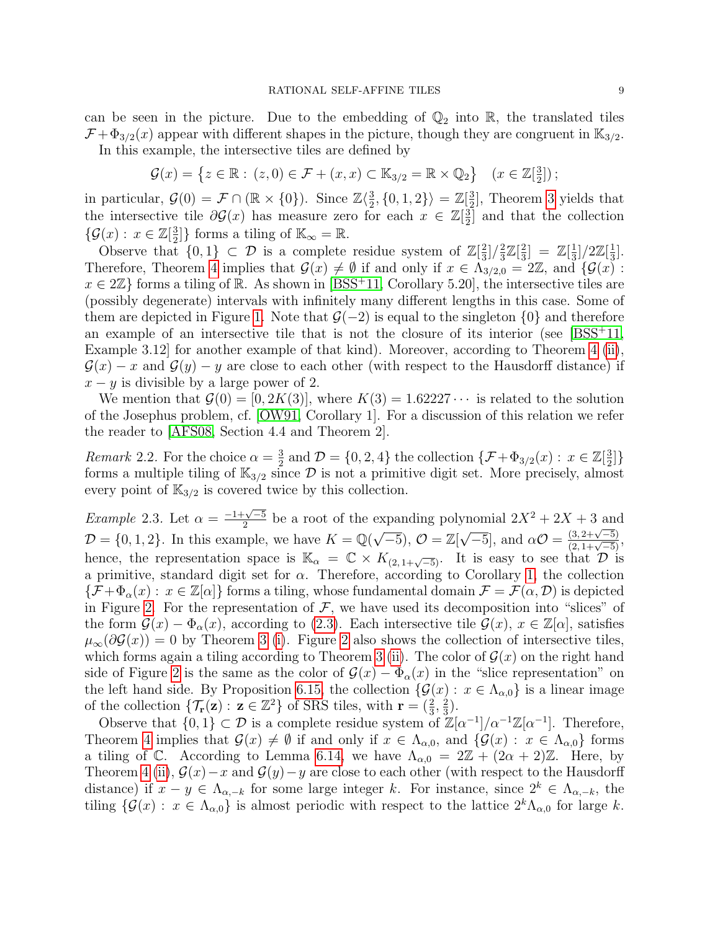can be seen in the picture. Due to the embedding of  $\mathbb{Q}_2$  into  $\mathbb{R}$ , the translated tiles  $\mathcal{F} + \Phi_{3/2}(x)$  appear with different shapes in the picture, though they are congruent in  $\mathbb{K}_{3/2}$ .

In this example, the intersective tiles are defined by

$$
\mathcal{G}(x) = \left\{ z \in \mathbb{R} : (z,0) \in \mathcal{F} + (x,x) \subset \mathbb{K}_{3/2} = \mathbb{R} \times \mathbb{Q}_2 \right\} \quad (x \in \mathbb{Z}[\frac{3}{2}])
$$

in particular,  $\mathcal{G}(0) = \mathcal{F} \cap (\mathbb{R} \times \{0\})$ . Since  $\mathbb{Z}\langle \frac{3}{2} \rangle$  $\langle 0, 1, 2 \rangle = \mathbb{Z}[\frac{3}{2}]$  $\frac{3}{2}$ , Theorem [3](#page-6-0) yields that the intersective tile  $\partial \mathcal{G}(x)$  has measure zero for each  $x \in \mathbb{Z}[\frac{3}{2}]$  $\frac{3}{2}$  and that the collection  $\{\mathcal{G}(x): x \in \mathbb{Z}[\frac{3}{2}]$  $\frac{3}{2}$ ]} forms a tiling of  $\mathbb{K}_{\infty} = \mathbb{R}$ .

Observe that  $\{0,1\} \subset \mathcal{D}$  is a complete residue system of  $\mathbb{Z}[\frac{2}{3}]$  $\frac{2}{3}$ ]/ $\frac{2}{3}$  $\frac{2}{3}\mathbb{Z}[\frac{2}{3}]$  $\frac{2}{3}$ ] =  $\mathbb{Z}[\frac{1}{3}]$  $\frac{1}{3}$ ]/2Z[ $\frac{1}{3}$  $\frac{1}{3}$ . Therefore, Theorem [4](#page-6-1) implies that  $\mathcal{G}(x) \neq \emptyset$  if and only if  $x \in \Lambda_{3/2,0} = 2\mathbb{Z}$ , and  $\{\mathcal{G}(x) = 0\}$ .  $x \in 2\mathbb{Z}$  forms a tiling of R. As shown in [\[BSS](#page-31-17)<sup>+</sup>11, Corollary 5.20], the intersective tiles are (possibly degenerate) intervals with infinitely many different lengths in this case. Some of them are depicted in Figure [1.](#page-7-2) Note that  $\mathcal{G}(-2)$  is equal to the singleton  $\{0\}$  and therefore an example of an intersective tile that is not the closure of its interior (see  $|BSS^+11$ , Example 3.12] for another example of that kind). Moreover, according to Theorem [4](#page-6-1) [\(ii\)](#page-6-2),  $\mathcal{G}(x) - x$  and  $\mathcal{G}(y) - y$  are close to each other (with respect to the Hausdorff distance) if  $x - y$  is divisible by a large power of 2.

We mention that  $\mathcal{G}(0) = [0, 2K(3)]$ , where  $K(3) = 1.62227 \cdots$  is related to the solution of the Josephus problem, cf. [\[OW91,](#page-32-13) Corollary 1]. For a discussion of this relation we refer the reader to [\[AFS08,](#page-30-4) Section 4.4 and Theorem 2].

*Remark* 2.2. For the choice  $\alpha = \frac{3}{2}$  $\frac{3}{2}$  and  $\mathcal{D} = \{0, 2, 4\}$  the collection  $\{\mathcal{F} + \Phi_{3/2}(x) : x \in \mathbb{Z}[\frac{3}{2}]\}$  $\frac{3}{2}$ ] forms a multiple tiling of  $\mathbb{K}_{3/2}$  since  $\mathcal D$  is not a primitive digit set. More precisely, almost every point of  $\mathbb{K}_{3/2}$  is covered twice by this collection.

*Example* 2.3. Let  $\alpha = \frac{-1 + \sqrt{-5}}{2}$  $\frac{2\sqrt{-5}}{2}$  be a root of the expanding polynomial  $2X^2 + 2X + 3$  and  $\mathcal{D} = \{0, 1, 2\}$ . In this example, we have  $K = \mathbb{Q}(\sqrt{-5})$ ,  $\mathcal{O} = \mathbb{Z}[\sqrt{-5}]$ , and  $\alpha \mathcal{O} =$  $\frac{(3, 2+\sqrt{-5})}{(2, 1+\sqrt{-5})},$ hence, the representation space is  $\mathbb{K}_{\alpha} = \mathbb{C} \times K_{(2, 1+\sqrt{-5})}$ . It is easy to see that  $\mathcal{D}$  is a primitive, standard digit set for  $\alpha$ . Therefore, according to Corollary [1,](#page-5-2) the collection  ${\{\mathcal{F}+\Phi_\alpha(x): x\in\mathbb{Z}[\alpha]\}}$  forms a tiling, whose fundamental domain  $\mathcal{F}=\mathcal{F}(\alpha,\mathcal{D})$  is depicted in Figure [2.](#page-9-1) For the representation of  $\mathcal F$ , we have used its decomposition into "slices" of the form  $\mathcal{G}(x) - \Phi_{\alpha}(x)$ , according to [\(2.3\)](#page-6-3). Each intersective tile  $\mathcal{G}(x)$ ,  $x \in \mathbb{Z}[\alpha]$ , satisfies  $\mu_{\infty}(\partial \mathcal{G}(x)) = 0$  by Theorem [3](#page-6-0) [\(i\)](#page-6-4). Figure [2](#page-9-1) also shows the collection of intersective tiles, which forms again a tiling according to Theorem [3](#page-6-0) [\(ii\)](#page-6-5). The color of  $\mathcal{G}(x)$  on the right hand side of Figure [2](#page-9-1) is the same as the color of  $\mathcal{G}(x) - \Phi_\alpha(x)$  in the "slice representation" on the left hand side. By Proposition [6.15,](#page-29-0) the collection  $\{\mathcal{G}(x): x \in \Lambda_{\alpha,0}\}\$ is a linear image of the collection  $\{\mathcal{T}_{\mathbf{r}}(\mathbf{z}) : \mathbf{z} \in \mathbb{Z}^2\}$  of SRS tiles, with  $\mathbf{r} = (\frac{2}{3}, \frac{2}{3})$  $\frac{2}{3}$ .

Observe that  $\{0,1\} \subset \mathcal{D}$  is a complete residue system of  $\mathbb{Z}[\alpha^{-1}]/\alpha^{-1}\mathbb{Z}[\alpha^{-1}]$ . Therefore, Theorem [4](#page-6-1) implies that  $\mathcal{G}(x) \neq \emptyset$  if and only if  $x \in \Lambda_{\alpha,0}$ , and  $\{\mathcal{G}(x) : x \in \Lambda_{\alpha,0}\}\)$  forms a tiling of C. According to Lemma [6.14,](#page-29-1) we have  $\Lambda_{\alpha,0} = 2\mathbb{Z} + (2\alpha + 2)\mathbb{Z}$ . Here, by Theorem [4](#page-6-1) [\(ii\)](#page-6-2),  $\mathcal{G}(x) - x$  and  $\mathcal{G}(y) - y$  are close to each other (with respect to the Hausdorff distance) if  $x - y \in \Lambda_{\alpha,-k}$  for some large integer k. For instance, since  $2^k \in \Lambda_{\alpha,-k}$ , the tiling  $\{\mathcal{G}(x): x \in \Lambda_{\alpha,0}\}\$ is almost periodic with respect to the lattice  $2^k\Lambda_{\alpha,0}$  for large k.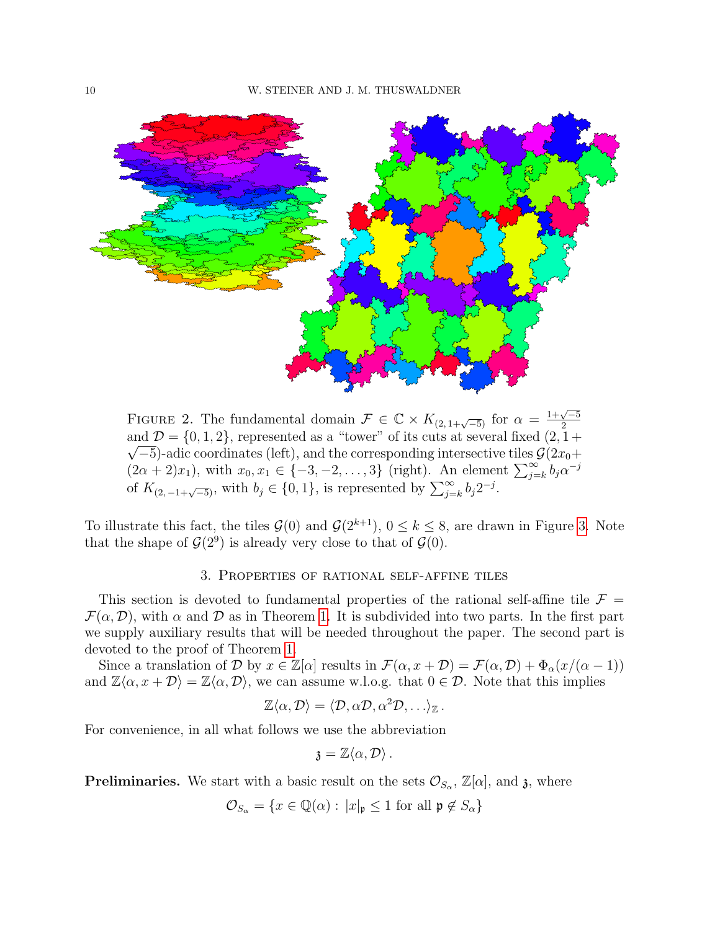

<span id="page-9-1"></span>FIGURE 2. The fundamental domain  $\mathcal{F} \in \mathbb{C} \times K_{(2,1+\sqrt{-5})}$  for  $\alpha = \frac{1+\sqrt{-5}}{2}$ 2 and  $\mathcal{D} = \{0, 1, 2\}$ , represented as a "tower" of its cuts at several fixed  $(2, 1 + \sqrt{2})$  $\sqrt{-5}$ )-adic coordinates (left), and the corresponding intersective tiles  $\mathcal{G}(2x_0+\sqrt{-5})$  $(2\alpha + 2)x_1$ , with  $x_0, x_1 \in \{-3, -2, \ldots, 3\}$  (right). An element  $\sum_{j=k}^{\infty} b_j \alpha^{-j}$ of  $K_{(2,-1+\sqrt{-5})}$ , with  $b_j \in \{0,1\}$ , is represented by  $\sum_{j=k}^{\infty} b_j 2^{-j}$ .

To illustrate this fact, the tiles  $\mathcal{G}(0)$  and  $\mathcal{G}(2^{k+1})$ ,  $0 \leq k \leq 8$ , are drawn in Figure [3.](#page-10-0) Note that the shape of  $\mathcal{G}(2^9)$  is already very close to that of  $\mathcal{G}(0)$ .

### 3. Properties of rational self-affine tiles

<span id="page-9-0"></span>This section is devoted to fundamental properties of the rational self-affine tile  $\mathcal{F} =$  $\mathcal{F}(\alpha, \mathcal{D})$ , with  $\alpha$  and  $\mathcal D$  as in Theorem [1.](#page-5-0) It is subdivided into two parts. In the first part we supply auxiliary results that will be needed throughout the paper. The second part is devoted to the proof of Theorem [1.](#page-5-0)

Since a translation of D by  $x \in \mathbb{Z}[\alpha]$  results in  $\mathcal{F}(\alpha, x + \mathcal{D}) = \mathcal{F}(\alpha, \mathcal{D}) + \Phi_{\alpha}(x/(\alpha - 1))$ and  $\mathbb{Z}\langle \alpha, x + \mathcal{D} \rangle = \mathbb{Z}\langle \alpha, \mathcal{D} \rangle$ , we can assume w.l.o.g. that  $0 \in \mathcal{D}$ . Note that this implies

$$
\mathbb{Z}\langle \alpha, \mathcal{D}\rangle = \langle \mathcal{D}, \alpha \mathcal{D}, \alpha^2 \mathcal{D}, \ldots \rangle_{\mathbb{Z}}\,.
$$

For convenience, in all what follows we use the abbreviation

$$
\mathfrak{z}=\mathbb{Z}\langle\alpha,\mathcal{D}\rangle\,.
$$

**Preliminaries.** We start with a basic result on the sets  $\mathcal{O}_{S_\alpha}$ ,  $\mathbb{Z}[\alpha]$ , and  $\mathfrak{z}$ , where

 $\mathcal{O}_{S_{\alpha}} = \{x \in \mathbb{Q}(\alpha) : |x|_{\mathfrak{p}} \leq 1 \text{ for all } \mathfrak{p} \notin S_{\alpha}\}\$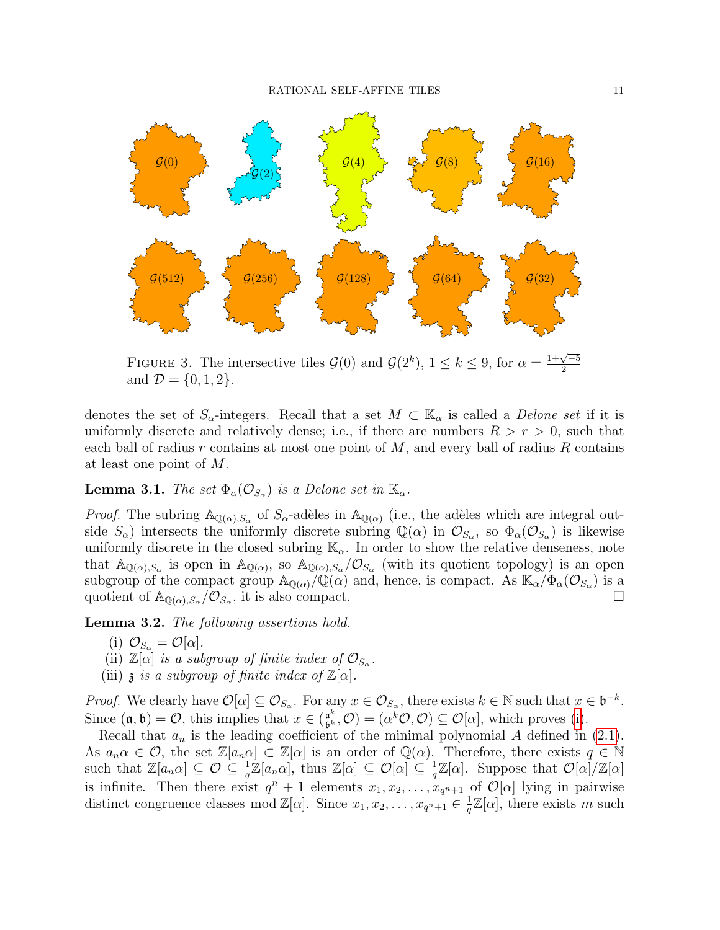

<span id="page-10-0"></span>FIGURE 3. The intersective tiles  $\mathcal{G}(0)$  and  $\mathcal{G}(2^k)$ ,  $1 \leq k \leq 9$ , for  $\alpha =$  $1+\sqrt{-5}$ 2 and  $\mathcal{D} = \{0, 1, 2\}.$ 

denotes the set of  $S_{\alpha}$ -integers. Recall that a set  $M \subset \mathbb{K}_{\alpha}$  is called a *Delone set* if it is uniformly discrete and relatively dense; i.e., if there are numbers  $R > r > 0$ , such that each ball of radius  $r$  contains at most one point of  $M$ , and every ball of radius  $R$  contains at least one point of M.

<span id="page-10-4"></span>**Lemma 3.1.** The set  $\Phi_{\alpha}(\mathcal{O}_{S_{\alpha}})$  is a Delone set in  $\mathbb{K}_{\alpha}$ .

*Proof.* The subring  $\mathbb{A}_{\mathbb{Q}(\alpha),S_\alpha}$  of  $S_\alpha$ -adèles in  $\mathbb{A}_{\mathbb{Q}(\alpha)}$  (i.e., the adèles which are integral outside  $S_{\alpha}$ ) intersects the uniformly discrete subring  $\mathbb{Q}(\alpha)$  in  $\mathcal{O}_{S_{\alpha}}$ , so  $\Phi_{\alpha}(\mathcal{O}_{S_{\alpha}})$  is likewise uniformly discrete in the closed subring  $\mathbb{K}_{\alpha}$ . In order to show the relative denseness, note that  $\mathbb{A}_{\mathbb{Q}(\alpha),S_{\alpha}}$  is open in  $\mathbb{A}_{\mathbb{Q}(\alpha),S_{\alpha}}/\mathcal{O}_{S_{\alpha}}$  (with its quotient topology) is an open subgroup of the compact group  $\mathbb{A}_{\mathbb{Q}(\alpha)}\big/\mathbb{Q}(\alpha)$  and, hence, is compact. As  $\mathbb{K}_{\alpha}/\Phi_{\alpha}(\mathcal{O}_{S_{\alpha}})$  is a quotient of  $\mathbb{A}_{\mathbb{Q}(\alpha),S_\alpha}/\mathcal{O}_{S_\alpha}$ , it is also compact.

<span id="page-10-5"></span><span id="page-10-1"></span>Lemma 3.2. The following assertions hold.

- (i)  $\mathcal{O}_{S_{\alpha}} = \mathcal{O}[\alpha].$
- <span id="page-10-2"></span>(ii)  $\mathbb{Z}[\alpha]$  is a subgroup of finite index of  $\mathcal{O}_{S_{\alpha}}$ .
- <span id="page-10-3"></span>(iii)  $\mathfrak z$  is a subgroup of finite index of  $\mathbb Z[\alpha]$ .

*Proof.* We clearly have  $\mathcal{O}[\alpha] \subseteq \mathcal{O}_{S_{\alpha}}$ . For any  $x \in \mathcal{O}_{S_{\alpha}}$ , there exists  $k \in \mathbb{N}$  such that  $x \in \mathfrak{b}^{-k}$ . Since  $(\mathfrak{a}, \mathfrak{b}) = \mathcal{O}$ , this implies that  $x \in (\frac{\mathfrak{a}^k}{\mathfrak{b}^k})$  $\underline{\mathfrak{a}^k}$ ,  $\mathcal{O}$  =  $(\alpha^k \mathcal{O}, \mathcal{O}) \subseteq \mathcal{O}[\alpha]$ , which proves [\(i\)](#page-10-1).

Recall that  $a_n$  is the leading coefficient of the minimal polynomial A defined in [\(2.1\)](#page-3-1). As  $a_n \alpha \in \mathcal{O}$ , the set  $\mathbb{Z}[a_n \alpha] \subset \mathbb{Z}[\alpha]$  is an order of  $\mathbb{Q}(\alpha)$ . Therefore, there exists  $q \in \mathbb{N}$ such that  $\mathbb{Z}[a_n \alpha] \subseteq \mathcal{O} \subseteq \frac{1}{q}\mathbb{Z}[a_n \alpha]$ , thus  $\mathbb{Z}[\alpha] \subseteq \mathcal{O}[\alpha] \subseteq \frac{1}{q}$  $\frac{1}{q}\mathbb{Z}[\alpha]$ . Suppose that  $\mathcal{O}[\alpha]/\mathbb{Z}[\alpha]$ is infinite. Then there exist  $q^n + 1$  elements  $x_1, x_2, \ldots, x_{q^n+1}$  of  $\mathcal{O}[\alpha]$  lying in pairwise distinct congruence classes mod  $\mathbb{Z}[\alpha]$ . Since  $x_1, x_2, \ldots, x_{q^{n+1}} \in \frac{1}{q}$  $\frac{1}{q}\mathbb{Z}[\alpha]$ , there exists m such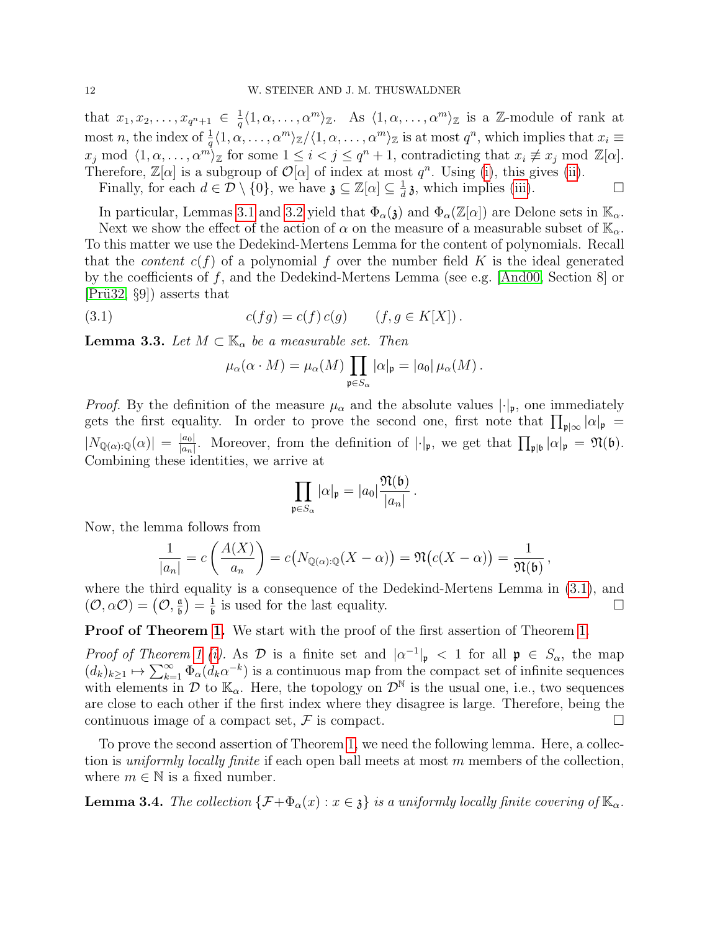that  $x_1, x_2, \ldots, x_{q^n+1} \in \frac{1}{q}$  $\frac{1}{q}\langle 1, \alpha, \ldots, \alpha^m \rangle_{\mathbb{Z}}$ . As  $\langle 1, \alpha, \ldots, \alpha^m \rangle_{\mathbb{Z}}$  is a Z-module of rank at most n, the index of  $\frac{1}{q}\langle 1, \alpha, \ldots, \alpha^m \rangle_{\mathbb{Z}}/\langle 1, \alpha, \ldots, \alpha^m \rangle_{\mathbb{Z}}$  is at most  $q^n$ , which implies that  $x_i \equiv$  $x_j \mod \langle 1, \alpha, \ldots, \alpha^m \rangle_{\mathbb{Z}}$  for some  $1 \leq i < j \leq q^n + 1$ , contradicting that  $x_i \not\equiv x_j \mod \mathbb{Z}[\alpha]$ . Therefore,  $\mathbb{Z}[\alpha]$  is a subgroup of  $\mathcal{O}[\alpha]$  of index at most  $q^n$ . Using [\(i\)](#page-10-1), this gives [\(ii\)](#page-10-2). Finally, for each  $d \in \mathcal{D} \setminus \{0\}$ , we have  $\mathfrak{z} \subseteq \mathbb{Z}[\alpha] \subseteq \frac{1}{d}$  $\frac{1}{d}$  **a**, which implies [\(iii\)](#page-10-3).

In particular, Lemmas [3.1](#page-10-4) and [3.2](#page-10-5) yield that  $\Phi_{\alpha}(\mathfrak{z})$  and  $\Phi_{\alpha}(\mathbb{Z}[\alpha])$  are Delone sets in  $\mathbb{K}_{\alpha}$ . Next we show the effect of the action of  $\alpha$  on the measure of a measurable subset of  $\mathbb{K}_{\alpha}$ . To this matter we use the Dedekind-Mertens Lemma for the content of polynomials. Recall that the *content*  $c(f)$  of a polynomial f over the number field K is the ideal generated by the coefficients of f, and the Dedekind-Mertens Lemma (see e.g. [\[And00,](#page-30-5) Section 8] or  $|Pri32, §9|$  asserts that

(3.1) 
$$
c(fg) = c(f) c(g) \qquad (f, g \in K[X]).
$$

<span id="page-11-2"></span>**Lemma 3.3.** Let  $M \subset \mathbb{K}_{\alpha}$  be a measurable set. Then

<span id="page-11-0"></span>
$$
\mu_{\alpha}(\alpha \cdot M) = \mu_{\alpha}(M) \prod_{\mathfrak{p} \in S_{\alpha}} |\alpha|_{\mathfrak{p}} = |a_0| \mu_{\alpha}(M).
$$

*Proof.* By the definition of the measure  $\mu_{\alpha}$  and the absolute values  $|\cdot|_{p}$ , one immediately gets the first equality. In order to prove the second one, first note that  $\prod_{\mathfrak{p}|\infty}|\alpha|_{\mathfrak{p}} =$  $|N_{{\mathbb{Q}}(\alpha):\mathbb{Q}}(\alpha)| = \frac{|a_0|}{|a_n|}$  $\frac{|a_0|}{|a_n|}$ . Moreover, from the definition of  $|\cdot|_{\mathfrak{p}}$ , we get that  $\prod_{\mathfrak{p}|\mathfrak{b}}|\alpha|_{\mathfrak{p}} = \mathfrak{N}(\mathfrak{b})$ . Combining these identities, we arrive at

$$
\prod_{\mathfrak{p}\in S_{\alpha}}|\alpha|_{\mathfrak{p}}=|a_0|\frac{\mathfrak{N}(\mathfrak{b})}{|a_n|}.
$$

Now, the lemma follows from

$$
\frac{1}{|a_n|} = c\left(\frac{A(X)}{a_n}\right) = c\big(N_{\mathbb{Q}(\alpha):\mathbb{Q}}(X-\alpha)\big) = \mathfrak{N}\big(c(X-\alpha)\big) = \frac{1}{\mathfrak{N}(\mathfrak{b})},
$$

where the third equality is a consequence of the Dedekind-Mertens Lemma in [\(3.1\)](#page-11-0), and  $(\mathcal{O}, \alpha \mathcal{O}) = \left(\mathcal{O}, \frac{\mathfrak{a}}{\mathfrak{b}}\right)$  $\frac{\mathfrak{a}}{\mathfrak{b}})=\frac{1}{\mathfrak{b}}$  $\frac{1}{6}$  is used for the last equality.

**Proof of Theorem [1.](#page-5-0)** We start with the proof of the first assertion of Theorem 1.

Proof of Theorem [1](#page-5-0) [\(i\)](#page-5-3). As  $\mathcal{D}$  is a finite set and  $|\alpha^{-1}|_{\mathfrak{p}} < 1$  for all  $\mathfrak{p} \in S_{\alpha}$ , the map  $(d_k)_{k\geq 1} \mapsto \sum_{k=1}^{\infty} \Phi_{\alpha}(d_k \alpha^{-k})$  is a continuous map from the compact set of infinite sequences with elements in  $\mathcal{D}$  to  $\mathbb{K}_{\alpha}$ . Here, the topology on  $\mathcal{D}^{\mathbb{N}}$  is the usual one, i.e., two sequences are close to each other if the first index where they disagree is large. Therefore, being the continuous image of a compact set,  $\mathcal F$  is compact.

To prove the second assertion of Theorem [1,](#page-5-0) we need the following lemma. Here, a collection is *uniformly locally finite* if each open ball meets at most  $m$  members of the collection, where  $m \in \mathbb{N}$  is a fixed number.

<span id="page-11-1"></span>**Lemma 3.4.** The collection  $\{\mathcal{F}+\Phi_{\alpha}(x):x\in\mathfrak{z}\}\)$  is a uniformly locally finite covering of  $\mathbb{K}_{\alpha}$ .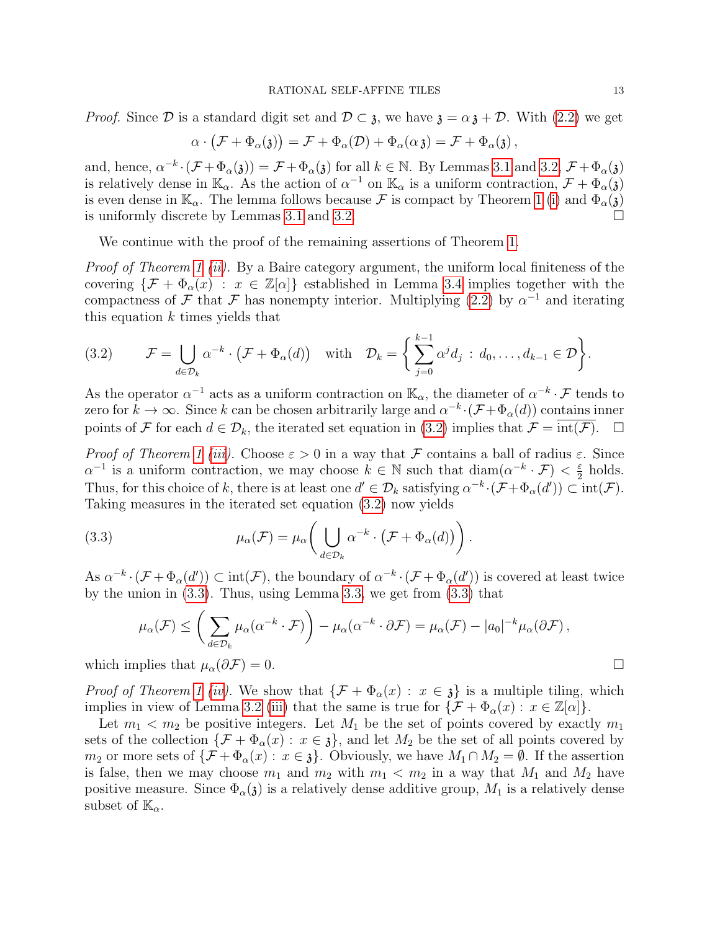*Proof.* Since  $\mathcal D$  is a standard digit set and  $\mathcal D \subset \mathfrak z$ , we have  $\mathfrak z = \alpha \mathfrak z + \mathcal D$ . With [\(2.2\)](#page-4-0) we get

$$
\alpha \cdot (\mathcal{F} + \Phi_{\alpha}(\mathfrak{z})) = \mathcal{F} + \Phi_{\alpha}(\mathcal{D}) + \Phi_{\alpha}(\alpha \mathfrak{z}) = \mathcal{F} + \Phi_{\alpha}(\mathfrak{z}),
$$

and, hence,  $\alpha^{-k} \cdot (\mathcal{F} + \Phi_{\alpha}(3)) = \mathcal{F} + \Phi_{\alpha}(3)$  for all  $k \in \mathbb{N}$ . By Lemmas [3.1](#page-10-4) and [3.2,](#page-10-5)  $\mathcal{F} + \Phi_{\alpha}(3)$ is relatively dense in  $\mathbb{K}_{\alpha}$ . As the action of  $\alpha^{-1}$  on  $\mathbb{K}_{\alpha}$  is a uniform contraction,  $\mathcal{F} + \Phi_{\alpha}(\mathfrak{z})$ is even dense in  $\mathbb{K}_{\alpha}$ . The lemma follows because  $\mathcal F$  is compact by Theorem [1](#page-5-0) [\(i\)](#page-5-3) and  $\Phi_{\alpha}(\mathfrak{z})$  is uniformly discrete by Lemmas 3.1 and 3.2. is uniformly discrete by Lemmas [3.1](#page-10-4) and [3.2.](#page-10-5)

We continue with the proof of the remaining assertions of Theorem [1.](#page-5-0)

Proof of Theorem [1](#page-5-0) [\(ii\)](#page-5-4). By a Baire category argument, the uniform local finiteness of the covering  $\{\mathcal{F} + \Phi_{\alpha}(x) : x \in \mathbb{Z}[\alpha]\}\$ established in Lemma [3.4](#page-11-1) implies together with the compactness of F that F has nonempty interior. Multiplying [\(2.2\)](#page-4-0) by  $\alpha^{-1}$  and iterating this equation  $k$  times yields that

<span id="page-12-0"></span>(3.2) 
$$
\mathcal{F} = \bigcup_{d \in \mathcal{D}_k} \alpha^{-k} \cdot (\mathcal{F} + \Phi_\alpha(d)) \quad \text{with} \quad \mathcal{D}_k = \bigg\{ \sum_{j=0}^{k-1} \alpha^j d_j \, : \, d_0, \ldots, d_{k-1} \in \mathcal{D} \bigg\}.
$$

As the operator  $\alpha^{-1}$  acts as a uniform contraction on  $\mathbb{K}_{\alpha}$ , the diameter of  $\alpha^{-k} \cdot \mathcal{F}$  tends to zero for  $k \to \infty$ . Since k can be chosen arbitrarily large and  $\alpha^{-k} \cdot (\mathcal{F} + \Phi_\alpha(d))$  contains inner points of F for each  $d \in \mathcal{D}_k$ , the iterated set equation in [\(3.2\)](#page-12-0) implies that  $\mathcal{F} = \overline{\text{int}(\mathcal{F})}$ .

Proof of Theorem [1](#page-5-0) [\(iii\)](#page-5-5). Choose  $\varepsilon > 0$  in a way that F contains a ball of radius  $\varepsilon$ . Since  $\alpha^{-1}$  is a uniform contraction, we may choose  $k \in \mathbb{N}$  such that  $\text{diam}(\alpha^{-k} \cdot \mathcal{F}) < \frac{\varepsilon}{2}$  $rac{\varepsilon}{2}$  holds. Thus, for this choice of k, there is at least one  $d' \in \mathcal{D}_k$  satisfying  $\alpha^{-k} \cdot (\mathcal{F} + \Phi_\alpha(d')) \subset \text{int}(\mathcal{F})$ . Taking measures in the iterated set equation [\(3.2\)](#page-12-0) now yields

(3.3) 
$$
\mu_{\alpha}(\mathcal{F}) = \mu_{\alpha} \bigg( \bigcup_{d \in \mathcal{D}_k} \alpha^{-k} \cdot (\mathcal{F} + \Phi_{\alpha}(d)) \bigg).
$$

As  $\alpha^{-k} \cdot (\mathcal{F} + \Phi_\alpha(d')) \subset \text{int}(\mathcal{F})$ , the boundary of  $\alpha^{-k} \cdot (\mathcal{F} + \Phi_\alpha(d'))$  is covered at least twice by the union in [\(3.3\)](#page-12-1). Thus, using Lemma [3.3,](#page-11-2) we get from [\(3.3\)](#page-12-1) that

<span id="page-12-1"></span>
$$
\mu_{\alpha}(\mathcal{F}) \leq \left(\sum_{d \in \mathcal{D}_k} \mu_{\alpha}(\alpha^{-k} \cdot \mathcal{F})\right) - \mu_{\alpha}(\alpha^{-k} \cdot \partial \mathcal{F}) = \mu_{\alpha}(\mathcal{F}) - |a_0|^{-k} \mu_{\alpha}(\partial \mathcal{F}),
$$

which implies that  $\mu_{\alpha}(\partial \mathcal{F}) = 0$ .

*Proof of Theorem [1](#page-5-0) [\(iv\)](#page-5-6).* We show that  $\{\mathcal{F} + \Phi_{\alpha}(x) : x \in \mathfrak{z}\}\)$  is a multiple tiling, which implies in view of Lemma [3.2](#page-10-5) [\(iii\)](#page-10-3) that the same is true for  $\{\mathcal{F} + \Phi_\alpha(x) : x \in \mathbb{Z}[\alpha]\}.$ 

Let  $m_1 < m_2$  be positive integers. Let  $M_1$  be the set of points covered by exactly  $m_1$ sets of the collection  $\{\mathcal{F} + \Phi_\alpha(x) : x \in \mathfrak{z}\}\)$ , and let  $M_2$  be the set of all points covered by  $m_2$  or more sets of  $\{\mathcal{F} + \Phi_\alpha(x) : x \in \mathfrak{z}\}\)$ . Obviously, we have  $M_1 \cap M_2 = \emptyset$ . If the assertion is false, then we may choose  $m_1$  and  $m_2$  with  $m_1 < m_2$  in a way that  $M_1$  and  $M_2$  have positive measure. Since  $\Phi_{\alpha}(3)$  is a relatively dense additive group,  $M_1$  is a relatively dense subset of  $\mathbb{K}_{\alpha}$ .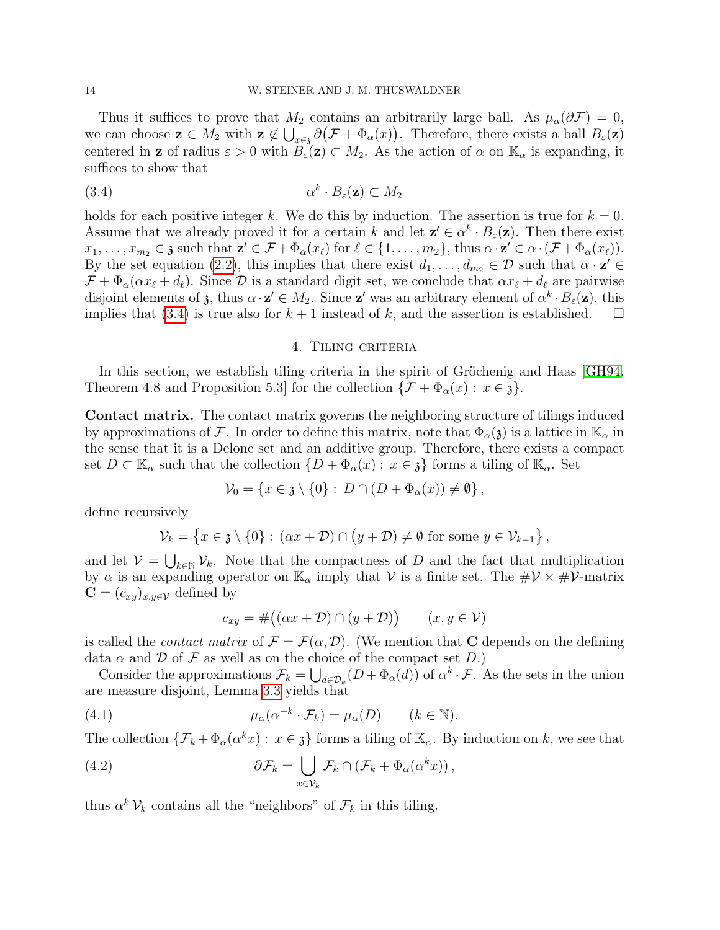Thus it suffices to prove that  $M_2$  contains an arbitrarily large ball. As  $\mu_\alpha(\partial \mathcal{F}) = 0$ , we can choose  $\mathbf{z} \in M_2$  with  $\mathbf{z} \notin \bigcup_{x \in \mathcal{S}} \partial (\mathcal{F} + \Phi_\alpha(x))$ . Therefore, there exists a ball  $B_\varepsilon(\mathbf{z})$ centered in **z** of radius  $\varepsilon > 0$  with  $B_{\varepsilon}(\mathbf{z}) \subset M_2$ . As the action of  $\alpha$  on  $\mathbb{K}_{\alpha}$  is expanding, it suffices to show that

(3.4) α k · Bε(z) ⊂ M<sup>2</sup>

holds for each positive integer k. We do this by induction. The assertion is true for  $k = 0$ . Assume that we already proved it for a certain k and let  $\mathbf{z}' \in \alpha^k \cdot B_{\varepsilon}(\mathbf{z})$ . Then there exist  $x_1, \ldots, x_{m_2} \in \mathfrak{z}$  such that  $\mathbf{z}' \in \mathcal{F} + \Phi_\alpha(x_\ell)$  for  $\ell \in \{1, \ldots, m_2\}$ , thus  $\alpha \cdot \mathbf{z}' \in \alpha \cdot (\mathcal{F} + \Phi_\alpha(x_\ell))$ . By the set equation [\(2.2\)](#page-4-0), this implies that there exist  $d_1, \ldots, d_{m_2} \in \mathcal{D}$  such that  $\alpha \cdot \mathbf{z}' \in$  $\mathcal{F} + \Phi_\alpha(\alpha x_\ell + d_\ell)$ . Since  $\mathcal{D}$  is a standard digit set, we conclude that  $\alpha x_\ell + d_\ell$  are pairwise disjoint elements of  $\mathfrak{z}$ , thus  $\alpha \cdot \mathfrak{z}' \in M_2$ . Since  $\mathfrak{z}'$  was an arbitrary element of  $\alpha^k \cdot B_{\varepsilon}(\mathfrak{z})$ , this implies that [\(3.4\)](#page-13-1) is true also for  $k + 1$  instead of k, and the assertion is established.  $\square$ 

### <span id="page-13-1"></span>4. Tiling criteria

<span id="page-13-0"></span>In this section, we establish tiling criteria in the spirit of Gröchenig and Haas [\[GH94,](#page-31-2) Theorem 4.8 and Proposition 5.3] for the collection  $\{\mathcal{F} + \Phi_\alpha(x) : x \in \mathfrak{z}\}.$ 

Contact matrix. The contact matrix governs the neighboring structure of tilings induced by approximations of F. In order to define this matrix, note that  $\Phi_{\alpha}(\mathfrak{z})$  is a lattice in  $\mathbb{K}_{\alpha}$  in the sense that it is a Delone set and an additive group. Therefore, there exists a compact set  $D \subset \mathbb{K}_{\alpha}$  such that the collection  $\{D + \Phi_{\alpha}(x) : x \in \mathfrak{z}\}\)$  forms a tiling of  $\mathbb{K}_{\alpha}$ . Set

$$
\mathcal{V}_0 = \{x \in \mathfrak{z} \setminus \{0\} : D \cap (D + \Phi_\alpha(x)) \neq \emptyset\},\
$$

define recursively

$$
\mathcal{V}_k = \left\{ x \in \mathfrak{z} \setminus \{0\} : (\alpha x + \mathcal{D}) \cap (y + \mathcal{D}) \neq \emptyset \text{ for some } y \in \mathcal{V}_{k-1} \right\},\
$$

and let  $V = \bigcup_{k \in \mathbb{N}} \mathcal{V}_k$ . Note that the compactness of D and the fact that multiplication by  $\alpha$  is an expanding operator on  $\mathbb{K}_{\alpha}$  imply that V is a finite set. The  $\#\mathcal{V} \times \#\mathcal{V}$ -matrix  $\mathbf{C} = (c_{xy})_{x,y \in \mathcal{V}}$  defined by

<span id="page-13-3"></span><span id="page-13-2"></span>
$$
c_{xy} = #((\alpha x + \mathcal{D}) \cap (y + \mathcal{D})) \qquad (x, y \in \mathcal{V})
$$

is called the *contact matrix* of  $\mathcal{F} = \mathcal{F}(\alpha, \mathcal{D})$ . (We mention that C depends on the defining data  $\alpha$  and  $\mathcal D$  of  $\mathcal F$  as well as on the choice of the compact set  $D$ .)

Consider the approximations  $\mathcal{F}_k = \bigcup_{d \in \mathcal{D}_k} (D + \Phi_\alpha(d))$  of  $\alpha^k \cdot \mathcal{F}$ . As the sets in the union are measure disjoint, Lemma [3.3](#page-11-2) yields that

(4.1) 
$$
\mu_{\alpha}(\alpha^{-k} \cdot \mathcal{F}_k) = \mu_{\alpha}(D) \qquad (k \in \mathbb{N}).
$$

The collection  $\{\mathcal{F}_k + \Phi_\alpha(\alpha^k x) : x \in \mathfrak{z}\}\)$  forms a tiling of  $\mathbb{K}_\alpha$ . By induction on k, we see that

(4.2) 
$$
\partial \mathcal{F}_k = \bigcup_{x \in \mathcal{V}_k} \mathcal{F}_k \cap (\mathcal{F}_k + \Phi_\alpha(\alpha^k x)),
$$

thus  $\alpha^k \mathcal{V}_k$  contains all the "neighbors" of  $\mathcal{F}_k$  in this tiling.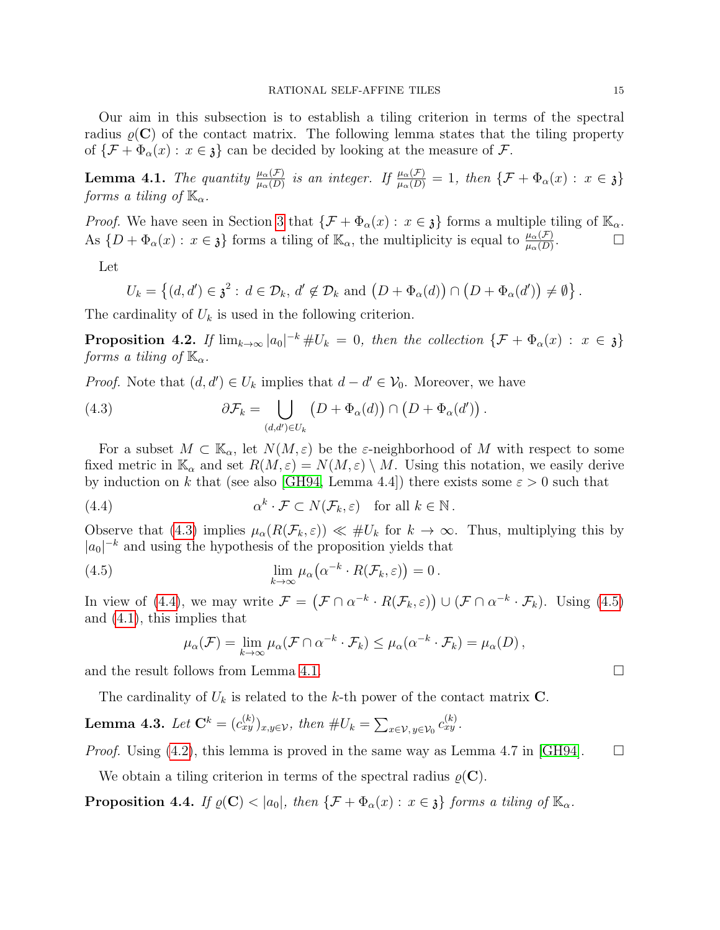Our aim in this subsection is to establish a tiling criterion in terms of the spectral radius  $\varrho(C)$  of the contact matrix. The following lemma states that the tiling property of  $\{\mathcal{F} + \Phi_{\alpha}(x) : x \in \mathfrak{z}\}\)$  can be decided by looking at the measure of  $\mathcal{F}$ .

<span id="page-14-3"></span>**Lemma 4.1.** The quantity  $\frac{\mu_{\alpha}(\mathcal{F})}{\mu_{\alpha}(D)}$  is an integer. If  $\frac{\mu_{\alpha}(\mathcal{F})}{\mu_{\alpha}(D)} = 1$ , then  $\{\mathcal{F} + \Phi_{\alpha}(x) : x \in \mathfrak{z}\}\$ forms a tiling of  $\mathbb{K}_{\alpha}$ .

*Proof.* We have seen in Section [3](#page-9-0) that  $\{\mathcal{F} + \Phi_\alpha(x) : x \in \mathfrak{z}\}\)$  forms a multiple tiling of  $\mathbb{K}_\alpha$ . As  $\{D + \Phi_{\alpha}(x) : x \in \mathfrak{z}\}\)$  forms a tiling of  $\mathbb{K}_{\alpha}$ , the multiplicity is equal to  $\frac{\mu_{\alpha}(\mathcal{F})}{\mu_{\alpha}(D)}$ .

Let

$$
U_k = \left\{ (d, d') \in \mathfrak{z}^2 : d \in \mathcal{D}_k, d' \notin \mathcal{D}_k \text{ and } \left( D + \Phi_\alpha(d) \right) \cap \left( D + \Phi_\alpha(d') \right) \neq \emptyset \right\}
$$

The cardinality of  $U_k$  is used in the following criterion.

<span id="page-14-5"></span>**Proposition 4.2.** If  $\lim_{k\to\infty} |a_0|^{-k} \# U_k = 0$ , then the collection  $\{\mathcal{F} + \Phi_\alpha(x) : x \in \mathfrak{z}\}\$ forms a tiling of  $\mathbb{K}_{\alpha}$ .

*Proof.* Note that  $(d, d') \in U_k$  implies that  $d - d' \in V_0$ . Moreover, we have

<span id="page-14-0"></span>(4.3) 
$$
\partial \mathcal{F}_k = \bigcup_{(d,d') \in U_k} \left( D + \Phi_\alpha(d) \right) \cap \left( D + \Phi_\alpha(d') \right).
$$

For a subset  $M \subset \mathbb{K}_{\alpha}$ , let  $N(M, \varepsilon)$  be the  $\varepsilon$ -neighborhood of M with respect to some fixed metric in  $\mathbb{K}_{\alpha}$  and set  $R(M,\varepsilon)=N(M,\varepsilon)\setminus M$ . Using this notation, we easily derive by induction on k that (see also [\[GH94,](#page-31-2) Lemma 4.4]) there exists some  $\varepsilon > 0$  such that

(4.4) 
$$
\alpha^k \cdot \mathcal{F} \subset N(\mathcal{F}_k, \varepsilon) \quad \text{for all } k \in \mathbb{N}.
$$

Observe that [\(4.3\)](#page-14-0) implies  $\mu_{\alpha}(R(\mathcal{F}_k, \varepsilon)) \ll \#U_k$  for  $k \to \infty$ . Thus, multiplying this by  $|a_0|^{-k}$  and using the hypothesis of the proposition yields that

(4.5) 
$$
\lim_{k \to \infty} \mu_{\alpha} (\alpha^{-k} \cdot R(\mathcal{F}_k, \varepsilon)) = 0.
$$

In view of [\(4.4\)](#page-14-1), we may write  $\mathcal{F} = (\mathcal{F} \cap \alpha^{-k} \cdot R(\mathcal{F}_k, \varepsilon)) \cup (\mathcal{F} \cap \alpha^{-k} \cdot \mathcal{F}_k)$ . Using [\(4.5\)](#page-14-2) and [\(4.1\)](#page-13-2), this implies that

<span id="page-14-2"></span><span id="page-14-1"></span>
$$
\mu_{\alpha}(\mathcal{F}) = \lim_{k \to \infty} \mu_{\alpha}(\mathcal{F} \cap \alpha^{-k} \cdot \mathcal{F}_k) \leq \mu_{\alpha}(\alpha^{-k} \cdot \mathcal{F}_k) = \mu_{\alpha}(D),
$$

and the result follows from Lemma [4.1.](#page-14-3)

The cardinality of  $U_k$  is related to the k-th power of the contact matrix **C**.

<span id="page-14-4"></span>**Lemma 4.3.** Let  $\mathbf{C}^k = (c_{xy}^{(k)})_{x,y \in \mathcal{V}},\$  then  $\#U_k = \sum_{x \in \mathcal{V}, y \in \mathcal{V}_0} c_{xy}^{(k)}$ .

*Proof.* Using [\(4.2\)](#page-13-3), this lemma is proved in the same way as Lemma 4.7 in [\[GH94\]](#page-31-2).  $\square$ 

We obtain a tiling criterion in terms of the spectral radius  $\rho(C)$ .

<span id="page-14-6"></span>**Proposition 4.4.** If  $\varrho(C) < |a_0|$ , then  $\{\mathcal{F} + \Phi_\alpha(x) : x \in \mathfrak{z}\}\$  forms a tiling of  $\mathbb{K}_\alpha$ .

.

$$
\Box
$$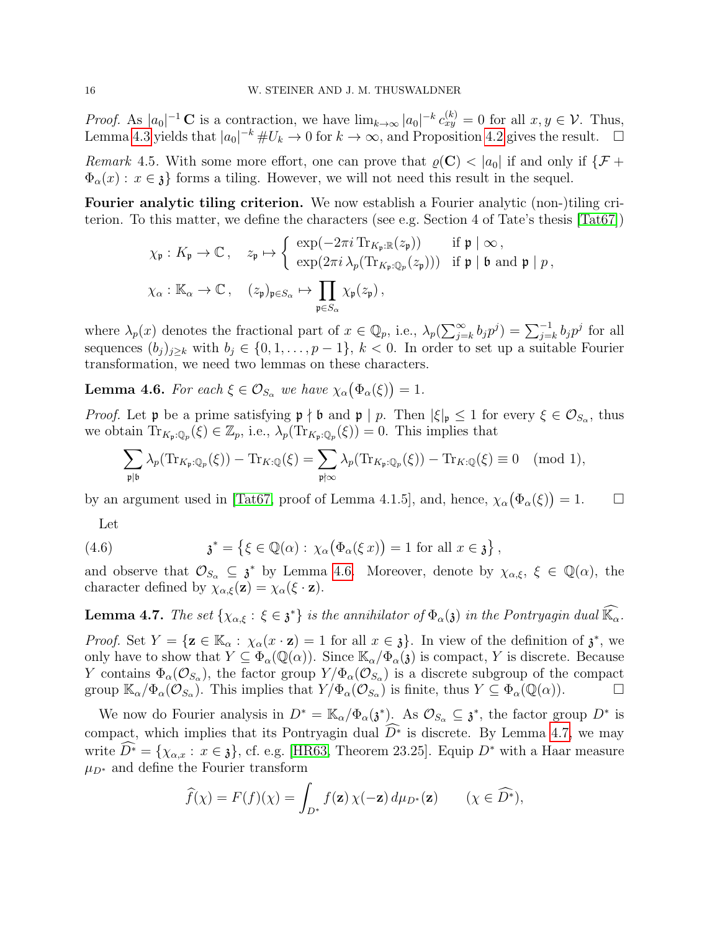*Proof.* As  $|a_0|^{-1}$  C is a contraction, we have  $\lim_{k\to\infty} |a_0|^{-k} c_{xy}^{(k)} = 0$  for all  $x, y \in V$ . Thus, Lemma [4.3](#page-14-4) yields that  $|a_0|^{-k} \# U_k \to 0$  for  $k \to \infty$ , and Proposition [4.2](#page-14-5) gives the result.  $\square$ 

<span id="page-15-2"></span>Remark 4.5. With some more effort, one can prove that  $\varrho(C) < |a_0|$  if and only if  $\{\mathcal{F} +$  $\Phi_{\alpha}(x): x \in \mathfrak{z}$  forms a tiling. However, we will not need this result in the sequel.

Fourier analytic tiling criterion. We now establish a Fourier analytic (non-)tiling criterion. To this matter, we define the characters (see e.g. Section 4 of Tate's thesis [\[Tat67\]](#page-32-15))

$$
\chi_{\mathfrak{p}}: K_{\mathfrak{p}} \to \mathbb{C}, \quad z_{\mathfrak{p}} \mapsto \left\{ \begin{array}{ll} \exp(-2\pi i \operatorname{Tr}_{K_{\mathfrak{p}}:\mathbb{R}}(z_{\mathfrak{p}})) & \text{if } \mathfrak{p} \mid \infty, \\ \exp(2\pi i \lambda_p(\operatorname{Tr}_{K_{\mathfrak{p}}:\mathbb{Q}_p}(z_{\mathfrak{p}}))) & \text{if } \mathfrak{p} \mid \mathfrak{b} \text{ and } \mathfrak{p} \mid p, \\ \chi_{\alpha}: \mathbb{K}_{\alpha} \to \mathbb{C}, \quad (z_{\mathfrak{p}})_{\mathfrak{p} \in S_{\alpha}} \mapsto \prod_{\mathfrak{p} \in S_{\alpha}} \chi_{\mathfrak{p}}(z_{\mathfrak{p}}), \end{array} \right.
$$

where  $\lambda_p(x)$  denotes the fractional part of  $x \in \mathbb{Q}_p$ , i.e.,  $\lambda_p(\sum_{j=k}^{\infty} b_j p^j) = \sum_{j=k}^{-1} b_j p^j$  for all sequences  $(b_j)_{j\geq k}$  with  $b_j \in \{0,1,\ldots,p-1\}, k<0$ . In order to set up a suitable Fourier transformation, we need two lemmas on these characters.

<span id="page-15-0"></span>**Lemma 4.6.** For each  $\xi \in \mathcal{O}_{S_\alpha}$  we have  $\chi_\alpha(\Phi_\alpha(\xi)) = 1$ .

Proof. Let **p** be a prime satisfying  $\mathfrak{p} \nmid \mathfrak{b}$  and  $\mathfrak{p} \mid p$ . Then  $|\xi|_{\mathfrak{p}} \leq 1$  for every  $\xi \in \mathcal{O}_{S_\alpha}$ , thus we obtain  $\text{Tr}_{K_p,Q_p}(\xi) \in \mathbb{Z}_p$ , i.e.,  $\lambda_p(\text{Tr}_{K_p,Q_p}(\xi)) = 0$ . This implies that

$$
\sum_{\mathfrak{p}|\mathfrak{b}} \lambda_p(\mathrm{Tr}_{K_{\mathfrak{p}}:\mathbb{Q}_p}(\xi)) - \mathrm{Tr}_{K:\mathbb{Q}}(\xi) = \sum_{\mathfrak{p}|\infty} \lambda_p(\mathrm{Tr}_{K_{\mathfrak{p}}:\mathbb{Q}_p}(\xi)) - \mathrm{Tr}_{K:\mathbb{Q}}(\xi) \equiv 0 \pmod{1},
$$

by an argument used in [\[Tat67,](#page-32-15) proof of Lemma 4.1.5], and, hence,  $\chi_{\alpha}(\Phi_{\alpha}(\xi)) = 1$ .  $\Box$ 

Let

(4.6) 
$$
\mathfrak{z}^* = \{ \xi \in \mathbb{Q}(\alpha) : \chi_\alpha(\Phi_\alpha(\xi x)) = 1 \text{ for all } x \in \mathfrak{z} \}
$$

and observe that  $\mathcal{O}_{S_{\alpha}} \subseteq \mathfrak{z}^*$  by Lemma [4.6.](#page-15-0) Moreover, denote by  $\chi_{\alpha,\xi}, \xi \in \mathbb{Q}(\alpha)$ , the character defined by  $\chi_{\alpha,\xi}(\mathbf{z}) = \chi_{\alpha}(\xi \cdot \mathbf{z}).$ 

,

<span id="page-15-1"></span>**Lemma 4.7.** The set  $\{\chi_{\alpha,\xi}:\xi\in\mathfrak{z}^*\}$  is the annihilator of  $\Phi_\alpha(\mathfrak{z})$  in the Pontryagin dual  $\widehat{\mathbb{K}_\alpha}$ .

Proof. Set  $Y = {\mathbf{z} \in \mathbb{K}_{\alpha} : \chi_{\alpha}(x \cdot \mathbf{z}) = 1 \text{ for all } x \in \mathbf{\mathfrak{z}}}.$  In view of the definition of  $\mathbf{\mathfrak{z}}^*$ , we only have to show that  $Y \subseteq \Phi_\alpha(\mathbb{Q}(\alpha))$ . Since  $\mathbb{K}_\alpha/\Phi_\alpha(\mathfrak{z})$  is compact, Y is discrete. Because Y contains  $\Phi_{\alpha}(\mathcal{O}_{S_{\alpha}})$ , the factor group  $Y/\Phi_{\alpha}(\mathcal{O}_{S_{\alpha}})$  is a discrete subgroup of the compact group  $\mathbb{K}_{\alpha}/\Phi_{\alpha}(\mathcal{O}_{S_{\alpha}})$ . This implies that  $Y/\Phi_{\alpha}(\mathcal{O}_{S_{\alpha}})$  is finite, thus  $Y \subseteq \Phi_{\alpha}(\mathbb{Q}(\alpha))$ .

We now do Fourier analysis in  $D^* = \mathbb{K}_{\alpha}/\Phi_{\alpha}(\mathfrak{z}^*)$ . As  $\mathcal{O}_{S_{\alpha}} \subseteq \mathfrak{z}^*$ , the factor group  $D^*$  is compact, which implies that its Pontryagin dual  $D^*$  is discrete. By Lemma [4.7,](#page-15-1) we may write  $\widehat{D^*} = \{\chi_{\alpha,x} : x \in \mathfrak{z}\}\,$ , cf. e.g. [\[HR63,](#page-31-21) Theorem 23.25]. Equip  $D^*$  with a Haar measure  $\mu_{D^*}$  and define the Fourier transform

$$
\widehat{f}(\chi) = F(f)(\chi) = \int_{D^*} f(\mathbf{z}) \,\chi(-\mathbf{z}) \,d\mu_{D^*}(\mathbf{z}) \qquad (\chi \in \widehat{D^*}),
$$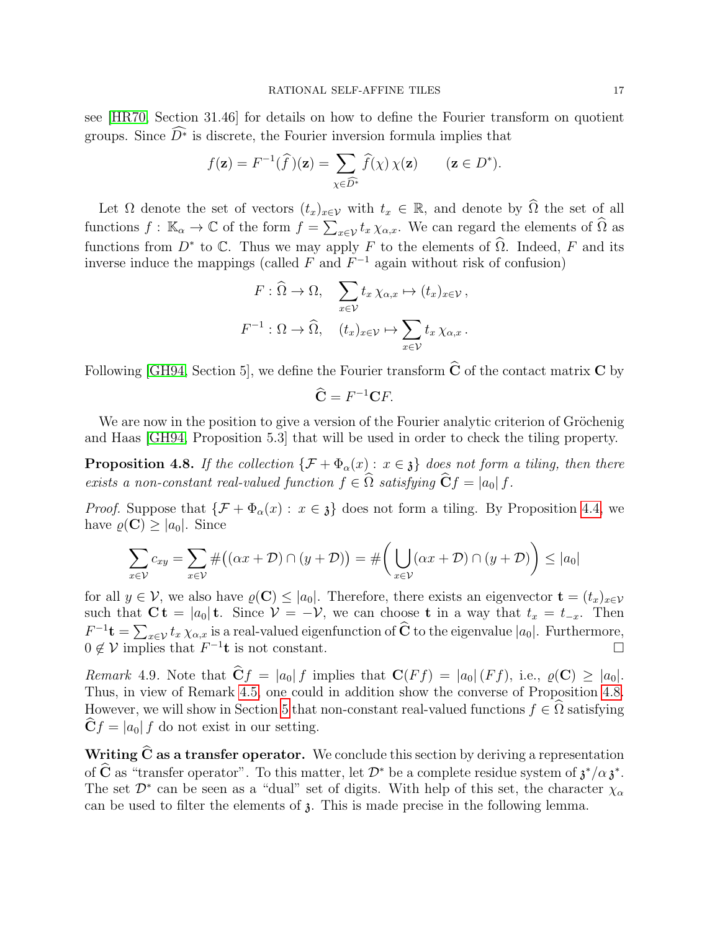see [\[HR70,](#page-31-22) Section 31.46] for details on how to define the Fourier transform on quotient groups. Since  $D^*$  is discrete, the Fourier inversion formula implies that

$$
f(\mathbf{z}) = F^{-1}(\widehat{f})(\mathbf{z}) = \sum_{\chi \in \widehat{D^*}} \widehat{f}(\chi) \chi(\mathbf{z}) \qquad (\mathbf{z} \in D^*).
$$

Let  $\Omega$  denote the set of vectors  $(t_x)_{x\in\mathcal{V}}$  with  $t_x \in \mathbb{R}$ , and denote by  $\widehat{\Omega}$  the set of all functions  $f: \mathbb{K}_{\alpha} \to \mathbb{C}$  of the form  $f = \sum_{x \in \mathcal{V}} t_x \chi_{\alpha,x}$ . We can regard the elements of  $\widehat{\Omega}$  as functions from  $D^*$  to C. Thus we may apply F to the elements of  $\widehat{\Omega}$ . Indeed, F and its inverse induce the mappings (called  $F$  and  $F^{-1}$  again without risk of confusion)

$$
F: \widehat{\Omega} \to \Omega, \quad \sum_{x \in \mathcal{V}} t_x \chi_{\alpha, x} \mapsto (t_x)_{x \in \mathcal{V}},
$$

$$
F^{-1}: \Omega \to \widehat{\Omega}, \quad (t_x)_{x \in \mathcal{V}} \mapsto \sum_{x \in \mathcal{V}} t_x \chi_{\alpha, x}.
$$

Following [\[GH94,](#page-31-2) Section 5], we define the Fourier transform  $\hat{C}$  of the contact matrix  $C$  by

$$
\widehat{\mathbf{C}} = F^{-1}\mathbf{C}F.
$$

We are now in the position to give a version of the Fourier analytic criterion of Gröchenig and Haas [\[GH94,](#page-31-2) Proposition 5.3] that will be used in order to check the tiling property.

<span id="page-16-0"></span>**Proposition 4.8.** If the collection  $\{\mathcal{F} + \Phi_\alpha(x) : x \in \mathfrak{z}\}\)$  does not form a tiling, then there exists a non-constant real-valued function  $f \in \widehat{\Omega}$  satisfying  $\widehat{\mathbf{C}}f = |a_0| f$ .

*Proof.* Suppose that  $\{\mathcal{F} + \Phi_{\alpha}(x) : x \in \mathfrak{z}\}\)$  does not form a tiling. By Proposition [4.4,](#page-14-6) we have  $\rho(C) \geq |a_0|$ . Since

$$
\sum_{x \in \mathcal{V}} c_{xy} = \sum_{x \in \mathcal{V}} \#((\alpha x + \mathcal{D}) \cap (y + \mathcal{D})) = \# \bigg(\bigcup_{x \in \mathcal{V}} (\alpha x + \mathcal{D}) \cap (y + \mathcal{D})\bigg) \leq |a_0|
$$

for all  $y \in V$ , we also have  $\varrho(\mathbf{C}) \leq |a_0|$ . Therefore, there exists an eigenvector  $\mathbf{t} = (t_x)_{x \in V}$ such that  $\overrightarrow{C}$  t =  $|a_0|$  t. Since  $\overrightarrow{\mathcal{V}} = -\mathcal{V}$ , we can choose t in a way that  $t_x = t_{-x}$ . Then  $F^{-1}$ **t** =  $\sum_{x \in \mathcal{V}} t_x \chi_{\alpha,x}$  is a real-valued eigenfunction of  $\hat{C}$  to the eigenvalue  $|a_0|$ . Furthermore,  $0 \notin V$  implies that  $F^{-1}$ **t** is not constant.

Remark 4.9. Note that  $\hat{\mathbf{C}}f = |a_0| f$  implies that  $\mathbf{C}(Ff) = |a_0| (Ff)$ , i.e.,  $\rho(\mathbf{C}) \geq |a_0|$ . Thus, in view of Remark [4.5,](#page-15-2) one could in addition show the converse of Proposition [4.8.](#page-16-0) However, we will show in Section [5](#page-18-0) that non-constant real-valued functions  $f \in \Omega$  satisfying  $\dot{C}f = |a_0| f$  do not exist in our setting.

Writing  $\hat{C}$  as a transfer operator. We conclude this section by deriving a representation of  $\hat{C}$  as "transfer operator". To this matter, let  $\mathcal{D}^*$  be a complete residue system of  $\mathfrak{z}^*/\alpha \mathfrak{z}^*$ . The set  $\mathcal{D}^*$  can be seen as a "dual" set of digits. With help of this set, the character  $\chi_{\alpha}$ can be used to filter the elements of  $\beta$ . This is made precise in the following lemma.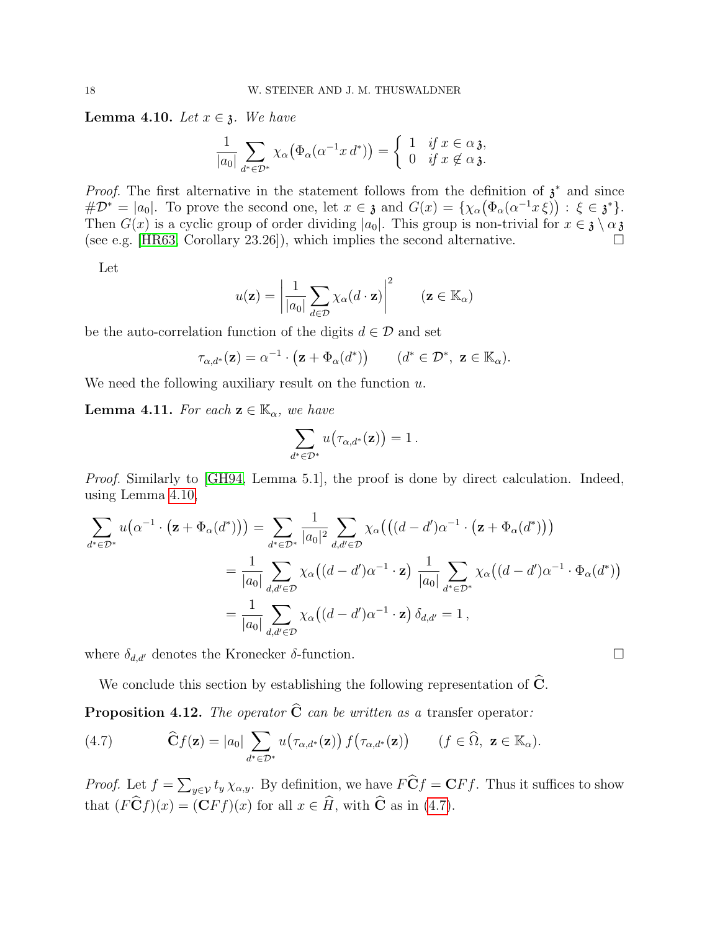<span id="page-17-0"></span>**Lemma 4.10.** Let  $x \in \mathfrak{z}$ . We have

$$
\frac{1}{|a_0|} \sum_{d^* \in \mathcal{D}^*} \chi_\alpha \big( \Phi_\alpha(\alpha^{-1} x \, d^*) \big) = \begin{cases} 1 & \text{if } x \in \alpha \mathfrak{z}, \\ 0 & \text{if } x \notin \alpha \mathfrak{z}. \end{cases}
$$

*Proof.* The first alternative in the statement follows from the definition of  $\lambda^*$  and since  $\#\mathcal{D}^* = |a_0|$ . To prove the second one, let  $x \in \mathfrak{z}$  and  $G(x) = \{ \chi_\alpha(\Phi_\alpha(\alpha^{-1}x \xi)) : \xi \in \mathfrak{z}^* \}.$ Then  $G(x)$  is a cyclic group of order dividing  $|a_0|$ . This group is non-trivial for  $x \in \mathfrak{z} \setminus \alpha \mathfrak{z}$ <br>(see e.g. [HR63, Corollary 23.26]), which implies the second alternative. (see e.g. [\[HR63,](#page-31-21) Corollary 23.26]), which implies the second alternative.

Let

$$
u(\mathbf{z}) = \left| \frac{1}{|a_0|} \sum_{d \in \mathcal{D}} \chi_{\alpha}(d \cdot \mathbf{z}) \right|^2 \qquad (\mathbf{z} \in \mathbb{K}_{\alpha})
$$

be the auto-correlation function of the digits  $d \in \mathcal{D}$  and set

$$
\tau_{\alpha,d^*}(\mathbf{z}) = \alpha^{-1} \cdot (\mathbf{z} + \Phi_\alpha(d^*)) \qquad (d^* \in \mathcal{D}^*, \ \mathbf{z} \in \mathbb{K}_\alpha).
$$

We need the following auxiliary result on the function  $u$ .

<span id="page-17-3"></span>**Lemma 4.11.** For each  $z \in \mathbb{K}_{\alpha}$ , we have

$$
\sum_{d^*\in\mathcal{D}^*} u\big(\tau_{\alpha,d^*}(\mathbf{z})\big)=1\,.
$$

Proof. Similarly to [\[GH94,](#page-31-2) Lemma 5.1], the proof is done by direct calculation. Indeed, using Lemma [4.10,](#page-17-0)

$$
\sum_{d^*\in\mathcal{D}^*} u\big(\alpha^{-1} \cdot (\mathbf{z} + \Phi_\alpha(d^*))\big) = \sum_{d^*\in\mathcal{D}^*} \frac{1}{|a_0|^2} \sum_{d,d'\in\mathcal{D}} \chi_\alpha\big(\big((d-d')\alpha^{-1} \cdot (\mathbf{z} + \Phi_\alpha(d^*))\big)
$$
  

$$
= \frac{1}{|a_0|} \sum_{d,d'\in\mathcal{D}} \chi_\alpha\big((d-d')\alpha^{-1} \cdot \mathbf{z}\big) \frac{1}{|a_0|} \sum_{d^*\in\mathcal{D}^*} \chi_\alpha\big((d-d')\alpha^{-1} \cdot \Phi_\alpha(d^*)\big)
$$
  

$$
= \frac{1}{|a_0|} \sum_{d,d'\in\mathcal{D}} \chi_\alpha\big((d-d')\alpha^{-1} \cdot \mathbf{z}\big) \delta_{d,d'} = 1,
$$

where  $\delta_{d,d'}$  denotes the Kronecker  $\delta$ -function.

We conclude this section by establishing the following representation of  $\hat{C}$ .

<span id="page-17-2"></span>**Proposition 4.12.** The operator  $\hat{C}$  can be written as a transfer operator:

<span id="page-17-1"></span>(4.7) 
$$
\widehat{\mathbf{C}}f(\mathbf{z}) = |a_0| \sum_{d^* \in \mathcal{D}^*} u(\tau_{\alpha,d^*}(\mathbf{z})) f(\tau_{\alpha,d^*}(\mathbf{z})) \qquad (f \in \widehat{\Omega}, \ \mathbf{z} \in \mathbb{K}_{\alpha}).
$$

*Proof.* Let  $f = \sum_{y \in V} t_y \chi_{\alpha, y}$ . By definition, we have  $\overrightarrow{FC}f = \overrightarrow{CFf}$ . Thus it suffices to show that  $(F\widehat{\mathbf{C}}f)(x) = (\mathbf{C}Ff)(x)$  for all  $x \in \widehat{H}$ , with  $\widehat{\mathbf{C}}$  as in [\(4.7\)](#page-17-1).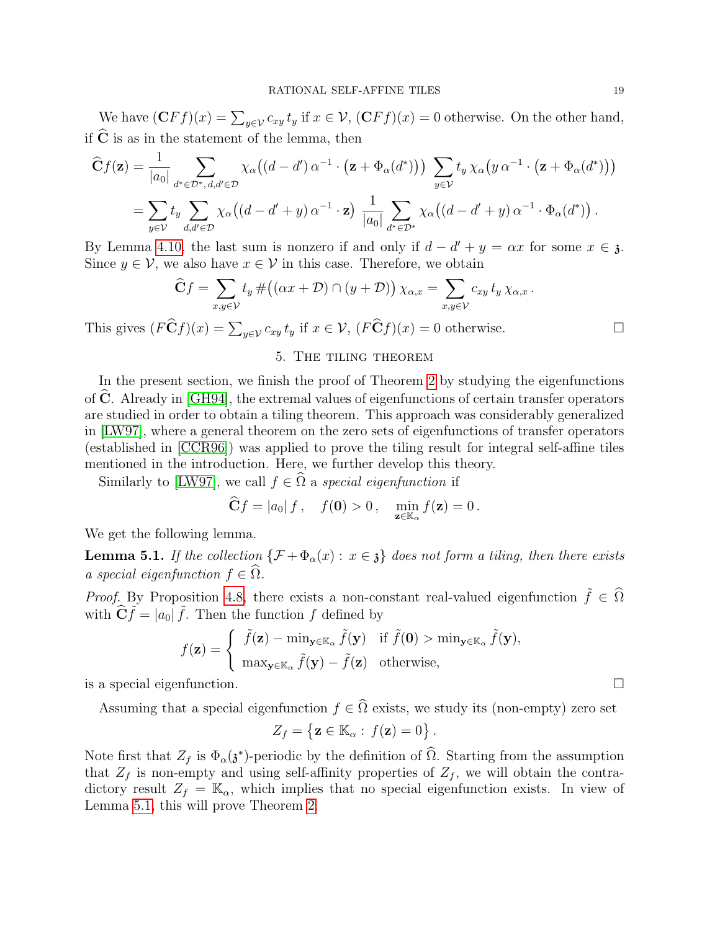We have  $(\mathbf{C}Ff)(x) = \sum_{y \in \mathcal{V}} c_{xy} t_y$  if  $x \in \mathcal{V}$ ,  $(\mathbf{C}Ff)(x) = 0$  otherwise. On the other hand, if  $\hat{C}$  is as in the statement of the lemma, then

$$
\widehat{\mathbf{C}}f(\mathbf{z}) = \frac{1}{|a_0|} \sum_{d^* \in \mathcal{D}^*, d, d' \in \mathcal{D}} \chi_\alpha((d-d')\alpha^{-1} \cdot (\mathbf{z} + \Phi_\alpha(d^*))) \sum_{y \in \mathcal{V}} t_y \chi_\alpha(y \alpha^{-1} \cdot (\mathbf{z} + \Phi_\alpha(d^*)))
$$
  
= 
$$
\sum_{y \in \mathcal{V}} t_y \sum_{d, d' \in \mathcal{D}} \chi_\alpha((d-d'+y)\alpha^{-1} \cdot \mathbf{z}) \frac{1}{|a_0|} \sum_{d^* \in \mathcal{D}^*} \chi_\alpha((d-d'+y)\alpha^{-1} \cdot \Phi_\alpha(d^*)) .
$$

By Lemma [4.10,](#page-17-0) the last sum is nonzero if and only if  $d - d' + y = \alpha x$  for some  $x \in \mathfrak{z}$ . Since  $y \in V$ , we also have  $x \in V$  in this case. Therefore, we obtain

$$
\widehat{\mathbf{C}}f = \sum_{x,y \in \mathcal{V}} t_y \# ((\alpha x + \mathcal{D}) \cap (y + \mathcal{D})) \chi_{\alpha,x} = \sum_{x,y \in \mathcal{V}} c_{xy} t_y \chi_{\alpha,x}.
$$

This gives  $(F\widehat{\mathbf{C}}f)(x) = \sum_{y \in \mathcal{V}} c_{xy} t_y$  if  $x \in \mathcal{V}$ ,  $(F\widehat{\mathbf{C}}f)(x) = 0$  otherwise.

## 5. The tiling theorem

<span id="page-18-0"></span>In the present section, we finish the proof of Theorem [2](#page-5-1) by studying the eigenfunctions of  $\bf{C}$ . Already in [\[GH94\]](#page-31-2), the extremal values of eigenfunctions of certain transfer operators are studied in order to obtain a tiling theorem. This approach was considerably generalized in [\[LW97\]](#page-32-4), where a general theorem on the zero sets of eigenfunctions of transfer operators (established in [\[CCR96\]](#page-31-16)) was applied to prove the tiling result for integral self-affine tiles mentioned in the introduction. Here, we further develop this theory.

Similarly to [\[LW97\]](#page-32-4), we call  $f \in \hat{\Omega}$  a special eigenfunction if

$$
\widehat{\mathbf{C}}f = |a_0| f, \quad f(\mathbf{0}) > 0, \quad \min_{\mathbf{z} \in \mathbb{K}_{\alpha}} f(\mathbf{z}) = 0.
$$

We get the following lemma.

<span id="page-18-1"></span>**Lemma 5.1.** If the collection  $\{\mathcal{F} + \Phi_{\alpha}(x) : x \in \mathfrak{z}\}\)$  does not form a tiling, then there exists a special eigenfunction  $f \in \Omega$ .

*Proof.* By Proposition [4.8,](#page-16-0) there exists a non-constant real-valued eigenfunction  $\tilde{f} \in \hat{\Omega}$ with  $\widehat{\mathbf{C}}\widetilde{f} = |a_0|\widetilde{f}$ . Then the function f defined by

$$
f(\mathbf{z}) = \begin{cases} \tilde{f}(\mathbf{z}) - \min_{\mathbf{y} \in \mathbb{K}_{\alpha}} \tilde{f}(\mathbf{y}) & \text{if } \tilde{f}(\mathbf{0}) > \min_{\mathbf{y} \in \mathbb{K}_{\alpha}} \tilde{f}(\mathbf{y}), \\ \max_{\mathbf{y} \in \mathbb{K}_{\alpha}} \tilde{f}(\mathbf{y}) - \tilde{f}(\mathbf{z}) & \text{otherwise,} \end{cases}
$$

is a special eigenfunction.

Assuming that a special eigenfunction  $f \in \widehat{\Omega}$  exists, we study its (non-empty) zero set

$$
Z_f = \{ \mathbf{z} \in \mathbb{K}_{\alpha} : f(\mathbf{z}) = 0 \}.
$$

Note first that  $Z_f$  is  $\Phi_\alpha(\mathfrak{z}^*)$ -periodic by the definition of  $\Omega$ . Starting from the assumption that  $Z_f$  is non-empty and using self-affinity properties of  $Z_f$ , we will obtain the contradictory result  $Z_f = \mathbb{K}_{\alpha}$ , which implies that no special eigenfunction exists. In view of Lemma [5.1,](#page-18-1) this will prove Theorem [2.](#page-5-1)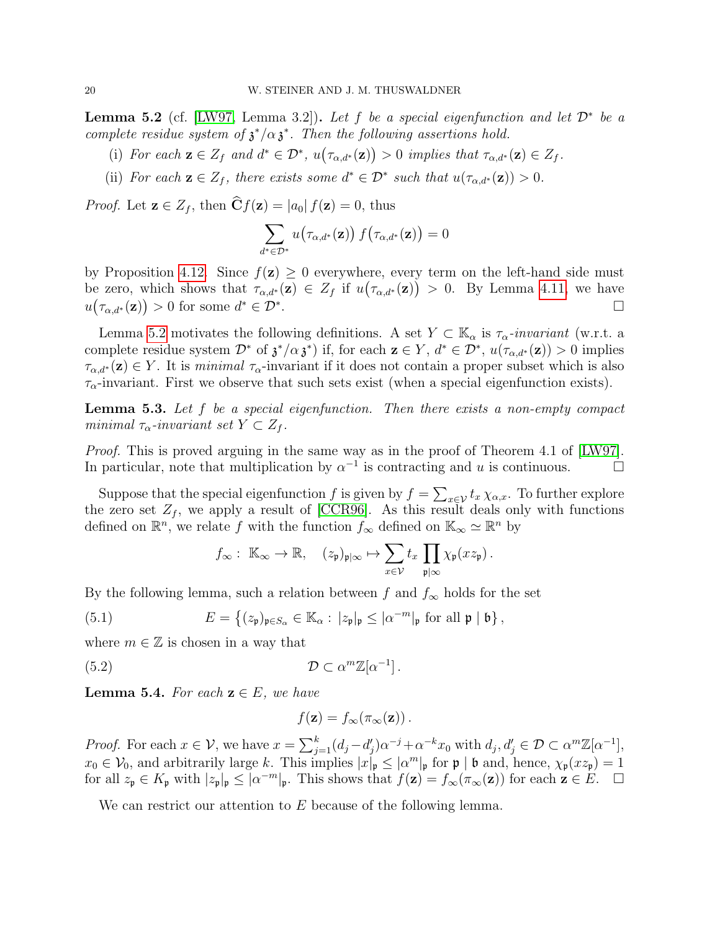<span id="page-19-0"></span>**Lemma 5.2** (cf. [\[LW97,](#page-32-4) Lemma 3.2]). Let f be a special eigenfunction and let  $\mathcal{D}^*$  be a complete residue system of  $\mathfrak{z}^*/\alpha \mathfrak{z}^*$ . Then the following assertions hold.

- (i) For each  $\mathbf{z} \in Z_f$  and  $d^* \in \mathcal{D}^*$ ,  $u(\tau_{\alpha,d^*}(\mathbf{z})) > 0$  implies that  $\tau_{\alpha,d^*}(\mathbf{z}) \in Z_f$ .
- <span id="page-19-3"></span>(ii) For each  $\mathbf{z} \in Z_f$ , there exists some  $d^* \in \mathcal{D}^*$  such that  $u(\tau_{\alpha,d^*}(\mathbf{z})) > 0$ .

*Proof.* Let  $z \in Z_f$ , then  $\hat{C}f(z) = |a_0| f(z) = 0$ , thus

$$
\sum_{d^* \in \mathcal{D}^*} u\big(\tau_{\alpha,d^*}(\mathbf{z})\big) \, f\big(\tau_{\alpha,d^*}(\mathbf{z})\big) = 0
$$

by Proposition [4.12.](#page-17-2) Since  $f(\mathbf{z}) \geq 0$  everywhere, every term on the left-hand side must be zero, which shows that  $\tau_{\alpha,d^*}(\mathbf{z}) \in Z_f$  if  $u(\tau_{\alpha,d^*}(\mathbf{z})) > 0$ . By Lemma [4.11,](#page-17-3) we have  $u\big(\tau_{\alpha,d^*}(\mathbf{z})\big) > 0$  for some  $d^* \in \mathcal{D}^*$ .

Lemma [5.2](#page-19-0) motivates the following definitions. A set  $Y \subset \mathbb{K}_{\alpha}$  is  $\tau_{\alpha}$ -invariant (w.r.t. a complete residue system  $\mathcal{D}^*$  of  $\mathfrak{z}^*/\alpha \mathfrak{z}^*$  if, for each  $\mathbf{z} \in Y$ ,  $d^* \in \mathcal{D}^*$ ,  $u(\tau_{\alpha,d^*}(\mathbf{z})) > 0$  implies  $\tau_{\alpha,d^*}(\mathbf{z}) \in Y$ . It is minimal  $\tau_{\alpha}$ -invariant if it does not contain a proper subset which is also  $\tau_{\alpha}$ -invariant. First we observe that such sets exist (when a special eigenfunction exists).

<span id="page-19-1"></span>**Lemma 5.3.** Let  $f$  be a special eigenfunction. Then there exists a non-empty compact minimal  $\tau_{\alpha}$ -invariant set  $Y \subset Z_f$ .

*Proof.* This is proved arguing in the same way as in the proof of Theorem 4.1 of [\[LW97\]](#page-32-4). In particular, note that multiplication by  $\alpha^{-1}$  is contracting and u is continuous.

Suppose that the special eigenfunction f is given by  $f = \sum_{x \in V} t_x \chi_{\alpha,x}$ . To further explore the zero set  $Z_f$ , we apply a result of [\[CCR96\]](#page-31-16). As this result deals only with functions defined on  $\mathbb{R}^n$ , we relate f with the function  $f_{\infty}$  defined on  $\mathbb{K}_{\infty} \simeq \mathbb{R}^n$  by

$$
f_{\infty}: \mathbb{K}_{\infty} \to \mathbb{R}, \quad (z_{\mathfrak{p}})_{\mathfrak{p}|\infty} \mapsto \sum_{x \in \mathcal{V}} t_x \prod_{\mathfrak{p}|\infty} \chi_{\mathfrak{p}}(xz_{\mathfrak{p}}).
$$

By the following lemma, such a relation between f and  $f_{\infty}$  holds for the set

(5.1) 
$$
E = \left\{ (z_{\mathfrak{p}})_{\mathfrak{p} \in S_{\alpha}} \in \mathbb{K}_{\alpha} : |z_{\mathfrak{p}}|_{\mathfrak{p}} \leq |\alpha^{-m}|_{\mathfrak{p}} \text{ for all } \mathfrak{p} | \mathfrak{b} \right\},
$$

where  $m \in \mathbb{Z}$  is chosen in a way that

(5.2) 
$$
\mathcal{D} \subset \alpha^m \mathbb{Z}[\alpha^{-1}].
$$

<span id="page-19-2"></span>**Lemma 5.4.** For each  $z \in E$ , we have

<span id="page-19-4"></span>
$$
f(\mathbf{z}) = f_{\infty}(\pi_{\infty}(\mathbf{z})).
$$

*Proof.* For each  $x \in \mathcal{V}$ , we have  $x = \sum_{j=1}^{k} (d_j - d'_j) \alpha^{-j} + \alpha^{-k} x_0$  with  $d_j, d'_j \in \mathcal{D} \subset \alpha^m \mathbb{Z}[\alpha^{-1}],$  $x_0 \in V_0$ , and arbitrarily large k. This implies  $|x|_p \leq |\alpha^m|_p$  for  $\mathfrak{p} |$  b and, hence,  $\chi_{\mathfrak{p}}(xz_p) = 1$ for all  $z_p \in K_p$  with  $|z_p|_p \leq |\alpha^{-m}|_p$ . This shows that  $f(\mathbf{z}) = f_\infty(\pi_\infty(\mathbf{z}))$  for each  $\mathbf{z} \in E$ .  $\Box$ 

We can restrict our attention to E because of the following lemma.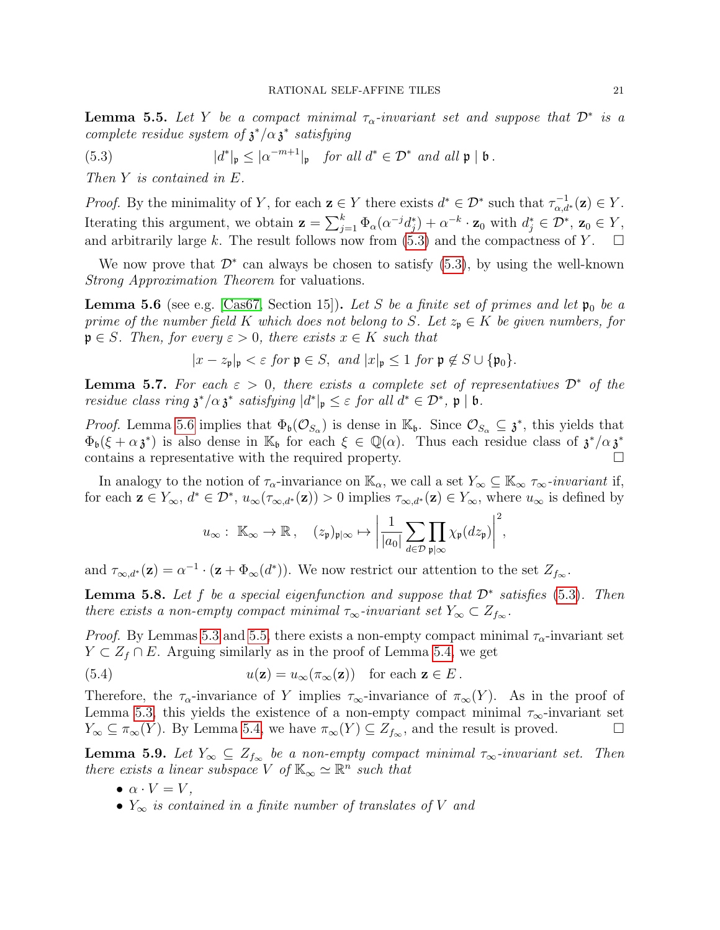<span id="page-20-2"></span>**Lemma 5.5.** Let Y be a compact minimal  $\tau_{\alpha}$ -invariant set and suppose that  $\mathcal{D}^*$  is a complete residue system of  $\chi^* / \alpha \chi^*$  satisfying

<span id="page-20-0"></span>(5.3) 
$$
|d^*|_{\mathfrak{p}} \leq |\alpha^{-m+1}|_{\mathfrak{p}} \quad \text{for all } d^* \in \mathcal{D}^* \text{ and all } \mathfrak{p} | \mathfrak{b}.
$$

Then Y is contained in E.

*Proof.* By the minimality of Y, for each  $\mathbf{z} \in Y$  there exists  $d^* \in \mathcal{D}^*$  such that  $\tau_{\alpha,d^*}^{-1}(\mathbf{z}) \in Y$ . Iterating this argument, we obtain  $\mathbf{z} = \sum_{j=1}^{k} \Phi_{\alpha}(\alpha^{-j} d_j^*) + \alpha^{-k} \cdot \mathbf{z}_0$  with  $d_j^* \in \mathcal{D}^*$ ,  $\mathbf{z}_0 \in Y$ , and arbitrarily large k. The result follows now from [\(5.3\)](#page-20-0) and the compactness of Y.  $\square$ 

We now prove that  $\mathcal{D}^*$  can always be chosen to satisfy [\(5.3\)](#page-20-0), by using the well-known Strong Approximation Theorem for valuations.

<span id="page-20-1"></span>**Lemma 5.6** (see e.g. [\[Cas67,](#page-31-23) Section 15]). Let S be a finite set of primes and let  $\mathfrak{p}_0$  be a prime of the number field K which does not belong to S. Let  $z_p \in K$  be given numbers, for  $\mathfrak{p} \in S$ . Then, for every  $\varepsilon > 0$ , there exists  $x \in K$  such that

$$
|x-z_{\mathfrak{p}}|_{\mathfrak{p}} < \varepsilon \text{ for } \mathfrak{p} \in S, \text{ and } |x|_{\mathfrak{p}} \le 1 \text{ for } \mathfrak{p} \notin S \cup \{\mathfrak{p}_0\}.
$$

<span id="page-20-5"></span>**Lemma 5.7.** For each  $\varepsilon > 0$ , there exists a complete set of representatives  $\mathcal{D}^*$  of the residue class ring  $\mathfrak{z}^*/\alpha \mathfrak{z}^*$  satisfying  $|d^*|_{\mathfrak{p}} \leq \varepsilon$  for all  $d^* \in \mathcal{D}^*$ ,  $\mathfrak{p} | \mathfrak{b}$ .

*Proof.* Lemma [5.6](#page-20-1) implies that  $\Phi_{\mathfrak{b}}(\mathcal{O}_{S_\alpha})$  is dense in  $\mathbb{K}_{\mathfrak{b}}$ . Since  $\mathcal{O}_{S_\alpha} \subseteq \mathfrak{z}^*$ , this yields that  $\Phi_{\mathfrak{b}}(\xi+\alpha\mathfrak{z}^*)$  is also dense in  $\mathbb{K}_{\mathfrak{b}}$  for each  $\xi \in \mathbb{Q}(\alpha)$ . Thus each residue class of  $\mathfrak{z}^*/\alpha\mathfrak{z}^*$ contains a representative with the required property.  $\Box$ 

In analogy to the notion of  $\tau_{\alpha}$ -invariance on  $\mathbb{K}_{\alpha}$ , we call a set  $Y_{\infty} \subseteq \mathbb{K}_{\infty}$   $\tau_{\infty}$ -invariant if, for each  $\mathbf{z} \in Y_{\infty}$ ,  $d^* \in \mathcal{D}^*$ ,  $u_{\infty}(\tau_{\infty,d^*}(\mathbf{z})) > 0$  implies  $\tau_{\infty,d^*}(\mathbf{z}) \in Y_{\infty}$ , where  $u_{\infty}$  is defined by

<span id="page-20-4"></span>
$$
u_{\infty}: \mathbb{K}_{\infty} \to \mathbb{R}, \quad (z_{\mathfrak{p}})_{\mathfrak{p}|\infty} \mapsto \left| \frac{1}{|a_0|} \sum_{d \in \mathcal{D}} \prod_{\mathfrak{p}|\infty} \chi_{\mathfrak{p}}(dz_{\mathfrak{p}}) \right|^2,
$$

and  $\tau_{\infty,d^*}(\mathbf{z}) = \alpha^{-1} \cdot (\mathbf{z} + \Phi_\infty(d^*)).$  We now restrict our attention to the set  $Z_{f_\infty}$ .

<span id="page-20-6"></span>**Lemma 5.8.** Let f be a special eigenfunction and suppose that  $\mathcal{D}^*$  satisfies [\(5.3\)](#page-20-0). Then there exists a non-empty compact minimal  $\tau_{\infty}$ -invariant set  $Y_{\infty} \subset Z_{f_{\infty}}$ .

*Proof.* By Lemmas [5.3](#page-19-1) and [5.5,](#page-20-2) there exists a non-empty compact minimal  $\tau_{\alpha}$ -invariant set  $Y \subset Z_f \cap E$ . Arguing similarly as in the proof of Lemma [5.4,](#page-19-2) we get

(5.4) 
$$
u(\mathbf{z}) = u_{\infty}(\pi_{\infty}(\mathbf{z})) \text{ for each } \mathbf{z} \in E.
$$

Therefore, the  $\tau_{\alpha}$ -invariance of Y implies  $\tau_{\infty}$ -invariance of  $\pi_{\infty}(Y)$ . As in the proof of Lemma [5.3,](#page-19-1) this yields the existence of a non-empty compact minimal  $\tau_{\infty}$ -invariant set  $Y_{\infty} \subseteq \pi_{\infty}(Y)$ . By Lemma [5.4,](#page-19-2) we have  $\pi_{\infty}(Y) \subseteq Z_{f_{\infty}}$ , and the result is proved.

<span id="page-20-3"></span>**Lemma 5.9.** Let  $Y_\infty \subseteq Z_{f_\infty}$  be a non-empty compact minimal  $\tau_\infty$ -invariant set. Then there exists a linear subspace V of  $\mathbb{K}_{\infty} \simeq \mathbb{R}^n$  such that

- $\bullet \ \alpha \cdot V = V,$
- $Y_{\infty}$  is contained in a finite number of translates of V and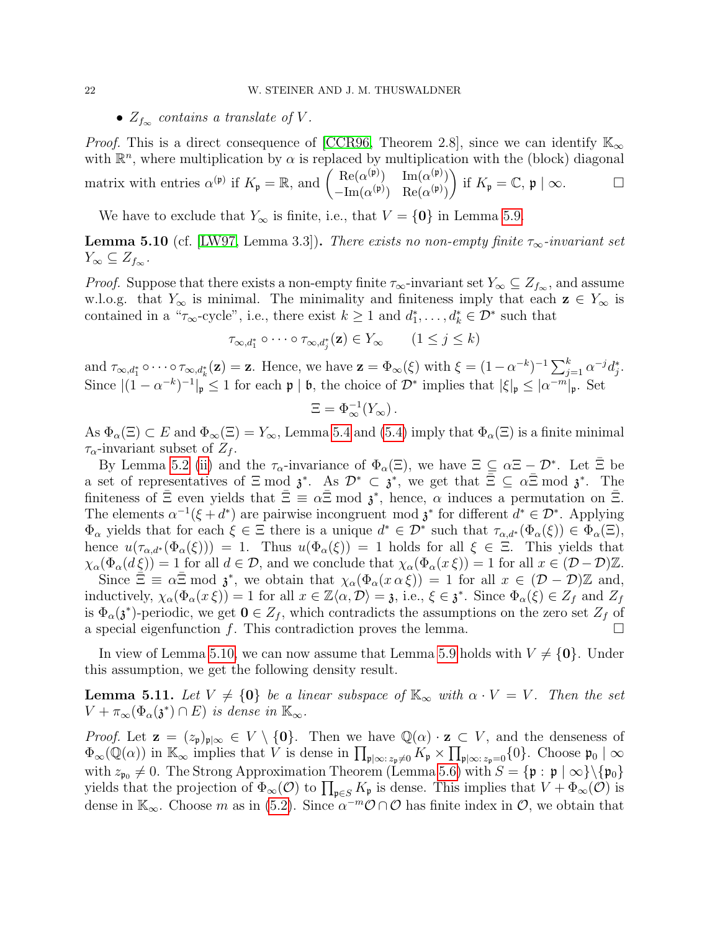### •  $Z_{f_\infty}$  contains a translate of V.

*Proof.* This is a direct consequence of [\[CCR96,](#page-31-16) Theorem 2.8], since we can identify  $\mathbb{K}_{\infty}$ with  $\mathbb{R}^n$ , where multiplication by  $\alpha$  is replaced by multiplication with the (block) diagonal matrix with entries  $\alpha^{(\mathfrak{p})}$  if  $K_{\mathfrak{p}} = \mathbb{R}$ , and  $\begin{pmatrix} \text{Re}(\alpha^{(\mathfrak{p})}) & \text{Im}(\alpha^{(\mathfrak{p})}) \\ \text{Im}(\alpha^{(\mathfrak{p})}) & \text{Re}(\alpha^{(\mathfrak{p})}) \end{pmatrix}$  $-\text{Im}(\alpha^{(\mathfrak{p})}) \quad \text{Re}(\alpha^{(\mathfrak{p})})$ ) if  $K_{\mathfrak{p}} = \mathbb{C}, \mathfrak{p} \mid \infty.$ 

We have to exclude that  $Y_{\infty}$  is finite, i.e., that  $V = \{0\}$  in Lemma [5.9.](#page-20-3)

<span id="page-21-0"></span>**Lemma 5.10** (cf. [\[LW97,](#page-32-4) Lemma 3.3]). There exists no non-empty finite  $\tau_{\infty}$ -invariant set  $Y_{\infty} \subseteq Z_{f_{\infty}}$ .

*Proof.* Suppose that there exists a non-empty finite  $\tau_{\infty}$ -invariant set  $Y_{\infty} \subseteq Z_{f_{\infty}}$ , and assume w.l.o.g. that  $Y_{\infty}$  is minimal. The minimality and finiteness imply that each  $z \in Y_{\infty}$  is contained in a " $\tau_{\infty}$ -cycle", i.e., there exist  $k \geq 1$  and  $d_1^*, \ldots, d_k^* \in \mathcal{D}^*$  such that

$$
\tau_{\infty,d_1^*} \circ \cdots \circ \tau_{\infty,d_j^*}(\mathbf{z}) \in Y_{\infty} \qquad (1 \le j \le k)
$$

and  $\tau_{\infty,d_1^*} \circ \cdots \circ \tau_{\infty,d_k^*}(\mathbf{z}) = \mathbf{z}$ . Hence, we have  $\mathbf{z} = \Phi_{\infty}(\xi)$  with  $\xi = (1 - \alpha^{-k})^{-1} \sum_{j=1}^k \alpha^{-j} d_j^*$ . Since  $|(1-\alpha^{-k})^{-1}|_{\mathfrak{p}} \leq 1$  for each  $\mathfrak{p} \mid \mathfrak{b}$ , the choice of  $\mathcal{D}^*$  implies that  $|\xi|_{\mathfrak{p}} \leq |\alpha^{-m}|_{\mathfrak{p}}$ . Set

$$
\Xi = \Phi_{\infty}^{-1}(Y_{\infty}).
$$

As  $\Phi_{\alpha}(\Xi) \subset E$  and  $\Phi_{\infty}(\Xi) = Y_{\infty}$ , Lemma [5.4](#page-19-2) and [\(5.4\)](#page-20-4) imply that  $\Phi_{\alpha}(\Xi)$  is a finite minimal  $\tau_{\alpha}$ -invariant subset of  $Z_f$ .

By Lemma [5.2](#page-19-0) [\(ii\)](#page-19-3) and the  $\tau_{\alpha}$ -invariance of  $\Phi_{\alpha}(\Xi)$ , we have  $\Xi \subseteq \alpha \Xi - \mathcal{D}^*$ . Let  $\bar{\Xi}$  be a set of representatives of  $\Xi \mod \mathfrak{z}^*$ . As  $\mathcal{D}^* \subset \mathfrak{z}^*$ , we get that  $\overline{\Xi} \subseteq \alpha \overline{\Xi} \mod \mathfrak{z}^*$ . The finiteness of  $\bar{\Xi}$  even yields that  $\bar{\Xi} \equiv \alpha \bar{\Xi} \mod \mathfrak{z}^*$ , hence,  $\alpha$  induces a permutation on  $\bar{\Xi}$ . The elements  $\alpha^{-1}(\xi + d^*)$  are pairwise incongruent mod  $\mathfrak{z}^*$  for different  $d^* \in \mathcal{D}^*$ . Applying  $\Phi_{\alpha}$  yields that for each  $\xi \in \Xi$  there is a unique  $d^* \in \mathcal{D}^*$  such that  $\tau_{\alpha,d^*}(\Phi_{\alpha}(\xi)) \in \Phi_{\alpha}(\Xi)$ , hence  $u(\tau_{\alpha,d^*}(\Phi_\alpha(\xi))) = 1$ . Thus  $u(\Phi_\alpha(\xi)) = 1$  holds for all  $\xi \in \Xi$ . This yields that  $\chi_{\alpha}(\Phi_{\alpha}(d\xi)) = 1$  for all  $d \in \mathcal{D}$ , and we conclude that  $\chi_{\alpha}(\Phi_{\alpha}(x \xi)) = 1$  for all  $x \in (\mathcal{D} - \mathcal{D})\mathbb{Z}$ . Since  $\Xi \equiv \alpha \bar{\Xi} \mod \mathfrak{z}^*$ , we obtain that  $\chi_{\alpha}(\Phi_{\alpha}(x \alpha \xi)) = 1$  for all  $x \in (\mathcal{D} - \mathcal{D})\mathbb{Z}$  and, inductively,  $\chi_{\alpha}(\Phi_{\alpha}(x \xi)) = 1$  for all  $x \in \mathbb{Z}\langle \alpha, \mathcal{D} \rangle = \mathfrak{z}$ , i.e.,  $\xi \in \mathfrak{z}^*$ . Since  $\Phi_{\alpha}(\xi) \in \mathbb{Z}_f$  and  $\mathbb{Z}_f$ is  $\Phi_{\alpha}(\mathfrak{z}^*)$ -periodic, we get  $0 \in Z_f$ , which contradicts the assumptions on the zero set  $Z_f$  of a special eigenfunction f. This contradiction proves the lemma.  $\Box$ 

In view of Lemma [5.10,](#page-21-0) we can now assume that Lemma [5.9](#page-20-3) holds with  $V \neq \{0\}$ . Under this assumption, we get the following density result.

<span id="page-21-1"></span>**Lemma 5.11.** Let  $V \neq \{0\}$  be a linear subspace of  $\mathbb{K}_{\infty}$  with  $\alpha \cdot V = V$ . Then the set  $V + \pi_{\infty}(\Phi_{\alpha}(\mathfrak{z}^*) \cap E)$  is dense in  $\mathbb{K}_{\infty}$ .

*Proof.* Let  $\mathbf{z} = (z_{\mathfrak{p}})_{\mathfrak{p}|\infty} \in V \setminus \{0\}$ . Then we have  $\mathbb{Q}(\alpha) \cdot \mathbf{z} \subset V$ , and the denseness of  $\Phi_{\infty}(\mathbb{Q}(\alpha))$  in  $\mathbb{K}_{\infty}$  implies that V is dense in  $\prod_{\mathfrak{p}|\infty:\,z_{\mathfrak{p}}\neq 0} K_{\mathfrak{p}} \times \prod_{\mathfrak{p}|\infty:z_{\mathfrak{p}}=0} \{0\}.$  Choose  $\mathfrak{p}_0 \mid \infty$ with  $z_{\mathfrak{p}_0} \neq 0$ . The Strong Approximation Theorem (Lemma [5.6\)](#page-20-1) with  $S = {\mathfrak{p} : \mathfrak{p} \mid \infty} \setminus {\mathfrak{p}_0}$ yields that the projection of  $\Phi_{\infty}(\mathcal{O})$  to  $\prod_{\mathfrak{p}\in S}K_{\mathfrak{p}}$  is dense. This implies that  $V + \Phi_{\infty}(\mathcal{O})$  is dense in  $\mathbb{K}_{\infty}$ . Choose m as in [\(5.2\)](#page-19-4). Since  $\alpha^{-m}\mathcal{O}\cap\mathcal{O}$  has finite index in  $\mathcal{O}$ , we obtain that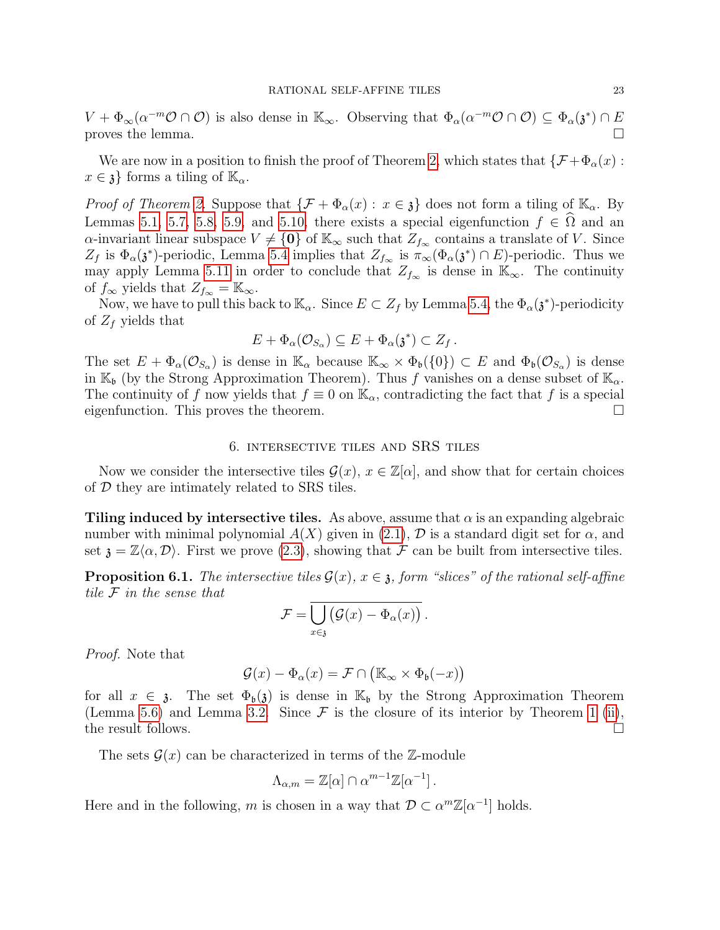$V + \Phi_{\infty}(\alpha^{-m}\mathcal{O} \cap \mathcal{O})$  is also dense in  $\mathbb{K}_{\infty}$ . Observing that  $\Phi_{\alpha}(\alpha^{-m}\mathcal{O} \cap \mathcal{O}) \subseteq \Phi_{\alpha}(\mathfrak{z}^*) \cap E$ proves the lemma.

We are now in a position to finish the proof of Theorem [2,](#page-5-1) which states that  $\{\mathcal{F} + \Phi_{\alpha}(x)$ :  $x \in \mathfrak{z}$  forms a tiling of  $\mathbb{K}_{\alpha}$ .

*Proof of Theorem [2.](#page-5-1)* Suppose that  $\{\mathcal{F} + \Phi_\alpha(x) : x \in \mathfrak{z}\}\)$  does not form a tiling of  $\mathbb{K}_\alpha$ . By Lemmas [5.1,](#page-18-1) [5.7,](#page-20-5) [5.8,](#page-20-6) [5.9,](#page-20-3) and [5.10,](#page-21-0) there exists a special eigenfunction  $f \in \Omega$  and an  $\alpha$ -invariant linear subspace  $V \neq \{0\}$  of  $\mathbb{K}_{\infty}$  such that  $Z_{f_{\infty}}$  contains a translate of V. Since  $Z_f$  is  $\Phi_\alpha(\mathfrak{z}^*)$ -periodic, Lemma [5.4](#page-19-2) implies that  $Z_{f_\infty}$  is  $\pi_\infty(\Phi_\alpha(\mathfrak{z}^*) \cap E)$ -periodic. Thus we may apply Lemma [5.11](#page-21-1) in order to conclude that  $Z_{f_{\infty}}$  is dense in  $\mathbb{K}_{\infty}$ . The continuity of  $f_{\infty}$  yields that  $Z_{f_{\infty}} = \mathbb{K}_{\infty}$ .

Now, we have to pull this back to  $\mathbb{K}_{\alpha}$ . Since  $E \subset Z_f$  by Lemma [5.4,](#page-19-2) the  $\Phi_{\alpha}(\mathfrak{z}^*)$ -periodicity of  $Z_f$  yields that

$$
E + \Phi_{\alpha}(\mathcal{O}_{S_{\alpha}}) \subseteq E + \Phi_{\alpha}(\mathfrak{z}^*) \subset Z_f.
$$

The set  $E + \Phi_{\alpha}(\mathcal{O}_{S_{\alpha}})$  is dense in  $\mathbb{K}_{\alpha}$  because  $\mathbb{K}_{\infty} \times \Phi_{\mathfrak{b}}(\{0\}) \subset E$  and  $\Phi_{\mathfrak{b}}(\mathcal{O}_{S_{\alpha}})$  is dense in  $\mathbb{K}_{\mathfrak{b}}$  (by the Strong Approximation Theorem). Thus f vanishes on a dense subset of  $\mathbb{K}_{\alpha}$ . The continuity of f now yields that  $f \equiv 0$  on  $\mathbb{K}_{\alpha}$ , contradicting the fact that f is a special eigenfunction. This proves the theorem. eigenfunction. This proves the theorem.

### 6. intersective tiles and SRS tiles

<span id="page-22-1"></span>Now we consider the intersective tiles  $\mathcal{G}(x), x \in \mathbb{Z}[\alpha]$ , and show that for certain choices of D they are intimately related to SRS tiles.

Tiling induced by intersective tiles. As above, assume that  $\alpha$  is an expanding algebraic number with minimal polynomial  $A(X)$  given in [\(2.1\)](#page-3-1), D is a standard digit set for  $\alpha$ , and set  $\mathfrak{z} = \mathbb{Z}\langle \alpha, \mathcal{D} \rangle$ . First we prove [\(2.3\)](#page-6-3), showing that F can be built from intersective tiles.

<span id="page-22-0"></span>**Proposition 6.1.** The intersective tiles  $\mathcal{G}(x)$ ,  $x \in \mathfrak{z}$ , form "slices" of the rational self-affine tile F in the sense that

$$
\mathcal{F} = \bigcup_{x \in \mathfrak{z}} (\mathcal{G}(x) - \Phi_{\alpha}(x))
$$

.

Proof. Note that

$$
\mathcal{G}(x) - \Phi_{\alpha}(x) = \mathcal{F} \cap (\mathbb{K}_{\infty} \times \Phi_{\mathfrak{b}}(-x))
$$

for all  $x \in \mathfrak{z}$ . The set  $\Phi_{\mathfrak{b}}(\mathfrak{z})$  is dense in  $\mathbb{K}_{\mathfrak{b}}$  by the Strong Approximation Theorem (Lemma [5.6\)](#page-20-1) and Lemma [3.2.](#page-10-5) Since  $\mathcal F$  is the closure of its interior by Theorem [1](#page-5-0) [\(ii\)](#page-5-4), the result follows. the result follows.

The sets  $\mathcal{G}(x)$  can be characterized in terms of the Z-module

$$
\Lambda_{\alpha,m} = \mathbb{Z}[\alpha] \cap \alpha^{m-1}\mathbb{Z}[\alpha^{-1}].
$$

Here and in the following, m is chosen in a way that  $\mathcal{D} \subset \alpha^m \mathbb{Z}[\alpha^{-1}]$  holds.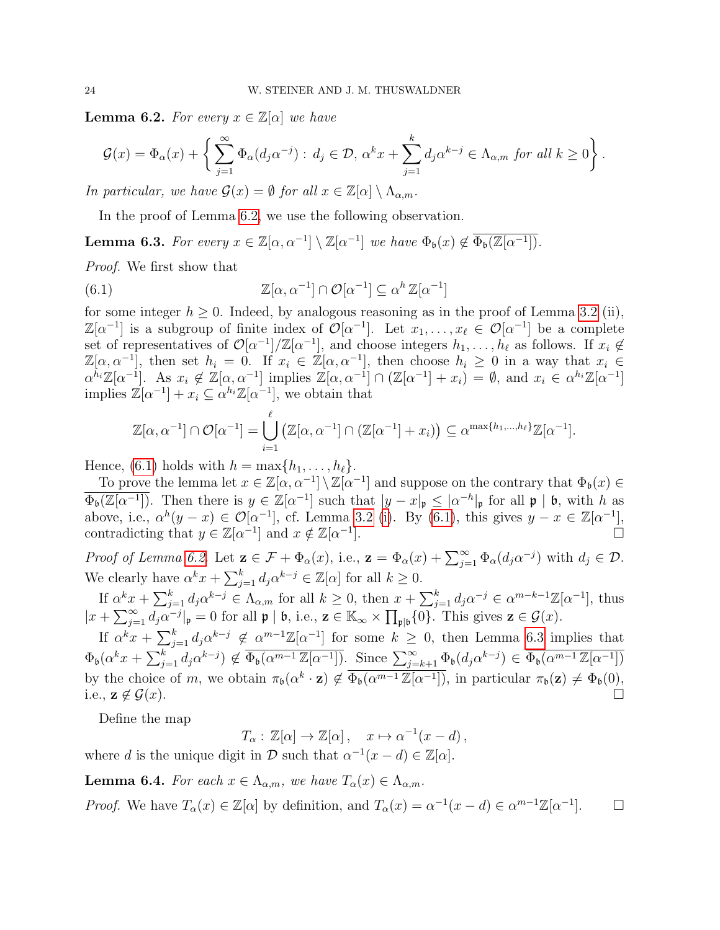<span id="page-23-0"></span>**Lemma 6.2.** For every  $x \in \mathbb{Z}[\alpha]$  we have

$$
\mathcal{G}(x) = \Phi_{\alpha}(x) + \left\{ \sum_{j=1}^{\infty} \Phi_{\alpha}(d_j \alpha^{-j}) : d_j \in \mathcal{D}, \, \alpha^k x + \sum_{j=1}^k d_j \alpha^{k-j} \in \Lambda_{\alpha,m} \text{ for all } k \ge 0 \right\}.
$$

In particular, we have  $\mathcal{G}(x) = \emptyset$  for all  $x \in \mathbb{Z}[\alpha] \setminus \Lambda_{\alpha, m}$ .

In the proof of Lemma [6.2,](#page-23-0) we use the following observation.

<span id="page-23-2"></span>**Lemma 6.3.** For every  $x \in \mathbb{Z}[\alpha, \alpha^{-1}] \setminus \mathbb{Z}[\alpha^{-1}]$  we have  $\Phi_{\mathfrak{b}}(x) \notin \overline{\Phi_{\mathfrak{b}}(\mathbb{Z}[\alpha^{-1}])}$ .

Proof. We first show that

<span id="page-23-1"></span>(6.1) 
$$
\mathbb{Z}[\alpha, \alpha^{-1}] \cap \mathcal{O}[\alpha^{-1}] \subseteq \alpha^{h} \mathbb{Z}[\alpha^{-1}]
$$

for some integer  $h \geq 0$ . Indeed, by analogous reasoning as in the proof of Lemma [3.2](#page-10-5) (ii),  $\mathbb{Z}[\alpha^{-1}]$  is a subgroup of finite index of  $\mathcal{O}[\alpha^{-1}]$ . Let  $x_1, \ldots, x_\ell \in \mathcal{O}[\alpha^{-1}]$  be a complete set of representatives of  $\mathcal{O}[\alpha^{-1}]/\mathbb{Z}[\alpha^{-1}]$ , and choose integers  $h_1, \ldots, h_\ell$  as follows. If  $x_i \notin \mathbb{Z}$  $\mathbb{Z}[\alpha, \alpha^{-1}]$ , then set  $h_i = 0$ . If  $x_i \in \mathbb{Z}[\alpha, \alpha^{-1}]$ , then choose  $h_i \geq 0$  in a way that  $x_i \in \mathbb{Z}[\alpha, \alpha^{-1}]$  $\alpha^{h_i}\mathbb{Z}[\alpha^{-1}]$ . As  $x_i \notin \mathbb{Z}[\alpha, \alpha^{-1}]$  implies  $\mathbb{Z}[\alpha, \alpha^{-1}] \cap (\mathbb{Z}[\alpha^{-1}] + x_i) = \emptyset$ , and  $x_i \in \alpha^{h_i}\mathbb{Z}[\alpha^{-1}]$ implies  $\mathbb{Z}[\alpha^{-1}] + x_i \subseteq \alpha^{h_i} \mathbb{Z}[\alpha^{-1}],$  we obtain that

$$
\mathbb{Z}[\alpha, \alpha^{-1}] \cap \mathcal{O}[\alpha^{-1}] = \bigcup_{i=1}^{\ell} \left( \mathbb{Z}[\alpha, \alpha^{-1}] \cap (\mathbb{Z}[\alpha^{-1}] + x_i) \right) \subseteq \alpha^{\max\{h_1, \dots, h_{\ell}\}} \mathbb{Z}[\alpha^{-1}].
$$

Hence, [\(6.1\)](#page-23-1) holds with  $h = \max\{h_1, \ldots, h_\ell\}.$ 

To prove the lemma let  $x \in \mathbb{Z}[\alpha, \alpha^{-1}] \setminus \mathbb{Z}[\alpha^{-1}]$  and suppose on the contrary that  $\Phi_{\mathfrak{b}}(x) \in$  $\overline{\Phi_{\mathfrak{b}}(\mathbb{Z}[\alpha^{-1}])}$ . Then there is  $y \in \mathbb{Z}[\alpha^{-1}]$  such that  $|y - x|_{\mathfrak{p}} \leq |\alpha^{-h}|_{\mathfrak{p}}$  for all  $\mathfrak{p} | \mathfrak{b}$ , with h as above, i.e.,  $\alpha^{h}(y-x) \in \mathcal{O}[\alpha^{-1}]$ , cf. Lemma [3.2](#page-10-5) [\(i\)](#page-10-1). By [\(6.1\)](#page-23-1), this gives  $y-x \in \mathbb{Z}[\alpha^{-1}]$ . contradicting that  $y \in \mathbb{Z}[\alpha^{-1}]$  and  $x \notin \mathbb{Z}[\alpha^{-1}]$ ].

Proof of Lemma [6.2.](#page-23-0) Let  $\mathbf{z} \in \mathcal{F} + \Phi_{\alpha}(x)$ , i.e.,  $\mathbf{z} = \Phi_{\alpha}(x) + \sum_{j=1}^{\infty} \Phi_{\alpha}(d_j \alpha^{-j})$  with  $d_j \in \mathcal{D}$ . We clearly have  $\alpha^k x + \sum_{j=1}^k d_j \alpha^{k-j} \in \mathbb{Z}[\alpha]$  for all  $k \geq 0$ .

If  $\alpha^k x + \sum_{j=1}^k d_j \alpha^{k-j} \in \Lambda_{\alpha,m}$  for all  $k \geq 0$ , then  $x + \sum_{j=1}^k d_j \alpha^{-j} \in \alpha^{m-k-1}\mathbb{Z}[\alpha^{-1}]$ , thus  $|x + \sum_{j=1}^{\infty} d_j \alpha^{-j}|_{\mathfrak{p}} = 0$  for all  $\mathfrak{p} \mid \mathfrak{b}$ , i.e.,  $\mathbf{z} \in \mathbb{K}_{\infty} \times \prod_{\mathfrak{p} \mid \mathfrak{b}} \{0\}$ . This gives  $\mathbf{z} \in \mathcal{G}(x)$ .

If  $\alpha^k x + \sum_{j=1}^k d_j \alpha^{k-j} \notin \alpha^{m-1} \mathbb{Z}[\alpha^{-1}]$  for some  $k \geq 0$ , then Lemma [6.3](#page-23-2) implies that  $\Phi_{\mathfrak{b}}(\alpha^k x + \sum_{j=1}^k d_j \alpha^{k-j}) \notin \overline{\Phi_{\mathfrak{b}}(\alpha^{m-1} \mathbb{Z}[\alpha^{-1}])}$ . Since  $\sum_{j=k+1}^{\infty} \Phi_{\mathfrak{b}}(d_j \alpha^{k-j}) \in \overline{\Phi_{\mathfrak{b}}(\alpha^{m-1} \mathbb{Z}[\alpha^{-1}])}$ by the choice of m, we obtain  $\pi_{\mathfrak{b}}(\alpha^k \cdot \mathbf{z}) \notin \overline{\Phi_{\mathfrak{b}}(\alpha^{m-1}\mathbb{Z}[\alpha^{-1}])}$ , in particular  $\pi_{\mathfrak{b}}(\mathbf{z}) \neq \Phi_{\mathfrak{b}}(0)$ , i.e.,  $\mathbf{z} \notin \mathcal{G}(x)$ .

Define the map

$$
T_{\alpha}: \mathbb{Z}[\alpha] \to \mathbb{Z}[\alpha], \quad x \mapsto \alpha^{-1}(x-d),
$$

where d is the unique digit in  $D$  such that  $\alpha^{-1}(x-d) \in \mathbb{Z}[\alpha]$ .

<span id="page-23-3"></span>**Lemma 6.4.** For each  $x \in \Lambda_{\alpha,m}$ , we have  $T_{\alpha}(x) \in \Lambda_{\alpha,m}$ .

*Proof.* We have  $T_{\alpha}(x) \in \mathbb{Z}[\alpha]$  by definition, and  $T_{\alpha}(x) = \alpha^{-1}(x - d) \in \alpha^{m-1}\mathbb{Z}[\alpha^{-1}]$  $\Box$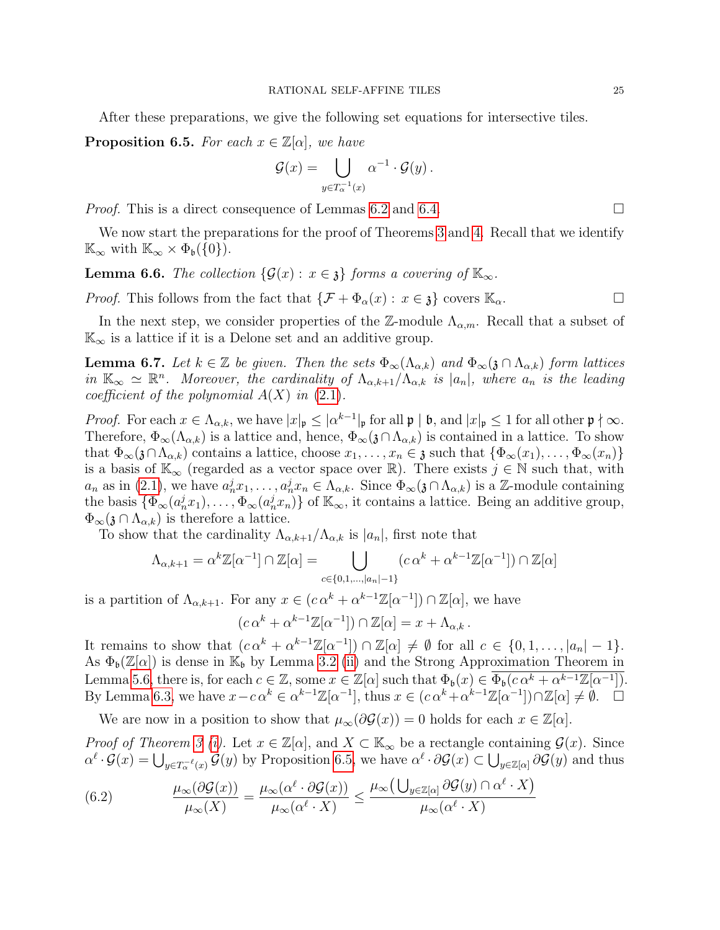After these preparations, we give the following set equations for intersective tiles.

<span id="page-24-0"></span>**Proposition 6.5.** For each  $x \in \mathbb{Z}[\alpha]$ , we have

$$
\mathcal{G}(x) = \bigcup_{y \in T_{\alpha}^{-1}(x)} \alpha^{-1} \cdot \mathcal{G}(y) .
$$

*Proof.* This is a direct consequence of Lemmas [6.2](#page-23-0) and [6.4.](#page-23-3)  $\Box$ 

We now start the preparations for the proof of Theorems [3](#page-6-0) and [4.](#page-6-1) Recall that we identify  $\mathbb{K}_{\infty}$  with  $\mathbb{K}_{\infty} \times \Phi_{\mathfrak{b}}(\{0\}).$ 

<span id="page-24-3"></span>**Lemma 6.6.** The collection  $\{\mathcal{G}(x) : x \in \mathfrak{z}\}\$  forms a covering of  $\mathbb{K}_{\infty}$ .

*Proof.* This follows from the fact that  $\{\mathcal{F} + \Phi_\alpha(x) : x \in \mathfrak{z}\}$  covers  $\mathbb{K}_\alpha$ .

In the next step, we consider properties of the Z-module  $\Lambda_{\alpha,m}$ . Recall that a subset of  $\mathbb{K}_{\infty}$  is a lattice if it is a Delone set and an additive group.

<span id="page-24-1"></span>**Lemma 6.7.** Let  $k \in \mathbb{Z}$  be given. Then the sets  $\Phi_{\infty}(\Lambda_{\alpha,k})$  and  $\Phi_{\infty}(\mathfrak{z} \cap \Lambda_{\alpha,k})$  form lattices in  $\mathbb{K}_{\infty} \simeq \mathbb{R}^n$ . Moreover, the cardinality of  $\Lambda_{\alpha,k+1}/\Lambda_{\alpha,k}$  is  $|a_n|$ , where  $a_n$  is the leading coefficient of the polynomial  $A(X)$  in  $(2.1)$ .

Proof. For each  $x \in \Lambda_{\alpha,k}$ , we have  $|x|_{\mathfrak{p}} \leq |\alpha^{k-1}|_{\mathfrak{p}}$  for all  $\mathfrak{p} \mid \mathfrak{b}$ , and  $|x|_{\mathfrak{p}} \leq 1$  for all other  $\mathfrak{p} \nmid \infty$ . Therefore,  $\Phi_{\infty}(\Lambda_{\alpha,k})$  is a lattice and, hence,  $\Phi_{\infty}(\mathfrak{z} \cap \Lambda_{\alpha,k})$  is contained in a lattice. To show that  $\Phi_{\infty}(\mathfrak{z}\cap\Lambda_{\alpha,k})$  contains a lattice, choose  $x_1,\ldots,x_n\in\mathfrak{z}$  such that  $\{\Phi_{\infty}(x_1),\ldots,\Phi_{\infty}(x_n)\}$ is a basis of  $\mathbb{K}_{\infty}$  (regarded as a vector space over  $\mathbb{R}$ ). There exists  $j \in \mathbb{N}$  such that, with  $a_n$  as in [\(2.1\)](#page-3-1), we have  $a_n^j x_1, \ldots, a_n^j x_n \in \Lambda_{\alpha,k}$ . Since  $\Phi_\infty(\mathfrak{z} \cap \Lambda_{\alpha,k})$  is a Z-module containing the basis  $\{\Phi_{\infty}(a_n^j x_1), \ldots, \Phi_{\infty}(a_n^j x_n)\}$  of  $\mathbb{K}_{\infty}$ , it contains a lattice. Being an additive group,  $\Phi_{\infty}(\mathfrak{z} \cap \Lambda_{\alpha,k})$  is therefore a lattice.

To show that the cardinality  $\Lambda_{\alpha,k+1}/\Lambda_{\alpha,k}$  is  $|a_n|$ , first note that

$$
\Lambda_{\alpha,k+1} = \alpha^k \mathbb{Z}[\alpha^{-1}] \cap \mathbb{Z}[\alpha] = \bigcup_{c \in \{0,1,\dots,|a_n|-1\}} (c \alpha^k + \alpha^{k-1} \mathbb{Z}[\alpha^{-1}]) \cap \mathbb{Z}[\alpha]
$$

is a partition of  $\Lambda_{\alpha,k+1}$ . For any  $x \in (c \alpha^k + \alpha^{k-1} \mathbb{Z}[\alpha^{-1}]) \cap \mathbb{Z}[\alpha]$ , we have

$$
(c\,\alpha^k + \alpha^{k-1}\mathbb{Z}[\alpha^{-1}]) \cap \mathbb{Z}[\alpha] = x + \Lambda_{\alpha,k}.
$$

It remains to show that  $(c\alpha^k + \alpha^{k-1}\mathbb{Z}[\alpha^{-1}]) \cap \mathbb{Z}[\alpha] \neq \emptyset$  for all  $c \in \{0, 1, ..., |\alpha_n| - 1\}.$ As  $\Phi_{\mathfrak{b}}(\mathbb{Z}[\alpha])$  is dense in  $\mathbb{K}_{\mathfrak{b}}$  by Lemma [3.2](#page-10-5) [\(ii\)](#page-10-2) and the Strong Approximation Theorem in Lemma [5.6,](#page-20-1) there is, for each  $c \in \mathbb{Z}$ , some  $x \in \mathbb{Z}[\alpha]$  such that  $\Phi_{\mathfrak{b}}(x) \in \overline{\Phi_{\mathfrak{b}}(c\alpha^k + \alpha^{k-1}\mathbb{Z}[\alpha^{-1}])}$ . By Lemma [6.3,](#page-23-2) we have  $x - c\alpha^k \in \alpha^{k-1}\mathbb{Z}[\alpha^{-1}]$ , thus  $x \in (c\alpha^k + \alpha^{k-1}\mathbb{Z}[\alpha^{-1}]) \cap \mathbb{Z}[\alpha] \neq \emptyset$ .  $\Box$ 

We are now in a position to show that  $\mu_{\infty}(\partial \mathcal{G}(x)) = 0$  holds for each  $x \in \mathbb{Z}[\alpha]$ .

*Proof of Theorem [3](#page-6-0) [\(i\)](#page-6-4).* Let  $x \in \mathbb{Z}[\alpha]$ , and  $X \subset \mathbb{K}_{\infty}$  be a rectangle containing  $\mathcal{G}(x)$ . Since  $\alpha^{\ell} \cdot \mathcal{G}(x) = \bigcup_{y \in T_{\alpha}^{-\ell}(x)} \mathcal{G}(y)$  by Proposition [6.5,](#page-24-0) we have  $\alpha^{\ell} \cdot \partial \mathcal{G}(x) \subset \bigcup_{y \in \mathbb{Z}[\alpha]} \partial \mathcal{G}(y)$  and thus

<span id="page-24-2"></span>(6.2) 
$$
\frac{\mu_{\infty}(\partial \mathcal{G}(x))}{\mu_{\infty}(X)} = \frac{\mu_{\infty}(\alpha^{\ell} \cdot \partial \mathcal{G}(x))}{\mu_{\infty}(\alpha^{\ell} \cdot X)} \leq \frac{\mu_{\infty}(\bigcup_{y \in \mathbb{Z}[\alpha]} \partial \mathcal{G}(y) \cap \alpha^{\ell} \cdot X)}{\mu_{\infty}(\alpha^{\ell} \cdot X)}
$$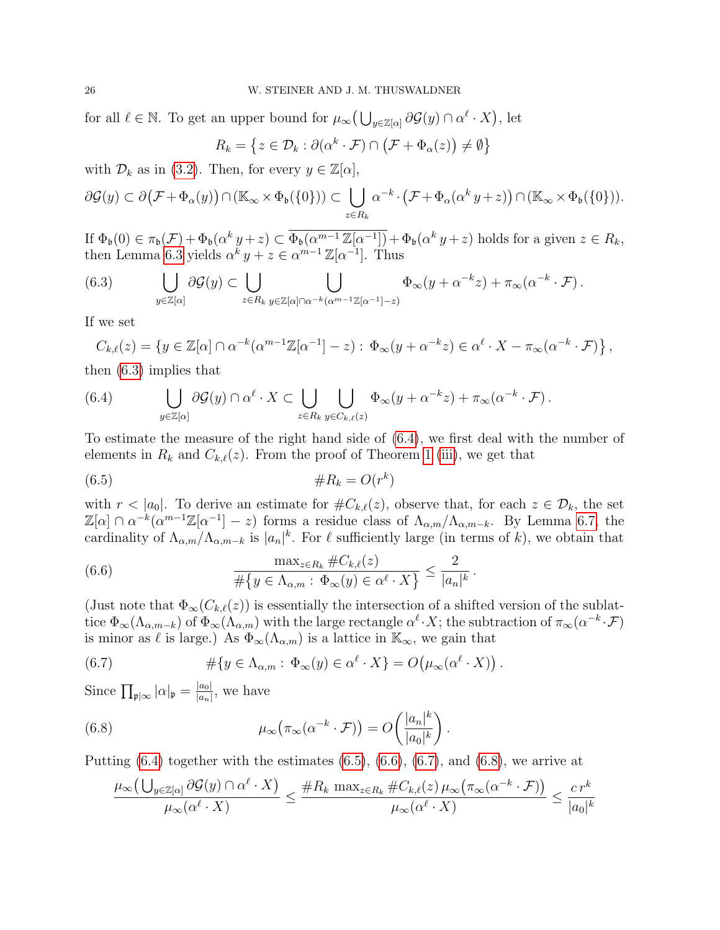for all  $\ell \in \mathbb{N}$ . To get an upper bound for  $\mu_{\infty}(\bigcup_{y \in \mathbb{Z}[\alpha]} \partial \mathcal{G}(y) \cap \alpha^{\ell} \cdot X)$ , let

$$
R_k = \left\{ z \in \mathcal{D}_k : \partial(\alpha^k \cdot \mathcal{F}) \cap (\mathcal{F} + \Phi_\alpha(z)) \neq \emptyset \right\}
$$

with  $\mathcal{D}_k$  as in [\(3.2\)](#page-12-0). Then, for every  $y \in \mathbb{Z}[\alpha],$ 

$$
\partial \mathcal{G}(y) \subset \partial (\mathcal{F} + \Phi_{\alpha}(y)) \cap (\mathbb{K}_{\infty} \times \Phi_{\mathfrak{b}}(\{0\})) \subset \bigcup_{z \in R_{k}} \alpha^{-k} \cdot (\mathcal{F} + \Phi_{\alpha}(\alpha^{k} y + z)) \cap (\mathbb{K}_{\infty} \times \Phi_{\mathfrak{b}}(\{0\})).
$$

If  $\Phi_{\mathfrak{b}}(0) \in \pi_{\mathfrak{b}}(\mathcal{F}) + \Phi_{\mathfrak{b}}(\alpha^k y + z) \subset \overline{\Phi_{\mathfrak{b}}(\alpha^{m-1} \mathbb{Z}[\alpha^{-1}])} + \Phi_{\mathfrak{b}}(\alpha^k y + z)$  holds for a given  $z \in R_k$ , then Lemma [6.3](#page-23-2) yields  $\alpha^{\tilde{k}} y + z \in \alpha^{m-1} \mathbb{Z}[\alpha^{-1}]$ . Thus

<span id="page-25-0"></span>(6.3) 
$$
\bigcup_{y \in \mathbb{Z}[\alpha]} \partial \mathcal{G}(y) \subset \bigcup_{z \in R_k} \bigcup_{y \in \mathbb{Z}[\alpha] \cap \alpha^{-k}(\alpha^{m-1}\mathbb{Z}[\alpha^{-1}]-z)} \Phi_{\infty}(y + \alpha^{-k}z) + \pi_{\infty}(\alpha^{-k} \cdot \mathcal{F}).
$$

If we set

$$
C_{k,\ell}(z) = \left\{ y \in \mathbb{Z}[\alpha] \cap \alpha^{-k}(\alpha^{m-1}\mathbb{Z}[\alpha^{-1}] - z) : \Phi_{\infty}(y + \alpha^{-k}z) \in \alpha^{\ell} \cdot X - \pi_{\infty}(\alpha^{-k} \cdot \mathcal{F}) \right\},\
$$

then [\(6.3\)](#page-25-0) implies that

<span id="page-25-1"></span>(6.4) 
$$
\bigcup_{y \in \mathbb{Z}[\alpha]} \partial \mathcal{G}(y) \cap \alpha^{\ell} \cdot X \subset \bigcup_{z \in R_k} \bigcup_{y \in C_{k,\ell}(z)} \Phi_{\infty}(y + \alpha^{-k} z) + \pi_{\infty}(\alpha^{-k} \cdot \mathcal{F}).
$$

To estimate the measure of the right hand side of [\(6.4\)](#page-25-1), we first deal with the number of elements in  $R_k$  and  $C_{k,\ell}(z)$ . From the proof of Theorem [1](#page-5-0) [\(iii\)](#page-5-5), we get that

<span id="page-25-2"></span>
$$
(6.5) \qquad \qquad \#R_k = O(r^k)
$$

with  $r < |a_0|$ . To derive an estimate for  $\#C_{k,\ell}(z)$ , observe that, for each  $z \in \mathcal{D}_k$ , the set  $\mathbb{Z}[\alpha] \cap \alpha^{-k}(\alpha^{m-1}\mathbb{Z}[\alpha^{-1}]-z)$  forms a residue class of  $\Lambda_{\alpha,m}/\Lambda_{\alpha,m-k}$ . By Lemma [6.7,](#page-24-1) the cardinality of  $\Lambda_{\alpha,m}/\Lambda_{\alpha,m-k}$  is  $|a_n|^k$ . For  $\ell$  sufficiently large (in terms of k), we obtain that

<span id="page-25-3"></span>(6.6) 
$$
\frac{\max_{z \in R_k} \#C_{k,\ell}(z)}{\#\{y \in \Lambda_{\alpha,m} : \Phi_\infty(y) \in \alpha^\ell \cdot X\}} \leq \frac{2}{|a_n|^k}.
$$

(Just note that  $\Phi_\infty(C_{k,\ell}(z))$  is essentially the intersection of a shifted version of the sublattice  $\Phi_{\infty}(\Lambda_{\alpha,m-k})$  of  $\Phi_{\infty}(\Lambda_{\alpha,m})$  with the large rectangle  $\alpha^{\ell} \cdot X$ ; the subtraction of  $\pi_{\infty}(\alpha^{-k} \cdot \mathcal{F})$ is minor as  $\ell$  is large.) As  $\Phi_{\infty}(\Lambda_{\alpha,m})$  is a lattice in  $\mathbb{K}_{\infty}$ , we gain that

<span id="page-25-4"></span>(6.7) 
$$
\# \{ y \in \Lambda_{\alpha,m} : \Phi_\infty(y) \in \alpha^\ell \cdot X \} = O(\mu_\infty(\alpha^\ell \cdot X)).
$$

Since  $\prod_{\mathfrak{p} \mid \infty} |\alpha|_{\mathfrak{p}} = \frac{|a_0|}{|a_n|}$  $\frac{|a_0|}{|a_n|}$ , we have

(6.8) 
$$
\mu_{\infty}(\pi_{\infty}(\alpha^{-k}\cdot\mathcal{F}))=O\left(\frac{|a_n|^k}{|a_0|^k}\right).
$$

Putting  $(6.4)$  together with the estimates  $(6.5)$ ,  $(6.6)$ ,  $(6.7)$ , and  $(6.8)$ , we arrive at

<span id="page-25-5"></span>
$$
\frac{\mu_{\infty}\left(\bigcup_{y\in\mathbb{Z}[\alpha]} \partial \mathcal{G}(y) \cap \alpha^{\ell} \cdot X\right)}{\mu_{\infty}(\alpha^{\ell} \cdot X)} \leq \frac{\#R_k \max_{z\in R_k} \#C_{k,\ell}(z) \mu_{\infty}\left(\pi_{\infty}(\alpha^{-k} \cdot \mathcal{F})\right)}{\mu_{\infty}(\alpha^{\ell} \cdot X)} \leq \frac{c r^k}{|a_0|^k}
$$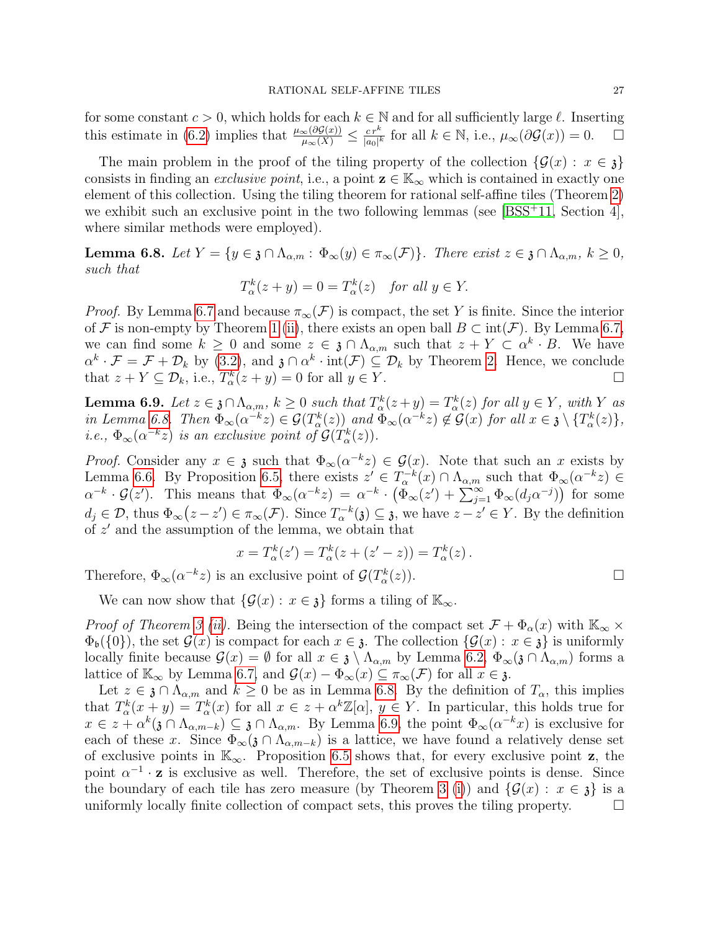for some constant  $c > 0$ , which holds for each  $k \in \mathbb{N}$  and for all sufficiently large  $\ell$ . Inserting this estimate in (6.2) implies that  $\frac{\mu_{\infty}(\partial \mathcal{G}(x))}{\mu_{\infty}(\mathcal{X})} < \frac{c r^k}{|c|^{1-k}}$  for all  $k \in \mathbb{N}$ , i.e., this estimate in [\(6.2\)](#page-24-2) implies that  $\frac{\mu_{\infty}(\partial \mathcal{G}(x))}{\mu_{\infty}(X)} \leq \frac{c r^k}{|a_0|^k}$  $\frac{c r^k}{|a_0|^k}$  for all  $k \in \mathbb{N}$ , i.e.,  $\mu_\infty(\partial \mathcal{G}(x)) = 0$ .  $\Box$ 

The main problem in the proof of the tiling property of the collection  $\{\mathcal{G}(x): x \in \mathfrak{z}\}\$ consists in finding an *exclusive point*, i.e., a point  $z \in \mathbb{K}_{\infty}$  which is contained in exactly one element of this collection. Using the tiling theorem for rational self-affine tiles (Theorem [2\)](#page-5-1) we exhibit such an exclusive point in the two following lemmas (see  $[BSS+11, Section 4]$  $[BSS+11, Section 4]$ , where similar methods were employed).

<span id="page-26-0"></span>**Lemma 6.8.** Let  $Y = \{y \in \mathfrak{z} \cap \Lambda_{\alpha,m} : \Phi_\infty(y) \in \pi_\infty(\mathcal{F})\}$ . There exist  $z \in \mathfrak{z} \cap \Lambda_{\alpha,m}$ ,  $k \geq 0$ , such that

$$
T_{\alpha}^{k}(z+y) = 0 = T_{\alpha}^{k}(z) \quad \text{for all } y \in Y.
$$

*Proof.* By Lemma [6.7](#page-24-1) and because  $\pi_{\infty}(\mathcal{F})$  is compact, the set Y is finite. Since the interior of F is non-empty by Theorem [1](#page-5-0) [\(ii\)](#page-5-4), there exists an open ball  $B \subset \text{int}(\mathcal{F})$ . By Lemma [6.7,](#page-24-1) we can find some  $k \geq 0$  and some  $z \in \mathfrak{z} \cap \Lambda_{\alpha,m}$  such that  $z + Y \subset \alpha^k \cdot B$ . We have  $\alpha^k \cdot \mathcal{F} = \mathcal{F} + \mathcal{D}_k$  by [\(3.2\)](#page-12-0), and  $\mathfrak{z} \cap \alpha^k \cdot \text{int}(\mathcal{F}) \subseteq \mathcal{D}_k$  by Theorem [2.](#page-5-1) Hence, we conclude that  $z + Y \subseteq \mathcal{D}_k$ , i.e.,  $T_\alpha^k(z + y) = 0$  for all  $y \in Y$ .

<span id="page-26-1"></span>**Lemma 6.9.** Let  $z \in \mathfrak{z} \cap \Lambda_{\alpha,m}$ ,  $k \geq 0$  such that  $T^k_{\alpha}(z+y) = T^k_{\alpha}(z)$  for all  $y \in Y$ , with Y as in Lemma [6.8.](#page-26-0) Then  $\Phi_{\infty}(\alpha^{-k}z) \in \mathcal{G}(T_{\alpha}^k(z))$  and  $\Phi_{\infty}(\alpha^{-k}z) \notin \mathcal{G}(x)$  for all  $x \in \mathfrak{z} \setminus \{T_{\alpha}^k(z)\},$ *i.e.*,  $\Phi_{\infty}(\alpha^{-k}z)$  is an exclusive point of  $\mathcal{G}(T_{\alpha}^k(z))$ .

*Proof.* Consider any  $x \in \mathfrak{z}$  such that  $\Phi_{\infty}(\alpha^{-k}z) \in \mathcal{G}(x)$ . Note that such an x exists by Lemma [6.6.](#page-24-3) By Proposition [6.5,](#page-24-0) there exists  $z' \in T_\alpha^{-k}(x) \cap \Lambda_{\alpha,m}$  such that  $\Phi_\infty(\alpha^{-k}z) \in$  $\alpha^{-k} \cdot \mathcal{G}(z')$ . This means that  $\Phi_{\infty}(\alpha^{-k}z) = \alpha^{-k} \cdot (\tilde{\Phi}_{\infty}(z') + \sum_{j=1}^{\infty} \Phi_{\infty}(d_j \alpha^{-j}))$  for some  $d_j \in \mathcal{D}$ , thus  $\Phi_{\infty}(z-z') \in \pi_{\infty}(\mathcal{F})$ . Since  $T_{\alpha}^{-k}(\mathfrak{z}) \subseteq \mathfrak{z}$ , we have  $z-z' \in Y$ . By the definition of  $z'$  and the assumption of the lemma, we obtain that

$$
x = T_{\alpha}^{k}(z') = T_{\alpha}^{k}(z + (z' - z)) = T_{\alpha}^{k}(z).
$$

Therefore,  $\Phi_{\infty}(\alpha^{-k}z)$  is an exclusive point of  $\mathcal{G}(T_{\alpha}^{k}(z))$ .

We can now show that  $\{\mathcal{G}(x): x \in \mathfrak{z}\}\)$  forms a tiling of  $\mathbb{K}_{\infty}$ .

*Proof of Theorem [3](#page-6-0) [\(ii\)](#page-6-5).* Being the intersection of the compact set  $\mathcal{F} + \Phi_{\alpha}(x)$  with  $\mathbb{K}_{\infty} \times$  $\Phi_{\mathfrak{b}}(\{0\})$ , the set  $\mathcal{G}(x)$  is compact for each  $x \in \mathfrak{z}$ . The collection  $\{\mathcal{G}(x): x \in \mathfrak{z}\}\$ is uniformly locally finite because  $\mathcal{G}(x) = \emptyset$  for all  $x \in \mathfrak{z} \setminus \Lambda_{\alpha,m}$  by Lemma [6.2,](#page-23-0)  $\Phi_{\infty}(\mathfrak{z} \cap \Lambda_{\alpha,m})$  forms a lattice of  $\mathbb{K}_{\infty}$  by Lemma [6.7,](#page-24-1) and  $\mathcal{G}(x) - \Phi_{\infty}(x) \subseteq \pi_{\infty}(\mathcal{F})$  for all  $x \in \mathfrak{z}$ .

Let  $z \in \mathfrak{z} \cap \Lambda_{\alpha,m}$  and  $k \geq 0$  be as in Lemma [6.8.](#page-26-0) By the definition of  $T_{\alpha}$ , this implies that  $T_{\alpha}^{k}(x+y) = T_{\alpha}^{k}(x)$  for all  $x \in z + \alpha^{k}\mathbb{Z}[\alpha], y \in Y$ . In particular, this holds true for  $x \in z + \alpha^k(\mathfrak{z} \cap \Lambda_{\alpha,m-k}) \subseteq \mathfrak{z} \cap \Lambda_{\alpha,m}$ . By Lemma [6.9,](#page-26-1) the point  $\Phi_{\infty}(\alpha^{-k}x)$  is exclusive for each of these x. Since  $\Phi_{\infty}(\mathfrak{z} \cap \Lambda_{\alpha,m-k})$  is a lattice, we have found a relatively dense set of exclusive points in  $\mathbb{K}_{\infty}$ . Proposition [6.5](#page-24-0) shows that, for every exclusive point **z**, the point  $\alpha^{-1} \cdot z$  is exclusive as well. Therefore, the set of exclusive points is dense. Since the boundary of each tile has zero measure (by Theorem [3](#page-6-0) [\(i\)](#page-6-4)) and  $\{\mathcal{G}(x) : x \in \mathfrak{z}\}\)$  is a uniformly locally finite collection of compact sets, this proves the tiling property. uniformly locally finite collection of compact sets, this proves the tiling property.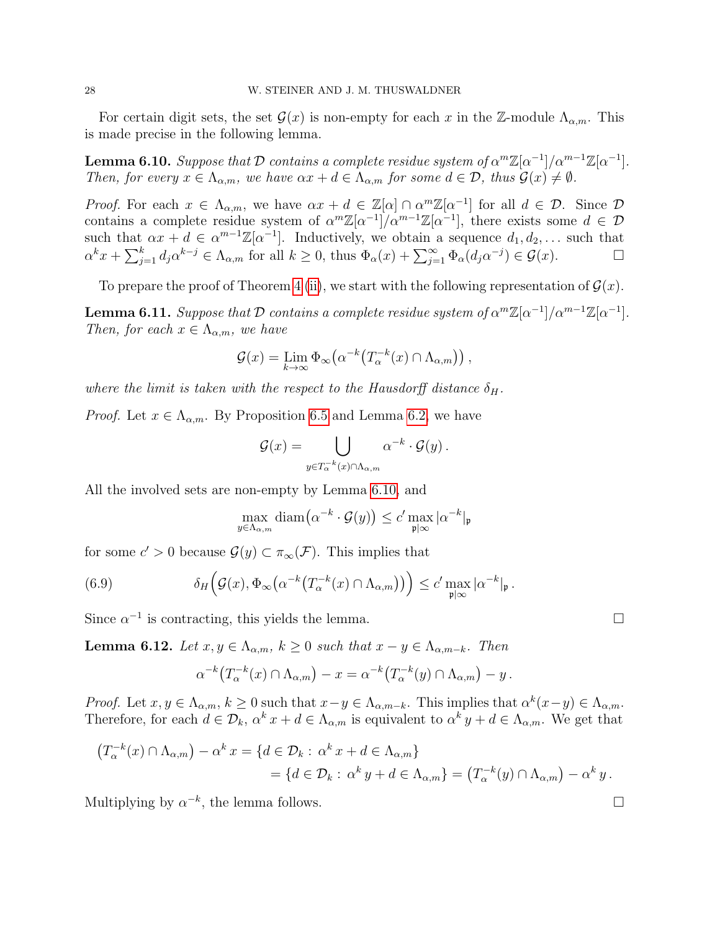For certain digit sets, the set  $\mathcal{G}(x)$  is non-empty for each x in the Z-module  $\Lambda_{\alpha,m}$ . This is made precise in the following lemma.

<span id="page-27-0"></span>**Lemma 6.10.** Suppose that  $\mathcal D$  contains a complete residue system of  $\alpha^m \mathbb{Z}[\alpha^{-1}]/\alpha^{m-1}\mathbb{Z}[\alpha^{-1}]$ . Then, for every  $x \in \Lambda_{\alpha,m}$ , we have  $\alpha x + d \in \Lambda_{\alpha,m}$  for some  $d \in \mathcal{D}$ , thus  $\mathcal{G}(x) \neq \emptyset$ .

*Proof.* For each  $x \in \Lambda_{\alpha,m}$ , we have  $\alpha x + d \in \mathbb{Z}[\alpha] \cap \alpha^m \mathbb{Z}[\alpha^{-1}]$  for all  $d \in \mathcal{D}$ . Since  $\mathcal{D}$ contains a complete residue system of  $\alpha^m \mathbb{Z}[\alpha^{-1}]/\alpha^{m-1}\mathbb{Z}[\alpha^{-1}]$ , there exists some  $d \in \mathcal{D}$ such that  $\alpha x + d \in \alpha^{m-1}\mathbb{Z}[\alpha^{-1}]$ . Inductively, we obtain a sequence  $d_1, d_2, \ldots$  such that  $\alpha^k x + \sum_{j=1}^k d_j \alpha^{k-j} \in \Lambda_{\alpha,m}$  for all  $k \geq 0$ , thus  $\Phi_\alpha(x) + \sum_{j=1}^\infty \Phi_\alpha(d_j \alpha^{-j}) \in \mathcal{G}(x)$ .

To prepare the proof of Theorem [4](#page-6-1) [\(ii\)](#page-6-2), we start with the following representation of  $\mathcal{G}(x)$ .

**Lemma 6.11.** Suppose that  $\mathcal{D}$  contains a complete residue system of  $\alpha^m \mathbb{Z}[\alpha^{-1}]/\alpha^{m-1} \mathbb{Z}[\alpha^{-1}]$ . Then, for each  $x \in \Lambda_{\alpha,m}$ , we have

$$
\mathcal{G}(x) = \lim_{k \to \infty} \Phi_{\infty}(\alpha^{-k}(T_{\alpha}^{-k}(x) \cap \Lambda_{\alpha,m})),
$$

where the limit is taken with the respect to the Hausdorff distance  $\delta_H$ .

*Proof.* Let  $x \in \Lambda_{\alpha,m}$ . By Proposition [6.5](#page-24-0) and Lemma [6.2,](#page-23-0) we have

$$
\mathcal{G}(x) = \bigcup_{y \in T_{\alpha}^{-k}(x) \cap \Lambda_{\alpha,m}} \alpha^{-k} \cdot \mathcal{G}(y) .
$$

All the involved sets are non-empty by Lemma [6.10,](#page-27-0) and

<span id="page-27-2"></span>
$$
\max_{y \in \Lambda_{\alpha,m}} \text{diam}\big(\alpha^{-k} \cdot \mathcal{G}(y)\big) \le c' \max_{\mathfrak{p} \mid \infty} |\alpha^{-k}|_{\mathfrak{p}}
$$

for some  $c' > 0$  because  $\mathcal{G}(y) \subset \pi_{\infty}(\mathcal{F})$ . This implies that

(6.9) 
$$
\delta_H\Big(\mathcal{G}(x),\Phi_\infty\big(\alpha^{-k}\big(T_\alpha^{-k}(x)\cap\Lambda_{\alpha,m}\big)\big)\Big)\leq c'\max_{\mathfrak{p}\mid\infty}|\alpha^{-k}|_{\mathfrak{p}}.
$$

Since  $\alpha^{-1}$  is contracting, this yields the lemma.

<span id="page-27-1"></span>**Lemma 6.12.** Let  $x, y \in \Lambda_{\alpha,m}$ ,  $k \geq 0$  such that  $x - y \in \Lambda_{\alpha,m-k}$ . Then

$$
\alpha^{-k}\big(T_\alpha^{-k}(x)\cap\Lambda_{\alpha,m}\big)-x=\alpha^{-k}\big(T_\alpha^{-k}(y)\cap\Lambda_{\alpha,m}\big)-y.
$$

Proof. Let  $x, y \in \Lambda_{\alpha,m}, k \geq 0$  such that  $x - y \in \Lambda_{\alpha,m-k}$ . This implies that  $\alpha^k(x - y) \in \Lambda_{\alpha,m}$ . Therefore, for each  $d \in \mathcal{D}_k$ ,  $\alpha^k x + d \in \Lambda_{\alpha,m}$  is equivalent to  $\alpha^k y + d \in \Lambda_{\alpha,m}$ . We get that

$$
(T_{\alpha}^{-k}(x) \cap \Lambda_{\alpha,m}) - \alpha^{k} x = \{ d \in \mathcal{D}_{k} : \alpha^{k} x + d \in \Lambda_{\alpha,m} \}
$$
  
= 
$$
\{ d \in \mathcal{D}_{k} : \alpha^{k} y + d \in \Lambda_{\alpha,m} \} = (T_{\alpha}^{-k}(y) \cap \Lambda_{\alpha,m}) - \alpha^{k} y.
$$

Multiplying by  $\alpha^{-k}$ , the lemma follows.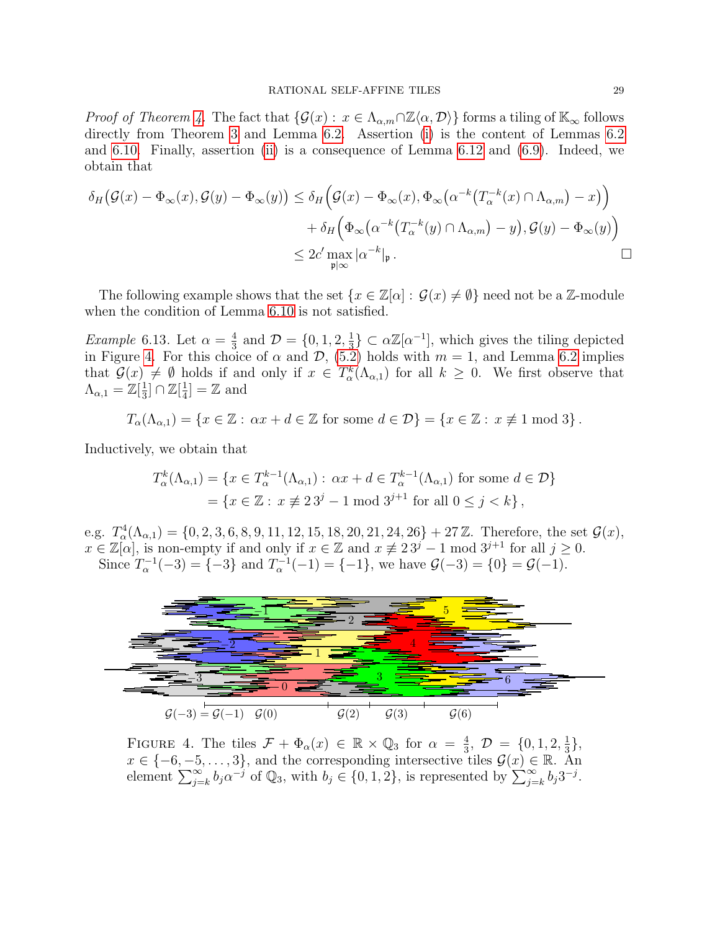*Proof of Theorem [4.](#page-6-1)* The fact that  $\{\mathcal{G}(x): x \in \Lambda_{\alpha,m} \cap \mathbb{Z}\langle \alpha, \mathcal{D} \rangle\}$  forms a tiling of  $\mathbb{K}_{\infty}$  follows directly from Theorem [3](#page-6-0) and Lemma [6.2.](#page-23-0) Assertion [\(i\)](#page-6-6) is the content of Lemmas [6.2](#page-23-0) and [6.10.](#page-27-0) Finally, assertion [\(ii\)](#page-6-2) is a consequence of Lemma [6.12](#page-27-1) and [\(6.9\)](#page-27-2). Indeed, we obtain that

$$
\delta_H\big(\mathcal{G}(x) - \Phi_\infty(x), \mathcal{G}(y) - \Phi_\infty(y)\big) \le \delta_H\Big(\mathcal{G}(x) - \Phi_\infty(x), \Phi_\infty\big(\alpha^{-k}\big(T_\alpha^{-k}(x) \cap \Lambda_{\alpha,m}\big) - x\big)\Big) \n+ \delta_H\Big(\Phi_\infty\big(\alpha^{-k}\big(T_\alpha^{-k}(y) \cap \Lambda_{\alpha,m}\big) - y\big), \mathcal{G}(y) - \Phi_\infty(y)\Big) \n\le 2c' \max_{\mathfrak{p}|\infty} |\alpha^{-k}|_{\mathfrak{p}}.
$$

The following example shows that the set  $\{x \in \mathbb{Z}[\alpha]: \mathcal{G}(x) \neq \emptyset\}$  need not be a Z-module when the condition of Lemma [6.10](#page-27-0) is not satisfied.

*Example* 6.13. Let  $\alpha = \frac{4}{3}$  $\frac{4}{3}$  and  $\mathcal{D} = \{0, 1, 2, \frac{1}{3}\}$  $\frac{1}{3}$   $\subset \alpha \mathbb{Z}[\alpha^{-1}]$ , which gives the tiling depicted in Figure [4.](#page-28-0) For this choice of  $\alpha$  and  $\mathcal{D}$ , [\(5.2\)](#page-19-4) holds with  $m = 1$ , and Lemma [6.2](#page-23-0) implies that  $\mathcal{G}(x) \neq \emptyset$  holds if and only if  $x \in T^k_\alpha(\Lambda_{\alpha,1})$  for all  $k \geq 0$ . We first observe that  $\Lambda_{\alpha,1}=\mathbb{Z}[\frac{1}{3}]$  $\frac{1}{3}$ ]  $\cap \mathbb{Z}[\frac{1}{4}]$  $\frac{1}{4}$ ] = Z and

$$
T_{\alpha}(\Lambda_{\alpha,1}) = \{x \in \mathbb{Z} : \alpha x + d \in \mathbb{Z} \text{ for some } d \in \mathcal{D}\} = \{x \in \mathbb{Z} : x \not\equiv 1 \bmod 3\}.
$$

Inductively, we obtain that

$$
T_{\alpha}^{k}(\Lambda_{\alpha,1}) = \{ x \in T_{\alpha}^{k-1}(\Lambda_{\alpha,1}) : \alpha x + d \in T_{\alpha}^{k-1}(\Lambda_{\alpha,1}) \text{ for some } d \in \mathcal{D} \}
$$
  
=  $\{ x \in \mathbb{Z} : x \not\equiv 23^{j} - 1 \text{ mod } 3^{j+1} \text{ for all } 0 \le j < k \},$ 

e.g.  $T^4_\alpha(\Lambda_{\alpha,1}) = \{0, 2, 3, 6, 8, 9, 11, 12, 15, 18, 20, 21, 24, 26\} + 27\mathbb{Z}$ . Therefore, the set  $\mathcal{G}(x)$ ,  $x \in \mathbb{Z}[\alpha]$ , is non-empty if and only if  $x \in \mathbb{Z}$  and  $x \not\equiv 2\,3^j - 1 \bmod 3^{j+1}$  for all  $j \geq 0$ . Since  $T_{\alpha}^{-1}(-3) = \{-3\}$  and  $T_{\alpha}^{-1}(-1) = \{-1\}$ , we have  $\mathcal{G}(-3) = \{0\} = \mathcal{G}(-1)$ .



<span id="page-28-0"></span>FIGURE 4. The tiles  $\mathcal{F} + \Phi_{\alpha}(x) \in \mathbb{R} \times \mathbb{Q}_3$  for  $\alpha = \frac{4}{3}$  $\frac{4}{3}$ ,  $\mathcal{D} = \{0, 1, 2, \frac{1}{3}\}$  $\frac{1}{3}$ ,  $x \in \{-6, -5, \ldots, 3\}$ , and the corresponding intersective tiles  $\mathcal{G}(x) \in \mathbb{R}$ . An element  $\sum_{j=k}^{\infty} b_j \alpha^{-j}$  of  $\mathbb{Q}_3$ , with  $b_j \in \{0, 1, 2\}$ , is represented by  $\sum_{j=k}^{\infty} b_j 3^{-j}$ .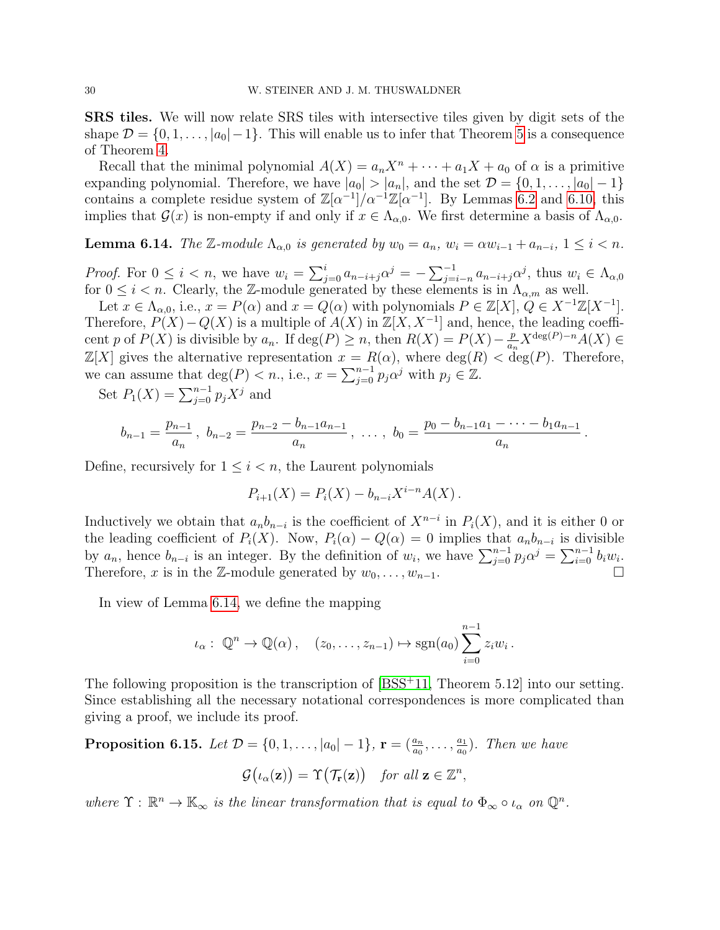SRS tiles. We will now relate SRS tiles with intersective tiles given by digit sets of the shape  $\mathcal{D} = \{0, 1, \ldots, |a_0| - 1\}$ . This will enable us to infer that Theorem [5](#page-7-1) is a consequence of Theorem [4.](#page-6-1)

Recall that the minimal polynomial  $A(X) = a_n X^n + \cdots + a_1 X + a_0$  of  $\alpha$  is a primitive expanding polynomial. Therefore, we have  $|a_0| > |a_n|$ , and the set  $\mathcal{D} = \{0, 1, \ldots, |a_0| - 1\}$ contains a complete residue system of  $\mathbb{Z}[\alpha^{-1}]/\alpha^{-1}\mathbb{Z}[\alpha^{-1}]$ . By Lemmas [6.2](#page-23-0) and [6.10,](#page-27-0) this implies that  $\mathcal{G}(x)$  is non-empty if and only if  $x \in \Lambda_{\alpha,0}$ . We first determine a basis of  $\Lambda_{\alpha,0}$ .

<span id="page-29-1"></span>**Lemma 6.14.** The Z-module  $\Lambda_{\alpha,0}$  is generated by  $w_0 = a_n$ ,  $w_i = \alpha w_{i-1} + a_{n-i}$ ,  $1 \leq i \leq n$ .

*Proof.* For  $0 \le i < n$ , we have  $w_i = \sum_{j=0}^i a_{n-i+j} \alpha^j = -\sum_{j=i-n}^{-1} a_{n-i+j} \alpha^j$ , thus  $w_i \in \Lambda_{\alpha,0}$ for  $0 \leq i < n$ . Clearly, the Z-module generated by these elements is in  $\Lambda_{\alpha,m}$  as well.

Let  $x \in \Lambda_{\alpha,0}$ , i.e.,  $x = P(\alpha)$  and  $x = Q(\alpha)$  with polynomials  $P \in \mathbb{Z}[X]$ ,  $Q \in X^{-1}\mathbb{Z}[X^{-1}]$ . Therefore,  $P(X) - Q(X)$  is a multiple of  $A(X)$  in  $\mathbb{Z}[X, X^{-1}]$  and, hence, the leading coefficent p of  $P(X)$  is divisible by  $a_n$ . If  $deg(P) \geq n$ , then  $R(X) = P(X) - \frac{p}{a_n}$  $\frac{p}{a_n}X^{\deg(P)-n}A(X) \in$  $\mathbb{Z}[X]$  gives the alternative representation  $x = R(\alpha)$ , where  $\deg(R) < \deg(P)$ . Therefore, we can assume that  $\deg(P) < n$ ., i.e.,  $x = \sum_{j=0}^{n-1} p_j \alpha^j$  with  $p_j \in \mathbb{Z}$ .

Set  $P_1(X) = \sum_{j=0}^{n-1} p_j X^j$  and

$$
b_{n-1} = \frac{p_{n-1}}{a_n}, \ b_{n-2} = \frac{p_{n-2} - b_{n-1}a_{n-1}}{a_n}, \ \ldots, \ b_0 = \frac{p_0 - b_{n-1}a_1 - \cdots - b_1a_{n-1}}{a_n}
$$

.

Define, recursively for  $1 \leq i < n$ , the Laurent polynomials

$$
P_{i+1}(X) = P_i(X) - b_{n-i}X^{i-n}A(X).
$$

Inductively we obtain that  $a_n b_{n-i}$  is the coefficient of  $X^{n-i}$  in  $P_i(X)$ , and it is either 0 or the leading coefficient of  $P_i(X)$ . Now,  $P_i(\alpha) - Q(\alpha) = 0$  implies that  $a_n b_{n-i}$  is divisible by  $a_n$ , hence  $b_{n-i}$  is an integer. By the definition of  $w_i$ , we have  $\sum_{j=0}^{n-1} p_j \alpha^j = \sum_{i=0}^{n-1} b_i w_i$ . Therefore, x is in the Z-module generated by  $w_0, \ldots, w_{n-1}$ .

In view of Lemma [6.14,](#page-29-1) we define the mapping

$$
\iota_{\alpha}: \mathbb{Q}^n \to \mathbb{Q}(\alpha), \quad (z_0, \ldots, z_{n-1}) \mapsto \mathrm{sgn}(a_0) \sum_{i=0}^{n-1} z_i w_i.
$$

The following proposition is the transcription of [\[BSS](#page-31-17)<sup>+</sup>11, Theorem 5.12] into our setting. Since establishing all the necessary notational correspondences is more complicated than giving a proof, we include its proof.

<span id="page-29-0"></span>**Proposition 6.15.** Let  $\mathcal{D} = \{0, 1, \ldots, |a_0| - 1\}$ ,  $\mathbf{r} = (\frac{a_n}{a_0}, \ldots, \frac{a_1}{a_0})$  $\frac{a_1}{a_0}$ ). Then we have

$$
\mathcal{G}\big(\iota_{\alpha}(\mathbf{z})\big) = \Upsilon\big(\mathcal{T}_{\mathbf{r}}(\mathbf{z})\big) \quad \text{for all } \mathbf{z} \in \mathbb{Z}^n,
$$

where  $\Upsilon : \mathbb{R}^n \to \mathbb{K}_{\infty}$  is the linear transformation that is equal to  $\Phi_{\infty} \circ \iota_{\alpha}$  on  $\mathbb{Q}^n$ .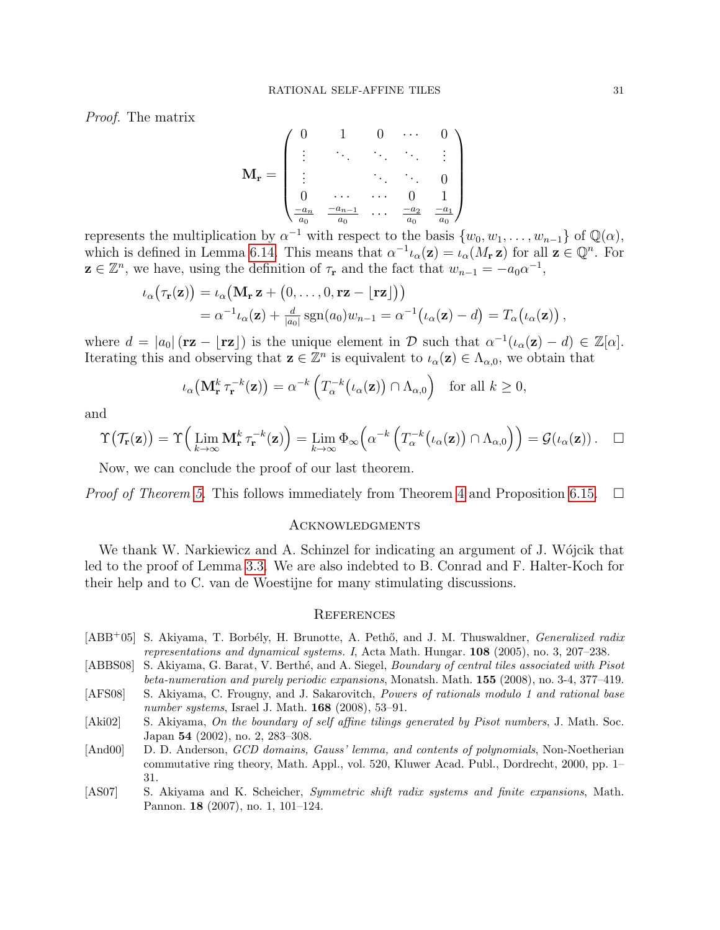Proof. The matrix

$$
\mathbf{M}_{\mathbf{r}} = \begin{pmatrix} 0 & 1 & 0 & \cdots & 0 \\ \vdots & \ddots & \ddots & \ddots & \vdots \\ \vdots & & \ddots & \ddots & 0 \\ 0 & \cdots & \cdots & 0 & 1 \\ \frac{-a_n}{a_0} & \frac{-a_{n-1}}{a_0} & \cdots & \frac{-a_2}{a_0} & \frac{-a_1}{a_0} \end{pmatrix}
$$

represents the multiplication by  $\alpha^{-1}$  with respect to the basis  $\{w_0, w_1, \ldots, w_{n-1}\}$  of  $\mathbb{Q}(\alpha)$ , which is defined in Lemma [6.14.](#page-29-1) This means that  $\alpha^{-1} \iota_\alpha(\mathbf{z}) = \iota_\alpha(M_\mathbf{r} \mathbf{z})$  for all  $\mathbf{z} \in \mathbb{Q}^n$ . For  $\mathbf{z} \in \mathbb{Z}^n$ , we have, using the definition of  $\tau_{\mathbf{r}}$  and the fact that  $w_{n-1} = -a_0 \alpha^{-1}$ ,

$$
\iota_{\alpha}(\tau_{\mathbf{r}}(\mathbf{z})) = \iota_{\alpha}(\mathbf{M}_{\mathbf{r}} \mathbf{z} + (0, \dots, 0, \mathbf{r} \mathbf{z} - \lfloor \mathbf{r} \mathbf{z} \rfloor)) \n= \alpha^{-1} \iota_{\alpha}(\mathbf{z}) + \frac{d}{|a_0|} \operatorname{sgn}(a_0) w_{n-1} = \alpha^{-1} (\iota_{\alpha}(\mathbf{z}) - d) = T_{\alpha} (\iota_{\alpha}(\mathbf{z})),
$$

where  $d = |a_0| (\mathbf{r} \mathbf{z} - \lfloor \mathbf{r} \mathbf{z} \rfloor)$  is the unique element in D such that  $\alpha^{-1}(\iota_\alpha(\mathbf{z}) - d) \in \mathbb{Z}[\alpha]$ . Iterating this and observing that  $z \in \mathbb{Z}^n$  is equivalent to  $\iota_\alpha(z) \in \Lambda_{\alpha,0}$ , we obtain that

$$
\iota_{\alpha}\big(\mathbf{M}_{\mathbf{r}}^{k} \,\tau_{\mathbf{r}}^{-k}(\mathbf{z})\big) = \alpha^{-k}\left(T_{\alpha}^{-k}\big(\iota_{\alpha}(\mathbf{z})\big) \cap \Lambda_{\alpha,0}\right) \quad \text{for all } k \ge 0,
$$

and

$$
\Upsilon(\mathcal{T}_{\mathbf{r}}(\mathbf{z})) = \Upsilon\Big(\lim_{k \to \infty} \mathbf{M}_{\mathbf{r}}^k \tau_{\mathbf{r}}^{-k}(\mathbf{z})\Big) = \lim_{k \to \infty} \Phi_{\infty}\Big(\alpha^{-k}\left(T_{\alpha}^{-k}\big(\iota_{\alpha}(\mathbf{z})\big) \cap \Lambda_{\alpha,0}\right)\Big) = \mathcal{G}(\iota_{\alpha}(\mathbf{z})) . \quad \Box
$$

Now, we can conclude the proof of our last theorem.

*Proof of Theorem [5.](#page-7-1)* This follows immediately from Theorem [4](#page-6-1) and Proposition [6.15.](#page-29-0)  $\Box$ 

#### Acknowledgments

We thank W. Narkiewicz and A. Schinzel for indicating an argument of J. Wójcik that led to the proof of Lemma [3.3.](#page-11-2) We are also indebted to B. Conrad and F. Halter-Koch for their help and to C. van de Woestijne for many stimulating discussions.

### **REFERENCES**

- <span id="page-30-1"></span>[ABB<sup>+</sup>05] S. Akiyama, T. Borbély, H. Brunotte, A. Pethő, and J. M. Thuswaldner, *Generalized radix* representations and dynamical systems. I, Acta Math. Hungar. 108 (2005), no. 3, 207–238.
- <span id="page-30-0"></span>[ABBS08] S. Akiyama, G. Barat, V. Berthé, and A. Siegel, *Boundary of central tiles associated with Pisot* beta-numeration and purely periodic expansions, Monatsh. Math. 155 (2008), no. 3-4, 377–419.
- <span id="page-30-4"></span>[AFS08] S. Akiyama, C. Frougny, and J. Sakarovitch, Powers of rationals modulo 1 and rational base number systems, Israel J. Math. **168** (2008), 53–91.
- <span id="page-30-2"></span>[Aki02] S. Akiyama, On the boundary of self affine tilings generated by Pisot numbers, J. Math. Soc. Japan 54 (2002), no. 2, 283–308.
- <span id="page-30-5"></span>[And00] D. D. Anderson, GCD domains, Gauss' lemma, and contents of polynomials, Non-Noetherian commutative ring theory, Math. Appl., vol. 520, Kluwer Acad. Publ., Dordrecht, 2000, pp. 1– 31.
- <span id="page-30-3"></span>[AS07] S. Akiyama and K. Scheicher, Symmetric shift radix systems and finite expansions, Math. Pannon. 18 (2007), no. 1, 101–124.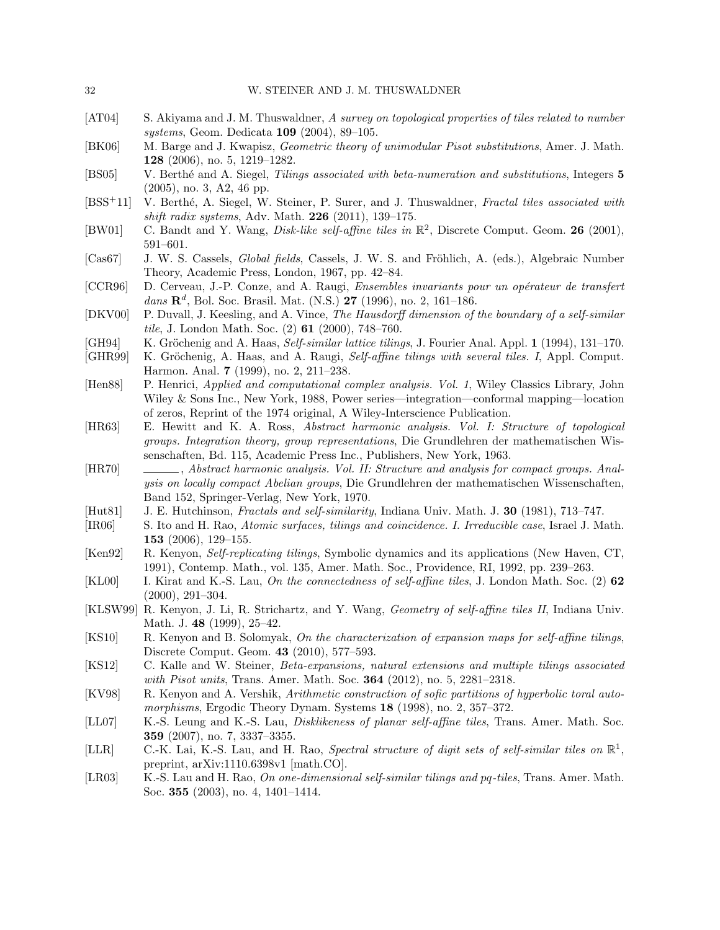- <span id="page-31-7"></span>[AT04] S. Akiyama and J. M. Thuswaldner, A survey on topological properties of tiles related to number systems, Geom. Dedicata 109 (2004), 89–105.
- <span id="page-31-15"></span>[BK06] M. Barge and J. Kwapisz, Geometric theory of unimodular Pisot substitutions, Amer. J. Math. 128 (2006), no. 5, 1219–1282.
- <span id="page-31-18"></span>[BS05] V. Berthé and A. Siegel, Tilings associated with beta-numeration and substitutions, Integers 5 (2005), no. 3, A2, 46 pp.
- <span id="page-31-17"></span>[BSS<sup>+</sup>11] V. Berthé, A. Siegel, W. Steiner, P. Surer, and J. Thuswaldner, Fractal tiles associated with shift radix systems, Adv. Math.  $226$  (2011), 139–175.
- <span id="page-31-6"></span>[BW01] C. Bandt and Y. Wang, *Disk-like self-affine tiles in*  $\mathbb{R}^2$ , Discrete Comput. Geom. **26** (2001), 591–601.
- <span id="page-31-23"></span>[Cas67] J. W. S. Cassels, *Global fields*, Cassels, J. W. S. and Fröhlich, A. (eds.), Algebraic Number Theory, Academic Press, London, 1967, pp. 42–84.
- <span id="page-31-16"></span>[CCR96] D. Cerveau, J.-P. Conze, and A. Raugi, *Ensembles invariants pour un opérateur de transfert*  $dans \ \mathbf{R}^{d}$ , Bol. Soc. Brasil. Mat. (N.S.) 27 (1996), no. 2, 161-186.
- <span id="page-31-4"></span>[DKV00] P. Duvall, J. Keesling, and A. Vince, The Hausdorff dimension of the boundary of a self-similar tile, J. London Math. Soc.  $(2)$  61  $(2000)$ , 748–760.
- <span id="page-31-2"></span>[GH94] K. Gröchenig and A. Haas, Self-similar lattice tilings, J. Fourier Anal. Appl.  $1$  (1994), 131–170.
- <span id="page-31-12"></span>[GHR99] K. Gröchenig, A. Haas, and A. Raugi, Self-affine tilings with several tiles. I, Appl. Comput. Harmon. Anal. 7 (1999), no. 2, 211–238.
- <span id="page-31-20"></span>[Hen88] P. Henrici, *Applied and computational complex analysis. Vol. 1*, Wiley Classics Library, John Wiley & Sons Inc., New York, 1988, Power series—integration—conformal mapping—location of zeros, Reprint of the 1974 original, A Wiley-Interscience Publication.
- <span id="page-31-21"></span>[HR63] E. Hewitt and K. A. Ross, Abstract harmonic analysis. Vol. I: Structure of topological groups. Integration theory, group representations, Die Grundlehren der mathematischen Wissenschaften, Bd. 115, Academic Press Inc., Publishers, New York, 1963.
- <span id="page-31-22"></span>[HR70] , Abstract harmonic analysis. Vol. II: Structure and analysis for compact groups. Analysis on locally compact Abelian groups, Die Grundlehren der mathematischen Wissenschaften, Band 152, Springer-Verlag, New York, 1970.
- <span id="page-31-0"></span>[Hut81] J. E. Hutchinson, Fractals and self-similarity, Indiana Univ. Math. J. 30 (1981), 713–747.
- <span id="page-31-13"></span>[IR06] S. Ito and H. Rao, Atomic surfaces, tilings and coincidence. I. Irreducible case, Israel J. Math. 153 (2006), 129–155.
- <span id="page-31-1"></span>[Ken92] R. Kenyon, Self-replicating tilings, Symbolic dynamics and its applications (New Haven, CT, 1991), Contemp. Math., vol. 135, Amer. Math. Soc., Providence, RI, 1992, pp. 239–263.
- <span id="page-31-5"></span>[KL00] I. Kirat and K.-S. Lau, On the connectedness of self-affine tiles, J. London Math. Soc. (2) 62 (2000), 291–304.
- <span id="page-31-3"></span>[KLSW99] R. Kenyon, J. Li, R. Strichartz, and Y. Wang, Geometry of self-affine tiles II, Indiana Univ. Math. J. **48** (1999), 25–42.
- <span id="page-31-14"></span>[KS10] R. Kenyon and B. Solomyak, On the characterization of expansion maps for self-affine tilings, Discrete Comput. Geom. 43 (2010), 577–593.
- <span id="page-31-19"></span>[KS12] C. Kalle and W. Steiner, Beta-expansions, natural extensions and multiple tilings associated with Pisot units, Trans. Amer. Math. Soc. **364** (2012), no. 5, 2281–2318.
- <span id="page-31-11"></span>[KV98] R. Kenyon and A. Vershik, Arithmetic construction of sofic partitions of hyperbolic toral automorphisms, Ergodic Theory Dynam. Systems 18 (1998), no. 2, 357–372.
- <span id="page-31-8"></span>[LL07] K.-S. Leung and K.-S. Lau, Disklikeness of planar self-affine tiles, Trans. Amer. Math. Soc. 359 (2007), no. 7, 3337–3355.
- <span id="page-31-10"></span>[LLR] C.-K. Lai, K.-S. Lau, and H. Rao, Spectral structure of digit sets of self-similar tiles on  $\mathbb{R}^1$ , preprint, arXiv:1110.6398v1 [math.CO].
- <span id="page-31-9"></span>[LR03] K.-S. Lau and H. Rao, On one-dimensional self-similar tilings and pq-tiles, Trans. Amer. Math. Soc. 355 (2003), no. 4, 1401–1414.